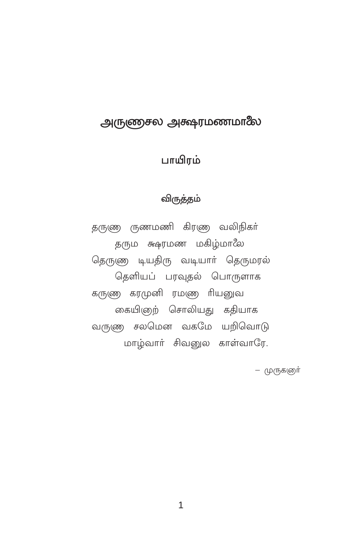## அருணுசல அக்ஷரமணமாலே

## பாயிரம்

#### விருத்தம்

தருணு ருணமணி கிரணு வலிநிகர் தரும க்ஷர்மண மகிழ்மாலே தெருணு டியதிரு வடியாா் தெருமரல் தெளியப் பரவுதல் பொருளாக கருணு கரமுனி ரமண ரியனுவ கையிஞற் சொலியது கதியாக வருணு சலமென வகமே யறிவொடு மாழ்வாா் சிவனுல காள்வாரே.

– முருகளுர்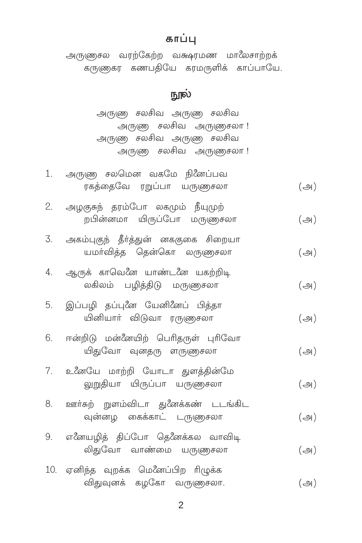### காப்பு

அருளுசல வரற்கேற்ற வக்ஷரமண மாலேசாற்றக் .<br>கருணுகர கணபதியே கரமருளிக் காப்பாயே.

### நூல்

அருணு சலசிவ அருணு சலசிவ அருணு சலசிவ அருணுசலா! அருண சலசிவ அருண சலசிவ அருணு சலசிவ அருணுசலா!

|    | 1. அருண சலமென வகமே நினேப்பவ<br>ரகத்தைவே ரறுப்பா யருணுசலா            | (அ)           |
|----|---------------------------------------------------------------------|---------------|
|    | 2. அழகுசுந் தரம்போ லகமும் நீயுமுற்<br>றபின்னமா யிருப்போ மருணுசலா    | $(\bigoplus)$ |
|    | 3. அகம்புகுந் தீர்த்துன் னககுகை சிறையா<br>யமா்வித்த தென்கொ லருணுசலா | $(\bigoplus)$ |
| 4. | ஆருக் காவெனே யாண்டனே யகற்றிடி<br>லகிலம் பழித்திடு மருளுசலா          | $(\bigoplus)$ |
| 5. | இப்பழி தப்புனே யேனினேப் பித்தா<br>யினியார் விடுவா ரருணுசலா          | $(\bigoplus)$ |
|    | 6. ஈன்றிடு மன்னேயிற் பெரிதருள் புரிவோ<br>யிதுவோ வுனதரு ளருணுசலா     | $(\bigoplus)$ |
|    | 7. உணேயே மாற்றி யோடா துளத்தின்மே<br>லுறுதியா யிருப்பா யருணுசலா      | $(\bigoplus)$ |
|    | 8. ஊர்கற் றுளம்விடா துனேக்கண் டடங்கிட<br>வுன்னழ கைக்காட் டருணுசலா   | $(\bigoplus)$ |
|    | 9. எனேயழித் திப்போ தெனேக்கல வாவிடி<br>லிதுவோ வாண்மை யருணுசலா        | $(\bigoplus)$ |
|    | 10. ஏனிந்த வுறக்க மெனேப்பிற ரிழுக்க                                 |               |

விதுவுனக் கழகோ வருணுசலா.  $(\bigoplus)$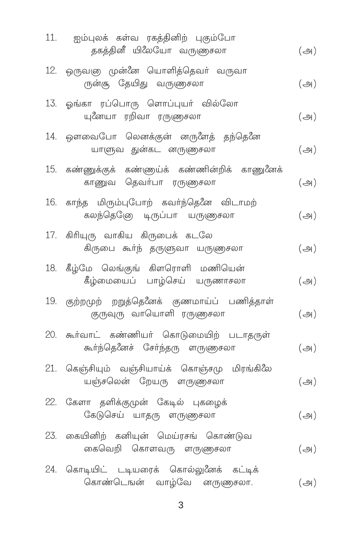| 11. ஐம்புலக் கள்வ ரகத்தினிற் புகும்போ<br>தகத்தினீ யிலேயோ வருணுசலா            | $(\bigoplus)$ |
|------------------------------------------------------------------------------|---------------|
| 12. ஒருவஞ முன்னே யொளித்தெவா் வருவா<br>ருன்சூ தேயிது வருணுசலா                 | $(\bigoplus)$ |
| 13. ஓங்கா ரப்பொரு ளொப்புயா் வில்லோ<br>யுனேயா ரறிவா ரருணுசலா                  | $(\bigoplus)$ |
| 14. ஔவைபோ லெனக்குன் னருளேத் தந்தெனே<br>யாளுவ துன்கட னருணுசலா                 | $(\bigoplus)$ |
| 15. கண்ணுக்குக் கண்ணுய்க் கண்ணின்றிக் காணுனேக்<br>காணுவ தெவர்பா ரருணுசலா     | $(\bigoplus)$ |
| 16. காந்த மிரும்புபோற் கவா்ந்தெனே விடாமற்<br>கலந்தெனே டிருப்பா யருணுசலா      | $(\bigoplus)$ |
| 17. கிரியுரு வாகிய கிருபைக் கடலே<br>கிருபை கூர்ந் தருளுவா யருணுசலா           | $(\bigoplus)$ |
| 18. கீழ்மே லெங்குங் கிளரொளி மணியென்<br>கீழ்மையைப் பாழ்செய் யருணாசலா          | $(\bigoplus)$ |
| 19. குற்றமுற் றறுத்தெீனக் குணமாய்ப் பணித்தாள்<br>குருவுரு வாயொளி ரருணுசலா    | $(\bigoplus)$ |
| 20. கூர்வாட் கண்ணியர் கொடுமையிற் படாதருள்<br>கூர்ந்தெனேச் சேர்ந்தரு ளருணுசலா | $(\bigoplus)$ |
| 21. கெஞ்சியும் வஞ்சியாய்க் கொஞ்சமு மிரங்கிலே<br>யஞ்சலென் றேயரு ளருணுசலா      | $(\bigoplus)$ |
| 22. கேளா தளிக்குமுன் கேடில் புகழைக்<br>கேடுசெய் யாதரு ளருணுசலா               | $(\bigoplus)$ |
| 23. கையினிற் கனியுன் மெய்ரசங் கொண்டுவ<br>கைவெறி கொளவரு ளருணுசலா              | $(\bigoplus)$ |
| 24. கொடியிட் டடியரைக் கொல்லுனேக் கட்டிக்<br>கொண்டெஙன் வாழ்வே னருணுசலா.       | $(\bigoplus)$ |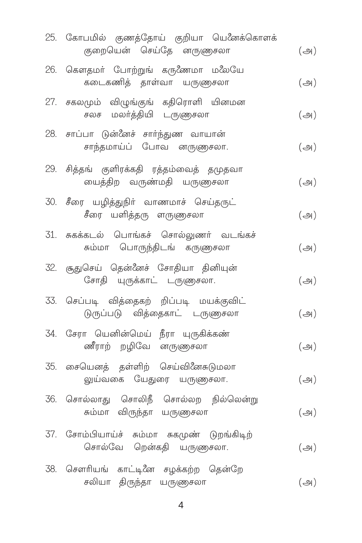| 25. கோபமில் குணத்தோய் குறியா யெனேக்கொளக்<br>குறையென் செய்தே னருணுசலா      | $(\bigoplus)$ |
|---------------------------------------------------------------------------|---------------|
| 26. கௌதமா் போற்றுங் கருணேமா மலேயே<br>கடைகணித் தாள்வா யருணுசலா             | $(\bigoplus)$ |
| 27. சகலமும் விழுங்குங் கதிரொளி யினமன<br>சலச மலா்த்தியி டருணுசலா           | $(\bigoplus)$ |
| 28. சாப்பா டுன்னேச் சார்ந்துண வாயான்<br>சாந்தமாய்ப் போவ னருணுசலா.         | $(\bigoplus)$ |
| 29. சித்தங் குளிரக்கதி ரத்தம்வைத் தமுதவா<br>யைத்திற வருண்மதி யருணுசலா     | $(\bigoplus)$ |
| 30. சீரை யழித்துநிர் வாணமாச் செய்தருட்<br>சீரை யளித்தரு ளருணுசலா          | $(\bigoplus)$ |
| 31. சுகக்கடல் பொங்கச் சொல்லுணர் வடங்கச்<br>சும்மா பொருந்திடங் கருணுசலா    | $(\bigoplus)$ |
| 32. சூதுசெய் தென்னேச் சோதியா தினியுன்<br>சோதி யுருக்காட் டருணுசலா.        | $(\bigoplus)$ |
| 33. செப்படி வித்தைகற் றிப்படி மயக்குவிட்<br>டுருப்படு வித்தைகாட் டருளுசலா | $(\bigoplus)$ |
| 34. சேரா யெனின்மெய் நீரா யுருகிக்கண்<br>ணீராற் றழிவே னருணுசலா             | $(\bigoplus)$ |
| 35. சையெனத் தள்ளிற் செய்வினேசுடுமலா<br>லுய்வகை யேதுரை யருணுசலா.           | $(\bigoplus)$ |
| 36. சொல்லாது சொலிநீ சொல்லற நில்லென்று<br>சும்மா விருந்தா யருணுசலா         | $(\bigoplus)$ |
| 37. சோம்பியாய்ச் சும்மா சுகமுண் டுறங்கிடிற்<br>சொல்வே றென்கதி யருணுசலா.   | $(\bigoplus)$ |
| 38. சௌரியங் காட்டினே சழக்கற்ற தென்றே<br>சலியா திருந்தா யருணுசலா           | $(\bigoplus)$ |

 $\overline{4}$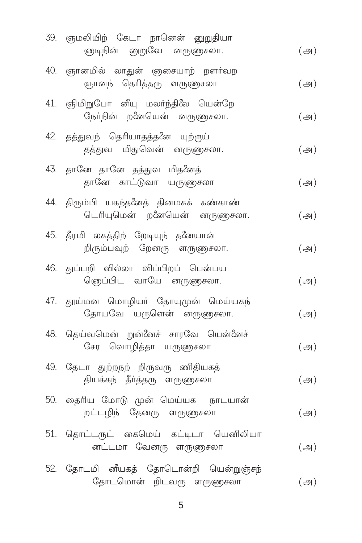| 39. ஞமலியிற் கேடா நானென் னுறுதியா<br>ஞடிநின் னுறுவே னருணுசலா.          | $(\Leftrightarrow)$ |
|------------------------------------------------------------------------|---------------------|
| 40. ஞானமில் லாதுன் ஞசையாற் றளா்வற<br>ஞானந் தெரித்தரு ளருணுசலா          | $(\bigoplus)$       |
| 41. ஞிமிறுபோ னீயு மலர்ந்திலே யென்றே<br>நேர்நின் றனேயென் னருளுசலா.      | $(\bigoplus)$       |
| 42. தத்துவந் தெரியாதத்தனே யுற்ருய்<br>தத்துவ மிதுவென் னருணுசலா.        | $(\bigoplus)$       |
| 43. தானே தானே தத்துவ மிதனேத்<br>தானே காட்டுவா யருணுசலா                 | $(\bigoplus)$       |
| 44. திரும்பி யகந்தனேத் தினமகக் கண்காண்<br>டெரியுமென் றனேயென் னருணுசலா. | $(\bigoplus)$       |
| 45. தீரமி லகத்திற் றேடியுந் தனேயான்<br>றிரும்பவுற் றேனரு ளருணுசலா.     | $(\bigoplus)$       |
| 46. துப்பறி வில்லா விப்பிறப் பென்பய<br>ெளுப்பிட வாயே னருணுசலா.         | $(\bigoplus)$       |
| 47. தூய்மன மொழியா் தோயுமுன் மெய்யகந்<br>தோயவே யருளென் னருணுசலா.        | $(\bigoplus)$       |
| 48. தெய்வமென் றுன்னேச் சாரவே யென்னேச்<br>சேர வொழித்தா யருணுசலா         | $(\bigoplus)$       |
| 49. தேடா துற்றநற் றிருவரு ணிதியகத்<br>தியக்கந் தீா்த்தரு ளருணுசலா      | $(\bigoplus)$       |
| 50. தைரிய மோடு முன் மெய்யக நாடயான்<br>றட்டழிந் தேனரு ளருணுசலா          | $(\bigoplus)$       |
| 51. தொட்டருட் கைமெய் கட்டிடா யெனிலியா<br>னட்டமா வேனரு ளருணுசலா         | $(\bigoplus)$       |
| 52. தோடமி னீயகத் தோடொன்றி யென்றுஞ்சந்<br>தோடமொன் றிடவரு ளருணுசலா       | $(\bigoplus)$       |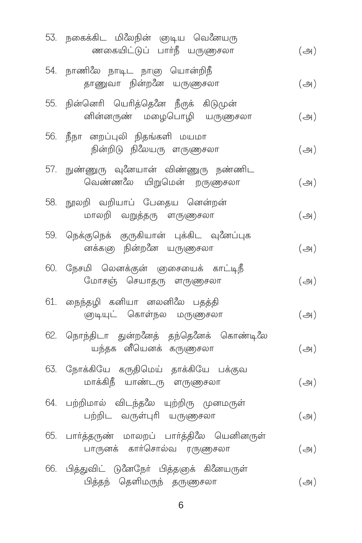| 53. நகைக்கிட மிலேநின் ஞடிய வெனேயரு<br>ணகையிட்டுப் பார்நீ யருளுசலா         | $(\bigoplus)$ |
|---------------------------------------------------------------------------|---------------|
| 54. நாணிலே நாடிட நாஞ யொன்றிநீ<br>தாணுவா நின்றனே யருணுசலா                  | $(\bigoplus)$ |
| 55. நின்னெரி யெரித்தெனே நீருக் கிடுமுன்<br>னின்னருண் மழைபொழி யருணுசலா     | $(\bigoplus)$ |
| 56. நீநா னறப்புலி நிதங்களி மயமா<br>நின்றிடு நிலேயரு ளருணுசலா              | $(\bigoplus)$ |
| 57. நுண்ணுரு வுனேயான் விண்ணுரு நண்ணிட<br>வெண்ணலே யிறுமென் றருணுசலா        | $(\bigoplus)$ |
| 58. நூலறி வறியாப் பேதைய னென்றன்<br>மாலறி வறுத்தரு ளருணுசலா                | $(\bigoplus)$ |
| 59. நெக்குநெக் குருகியான் புக்கிட வுனேப்புக<br>னக்கஞ நின்றனே யருளுசலா     | $(\bigoplus)$ |
| 60. நேசமி லெனக்குன் ஞசையைக் காட்டிநீ<br>மோசஞ் செயாதரு ளருணுசலா            | $(\bigoplus)$ |
| 61. நைந்தழி கனியா னலனிலே பதத்தி<br>ஞடியுட் கொள்நல மருணுசலா                | $(\bigoplus)$ |
| 62. நொந்திடா துன்றனேத் தந்தெனேக் கொண்டிலே<br>யந்தக னீயெனக் கருணுசலா       | $(\bigoplus)$ |
| 63. நோக்கியே கருதிமெய் தாக்கியே பக்குவ<br>மாக்கிநீ யாண்டரு ளருணுசலா       | $(\bigoplus)$ |
| 64. பற்றிமால் விடந்தலே யுற்றிரு முனமருள்<br>பற்றிட வருள்புரி யருணுசலா     | $(\bigoplus)$ |
| 65. பார்த்தருண் மாலறப் பார்த்திலே யெனினருள்<br>பாருனக் கார்சொல்வ ரருணுசலா | $(\bigoplus)$ |
| 66. பித்துவிட் டுனேநேர் பித்தஞக் கினேயருள்<br>பித்தந் தெளிமருந் தருணுசலா  | $(\bigoplus)$ |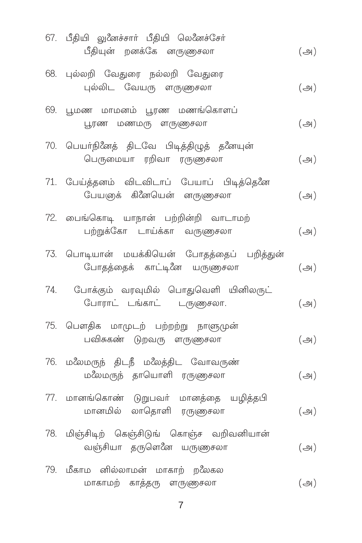| 67. பீதியி லுனேச்சார் பீதியி லெனேச்சேர்<br>பீதியுன் றனக்கே னருணுசலா        | $(\bigoplus)$ |
|----------------------------------------------------------------------------|---------------|
| 68. புல்லறி வேதுரை நல்லறி வேதுரை<br>புல்லிட வேயரு ளருணுசலா                 | $(\bigoplus)$ |
| 69. பூமண மாமனம் பூரண மணங்கொளப்<br>பூரண மணமரு ளருணுசலா                      | $(\bigoplus)$ |
| 70. பெயர்நினேத் திடவே பிடித்திழுத் தனேயுன்<br>பெருமையா ரறிவா ரருணுசலா      | $(\bigoplus)$ |
| 71. பேய்த்தனம் விடவிடாப் பேயாப் பிடித்தெனே<br>பேயஞக் கினேயென் னருணுசலா     | $(\bigoplus)$ |
| 72. பைங்கொடி யாநான் பற்றின்றி வாடாமற்<br>பற்றுக்கோ டாய்க்கா வருணுசலா       | $(\bigoplus)$ |
| 73. பொடியான் மயக்கியென் போதத்தைப் பறித்துன்<br>போதத்தைக் காட்டினே யருளுசலா | $(\bigoplus)$ |
| 74. போக்கும் வரவுமில் பொதுவெளி யினிலருட்<br>போராட் டங்காட் டருணுசலா.       | $(\bigoplus)$ |
| 75. பௌதிக மாமுடற் பற்றற்று நாளுமுன்<br>பவிசுகண் டுறவரு ளருணுசலா            | $(\bigoplus)$ |
| 76. மலேமருந் திடநீ மலேத்திட வோவருண்<br>மலேமருந் தாயொளி ரருணுசலா            | $(\bigoplus)$ |
| 77. மானங்கொண் டுறுபவா் மானத்தை யழித்தபி<br>மானமில் லாதொளி ரருணுசலா         | $(\bigoplus)$ |
| 78. மிஞ்சிடிற் கெஞ்சிடுங் கொஞ்ச வறிவனியான்<br>வஞ்சியா தருளெனே யருணுசலா     | $(\bigoplus)$ |
| 79. மீகாம னில்லாமன் மாகாற் றலேகல<br>மாகாமற் காத்தரு ளருணுசலா               | $(\bigoplus)$ |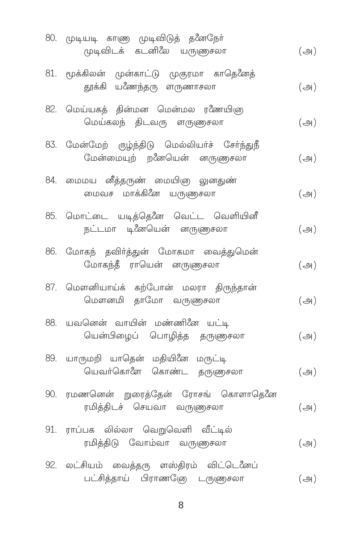| 80. முடியடி காண முடிவிடுத் தனேநோ்<br>முடிவிடக் கடனிலே யருணுசலா                | $(\bigoplus)$       |
|-------------------------------------------------------------------------------|---------------------|
| 81. மூக்கிலன் முன்காட்டு முகுரமா காதெனேத்<br>தூக்கி யணேந்தரு ளருணாசலா         | $(\bigoplus)$       |
| 82. மெய்யகத் தின்மன மென்மல ரணேயிஞ<br>மெய்கலந் திடவரு ளருணுசலா                 | $(\bigoplus)$       |
| 83. மேன்மேற் ருழ்ந்திடு மெல்லியர்ச் சேர்ந்துநீ<br>மேன்மையுற் றனேயென் னருளுசலா | $(\bigoplus)$       |
| 84. மைமய வீத்தருண் மையிஞ லுனதுண்<br>மைவச மாக்கினே யருணுசலா                    | $(\bigoplus)$       |
| 85. மொட்டை யடித்தெனே வெட்ட வெளியினீ<br>நட்டமா டி.னேயென் னருளுசலா              | $(\bigoplus)$       |
| 86. மோகந் தவிர்த்துன் மோகமா வைத்துமென்<br>மோகந்தீ ராயென் னருணுசலா             | $(\bigoplus)$       |
| 87. மௌனியாய்க் கற்போன் மலரா திருந்தான்<br>மௌனமி தாமோ வருணுசலா                 | $(\bigoplus)$       |
| 88. யவனென் வாயின் மண்ணினே யட்டி<br>யென்பிழைப் பொழித்த தருணுசலா                | $(\bigoplus)$       |
| 89. யாருமறி யாதென் மதியினே மருட்டி<br>யெவர்கொளே கொண்ட தருணுசலா                | $(\bigoplus)$       |
| 90. ரமணனென் றுரைத்தேன் ரோசங் கொளாதெனே<br>ரமித்திடச் செயவா வருணுசலா            | $(\bigoplus)$       |
| 91. ராப்பக லில்லா வெறுவெளி வீட்டில்<br>ரமித்திடு வோம்வா வருணுசலா              | $(\bigoplus)$       |
| 92. லட்சியம் வைத்தரு ளஸ்திரம் விட்டெனேப்<br>பட்சித்தாய் பிராணனே டருளுசலா      | $(\Leftrightarrow)$ |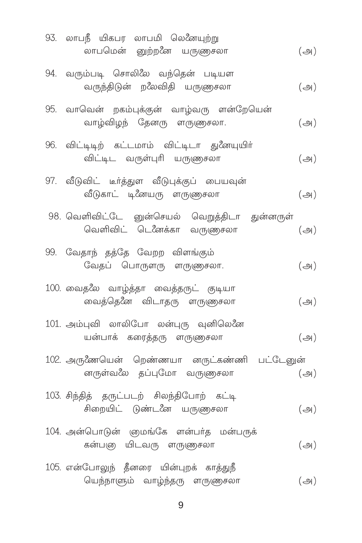| 93. லாபநீ யிகபர லாபமி லெனேயுற்று<br>லாபமென் னுற்றனே யருளுசலா                | $(\bigoplus)$ |
|-----------------------------------------------------------------------------|---------------|
| 94. வரும்படி சொலிலே வந்தென் படியள<br>வருந்திடுன் றலேவிதி யருணுசலா           | $(\bigoplus)$ |
| 95. வாவென் றகம்புக்குன் வாழ்வரு ளன்றேயென்<br>வாழ்விழந் தேனரு ளருணுசலா.      | $(\bigoplus)$ |
| 96. விட்டிடிற் கட்டமாம் விட்டிடா துனேயுயிர்<br>விட்டிட வருள்புரி யருணுசலா   | $(\bigoplus)$ |
| 97. வீடுவிட் டீர்த்துள வீடுபுக்குப் பையவுன்<br>வீடுகாட் டினேயரு ளருணுசலா    | $(\bigoplus)$ |
| 98. வெளிவிட்டே னுன்செயல் வெறுத்திடா துன்னருள்<br>வெளிவிட் டெனேக்கா வருணுசலா | $(\bigoplus)$ |
| 99. வேதாந் தத்தே வேறற விளங்கும்<br>வேதப் பொருளரு ளருணுசலா.                  | $(\bigoplus)$ |
| 100. வைதலே வாழ்த்தா வைத்தருட் குடியா<br>வைத்தெனே விடாதரு ளருணுசலா           | $(\bigoplus)$ |
| 101. அம்புவி லாலிபோ லன்புரு வுனிலெனே<br>யன்பாக் கரைத்தரு ளருணுசலா           | $(\bigoplus)$ |
| 102. அருணேயென் றெண்ணயா னருட்கண்ணி பட்டேனுன்<br>னருள்வலே தப்புமோ வருணுசலா    | $(\bigoplus)$ |
| 103. சிந்தித் தருட்படற் சிலந்திபோற் கட்டி<br>சிறையிட் டுண்டனே யருளுசலா      | $(\bigoplus)$ |
| 104. அன்பொடுன் ஞமங்கே ளன்பர்த மன்பருக்<br>கன்பஞ யிடவரு ளருணுசலா             | $(\bigoplus)$ |
| 105. என்போலுந் தீனரை யின்புறக் காத்துநீ<br>யெந்நாளும் வாழ்ந்தரு ளருணுசலா    | $(\bigoplus)$ |

 $\boldsymbol{9}$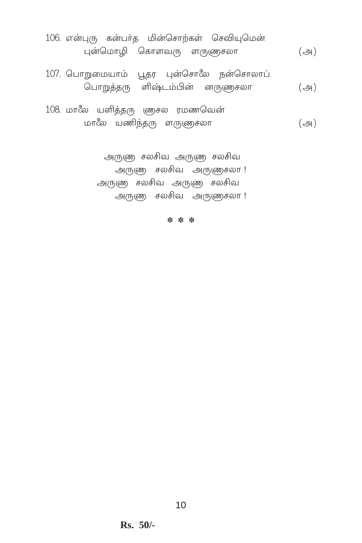- 106. என்புரு கன்பர்த மின்சொற்கள் செவியுமென் ¶flˆ©ı» ˆPıÕ¡∏ Õ∏t\ªı (A)
- 107. பொறுமையாம் பூதர புன்சொலே நன்சொலாப் ˆ£ı÷zu∏ ŒËhƧfl ⁄∏t\ªı (A)
- 108. மாலே யளித்தரு ஞைசல ரமணவென் ©ı˘ª Øo¢u∏ Õ∏t\ªı (A)

அருணு சலசிவ அருணு சலசிவ அருண சலசிவ அருணுசலா! அருண சலசிவ அருண சலசிவ

அருண சலசிவ அருணசலா!

**\* \* \***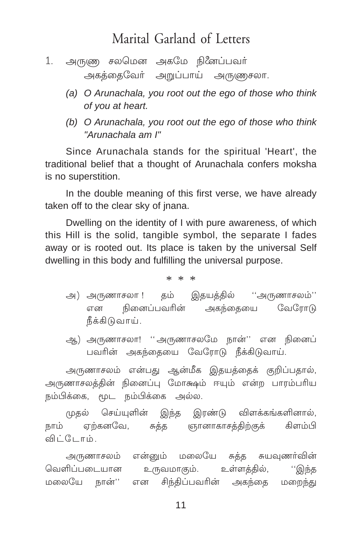# Marital Garland of Letters

- 1. அருணு சலமென அகமே நினேப்பவர் அகத்தைவேர் அறுப்பாய் அருணுசலா.
	- (a) O Arunachala, you root out the ego of those who think of you at heart.
	- (b) O Arunachala, you root out the ego of those who think "Arunachala am I"

Since Arunachala stands for the spiritual 'Heart', the traditional belief that a thought of Arunachala confers moksha is no superstition.

In the double meaning of this first verse, we have already taken off to the clear sky of jnana.

Dwelling on the identity of I with pure awareness, of which this Hill is the solid, tangible symbol, the separate I fades away or is rooted out. Its place is taken by the universal Self dwelling in this body and fulfilling the universal purpose.

 $* * *$ 

- அ) அருணாசலா ! தம் இதயத்தில் ''அருணாசலம்'' நினைப்பவரின் அகந்தையை வேரோடு என நீக்கிடுவாய்.
- ஆ) அருணாசலா! ''அருணாசலமே நான்'' என நினைப் பவரின் அகந்தையை வேரோடு நீக்கிடுவாய்.

அருணாசலம் என்பது ஆன்மீக இதயத்தைக் குறிப்பதால், அருணாசலத்தின் நினைப்பு மோக்ஷம் ஈயும் என்ற பாரம்பரிய நம்பிக்கை. மட நம்பிக்கை அல்ல.

முதல் செய்யுளின் இந்த இரண்டு விளக்கங்களினால், நாம் ஏற்கனவே, சுத்த ஞானாகாசத்திற்குக் கிளம்பி விட்டோம்

அருணாசலம் என்னும் மலையே சுத்த சுயவுணர்வின் வெளிப்படையான உருவமாகும். உள்ளத்தில், ''இந்த சிந்திப்பவரின் அகந்தை மறைந்து மலையே நான்'' என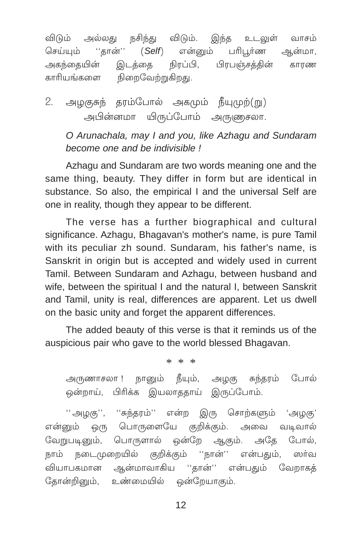நசிந்து விடும். இந்த உடலுள் விடும் அல்லகு வாசம் ''கான்'' செய்யம்  $(Self)$ என்னம் பரிபர்ண ஆன்மா. நிரப்பி. பிாபஞ்சக்கின் அகந்கையின் இடக்கை காாண காரியங்களை நிறைவேற்றுகிறது.

அழகுசுந் தரம்போல் அகமும் நீயுமுற்(று) 2. அபின்னமா யிருப்போம் அருணுசலா.

O Arunachala, may I and you, like Azhagu and Sundaram become one and be indivisible!

Azhagu and Sundaram are two words meaning one and the same thing, beauty. They differ in form but are identical in substance. So also, the empirical I and the universal Self are one in reality, though they appear to be different.

The verse has a further biographical and cultural significance. Azhagu, Bhagavan's mother's name, is pure Tamil with its peculiar zh sound. Sundaram, his father's name, is Sanskrit in origin but is accepted and widely used in current Tamil. Between Sundaram and Azhagu, between husband and wife, between the spiritual I and the natural I, between Sanskrit and Tamil, unity is real, differences are apparent. Let us dwell on the basic unity and forget the apparent differences.

The added beauty of this verse is that it reminds us of the auspicious pair who gave to the world blessed Bhagayan.

 $* * *$ 

அருணாசலா ! நானும் நீயும், அழகு சுந்தரம் போல் பிரிக்க இயலாததாய் இருப்போம். ஒன்றாய்,

''அழகு'', ''சுந்தரம்'' என்ற இரு சொற்களும் 'அழகு' என்னும் ஒரு பொருளையே குறிக்கும். அவை வடிவால் வேறுபடினும், பொருளால் ஒன்றே ஆகும். அதே போல், நாம் நடைமுறையில் குறிக்கும் ''நான்'' என்பகும். ஸர்வ வியாபகமான ஆன்மாவாகிய ''கான்'' என்பகும் வேறாகக் தோன்றினும், உண்மையில் ஒன்றேயாகும்.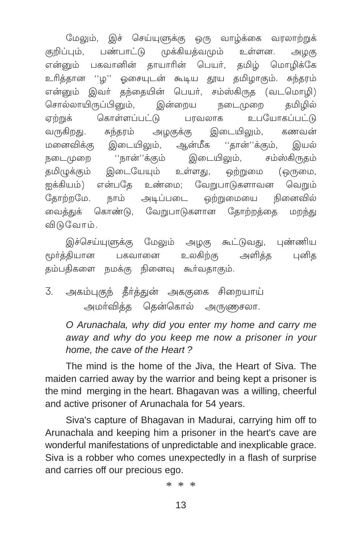மேலும், இச் செய்யுளுக்கு ஒரு வாழ்க்கை வரலாற்றுக் பண்பாட்டு முக்கியத்வமும் குறிப்பம். உள்ளன. அழகு என்னும் பகவானின் தாயாரின் பெயர், தமிழ் மொழிக்கே ''ம'' ஓசையுடன் கூடிய தூய தமிழாகும். சுந்தரம் உரிக்கான என்னும் இவர் தந்தையின் பெயர், சம்ஸ்கிருத (வடமொழி) சொல்லாயிருப்பினும், இன்றைய நடைமுறை கமிமில் உபயோகப்பட்டு கொள்ளப்பட்டு பாவலாக ஏற்றுக் இடையிலும், வருகிறது. சுந்தரம் அழகுக்கு கணவன் மனைவிக்கு இடையிலும், ஆன்மீக ''தான்''க்கும், இயல் ''நான்''க்கும் இடையிலும், நடைமுறை சம்ஸ்கிருதம் தமிழுக்கும் இடையேயும் உள்ளது, ஒற்றுமை (ஒருமை, என்பதே உண்மை; வேறுபாடுகளாவன ஐக்கியம்) வெறும் நாம் அடிப்படை கோற்றமே. ஒற்றுமையை நினைவில் கொண்டு. வேறுபாடுகளான கோற்றக்கை வைக்குக் மறந்து விடுவோம்.

இச்செய்யுளுக்கு மேலும் அழகு கூட்டுவது, புண்ணிய உலகிற்கு அளிக்க மூர்த்தியான பகவானை பனிக கம்பகிகளை நமக்கு நினைவு கூர்வதாகும்.

3. அகம்புகுந் தீர்த்துன் அககுகை சிறையாய் அமா்வித்த தென்கொல் அருணுசலா.

O Arunachala, why did you enter my home and carry me away and why do you keep me now a prisoner in your home, the cave of the Heart?

The mind is the home of the Jiva, the Heart of Siva. The maiden carried away by the warrior and being kept a prisoner is the mind merging in the heart. Bhagavan was a willing, cheerful and active prisoner of Arunachala for 54 years.

Siva's capture of Bhagavan in Madurai, carrying him off to Arunachala and keeping him a prisoner in the heart's cave are wonderful manifestations of unpredictable and inexplicable grace. Siva is a robber who comes unexpectedly in a flash of surprise and carries off our precious ego.

 $* * *$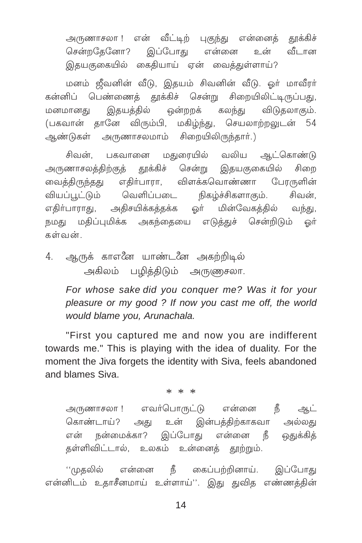அருணாசலா ! என் வீட்டிற் புகுந்து என்னைத் தூக்கிச் சென்றதேனோ? இப்போது என்னை உன் வீடான இதயகுகையில் கைதியாய் ஏன் வைத்துள்ளாய்?

மனம் ஜீவனின் வீடு, இதயம் சிவனின் வீடு. ஓர் மாவீரர் கன்னிப் பெண்ணைத் தூக்கிச் சென்று சிறையிலிட்டிருப்பது, இதயத்தில் ஒன்றறக் கலந்து மனமானகு விடுகலாகும். (பகவான் தானே விரும்பி, மகிழ்ந்து, செயலாற்றலுடன் 54 ஆண்டுகள் அருணாசலமாம் சிறையிலிருந்தார்.)

சிவன், பகவானை மதுரையில் வலிய ஆட்கொண்டு அருணாசலத்திற்குத் தூக்கிச் சென்று இதயகுகையில் சிறை வைத்திருந்தது எதிர்பாரா, விளக்கவொண்ணா பேரருளின் வியப்பூட்டும் வெளிப்படை நிகழ்ச்சிகளாகும். சிவன். எதிர்பாராது, அதிசயிக்கத்தக்க ஓர் மின்வேகத்தில் வந்து, நமது மதிப்புமிக்க அகந்தையை எடுத்துச் சென்றிடும் ஒர் கள்வன்

4. ஆருக் காஎனே யாண்டனே அகற்றிடில் அகிலம் பழித்திடும் அருணுசலா.

> For whose sake did you conquer me? Was it for your pleasure or my good? If now you cast me off, the world would blame you, Arunachala.

"First you captured me and now you are indifferent towards me." This is playing with the idea of duality. For the moment the Jiva forgets the identity with Siva, feels abandoned and blames Siva

 $* * *$ 

அருணாசலா ! எவர்பொருட்டு என்னை நீ ஆட் கொண்டாய்? அது உன் இன்பத்திற்காகவா அல்லது என் நன்மைக்கா? இப்போது என்னை நீ ஒதுக்கித் தள்ளிவிட்டால், உலகம் உன்னைத் தூற்றும்.

''முதலில் என்னை நீ கைப்பற்றினாய். இப்போது என்னிடம் உதாசீனமாய் உள்ளாய்''. இது துவித எண்ணத்தின்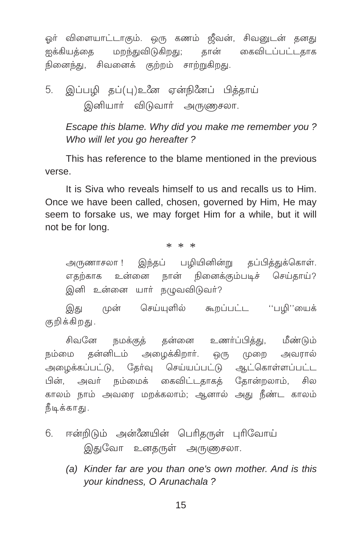ஒர் விளையாட்டாகும். ஒரு கணம் ஜீவன், சிவனுடன் தனது ஐக்கியத்தை மறந்துவிடுகிறது; தான் கைவிடப்பட்டதாக நினைந்து, சிவனைக் குற்றம் சாற்றுகிறது.

5. இப்பழி தப்(பு)உனே ஏன்நினேப் பித்தாய் இனியார் விடுவார் அருணுசலா.

Escape this blame. Why did you make me remember you? Who will let you go hereafter?

This has reference to the blame mentioned in the previous verse.

It is Siva who reveals himself to us and recalls us to Him. Once we have been called, chosen, governed by Him, He may seem to forsake us, we may forget Him for a while, but it will not be for long.

 $* * *$ 

அருணாசலா ! இந்தப் பழியினின்று தப்பித்துக்கொள். எதற்காக உன்னை நான் நினைக்கும்படிச் செய்தாய்? இனி உன்னை யார் நழுவவிடுவர்?

இது முன் செய்யுளில் கூறப்பட்ட ''பழி''யைக் குறிக்கிறது.

சிவனே நமக்குத் தன்னை உணர்ப்பித்து, மீண்டும் நம்மை தன்னிடம் அழைக்கிறார். ஒரு முறை அவரால் அமைக்கப்பட்டு, தேர்வு செய்யப்பட்டு ஆட்கொள்ளப்பட்ட பின், அவர் நம்மைக் கைவிட்டதாகத் தோன்றலாம், சில காலம் நாம் அவரை மறக்கலாம்: ஆனால் அது நீண்ட காலம் நீடிக்காது.

- 6. ஈன்றிடும் அன்னேயின் பெரிதருள் புரிவோய் இதுவோ உனதருள் அருணுசலா.
	- (a) Kinder far are you than one's own mother. And is this vour kindness. O Arunachala?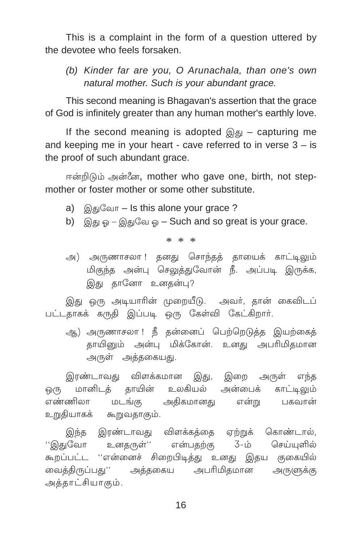This is a complaint in the form of a question uttered by the devotee who feels forsaken.

(b) Kinder far are you, O Arunachala, than one's own natural mother. Such is your abundant grace.

This second meaning is Bhagavan's assertion that the grace of God is infinitely greater than any human mother's earthly love.

If the second meaning is adopted  $\mathbb{Q}_{5}$  – capturing me and keeping me in your heart - cave referred to in verse  $3 - is$ the proof of such abundant grace.

ஈன்றிடும் அன்னே, mother who gave one, birth, not stepmother or foster mother or some other substitute.

- a) இதுவோ Is this alone your grace ?
- b) இது ஓ இதுவே ஓ Such and so great is your grace.

 $* * *$ 

அ) அருணாசலா ! தனது சொந்தத் தாயைக் காட்டிலும் மிகுந்த அன்பு செலுத்துவோன் நீ. அப்படி இருக்க, இது தானோ உனதன்பு?

இது ஒரு அடியாரின் முறையீடு. அவர், தான் கைவிடப் பட்டதாகக் கருதி இப்படி ஒரு கேள்வி கேட்கிறார்.

ஆ) அருணாசலா ! நீ தன்னைப் பெற்றெடுத்த இயற்கைத் காயினும் அன்பு மிக்கோன். உனகு அபரிமிகமான அருள் அத்தகையது.

இரண்டாவது விளக்கமான இது, இறை அருள் எந்த ஒரு மானிடத் தாயின் உலகியல் அன்பைக் காட்டிலும் அதிகமானது என்று பகவான் எண்ணிலா மடங்கு உறுதியாகக் கூறுவதாகும்.

இந்த இரண்டாவது விளக்கத்தை ஏற்றுக் கொண்டால், உனதருள்'' என்பதற்கு 3-ம் செய்யுளில் ''இதுவோ கூறப்பட்ட ''என்னைச் சிறைபிடித்து உனது இதய குகையில் வைத்திருப்பது'' அத்தகைய அபரிமிதமான அருளுக்கு அத்தாட்சியாகும்.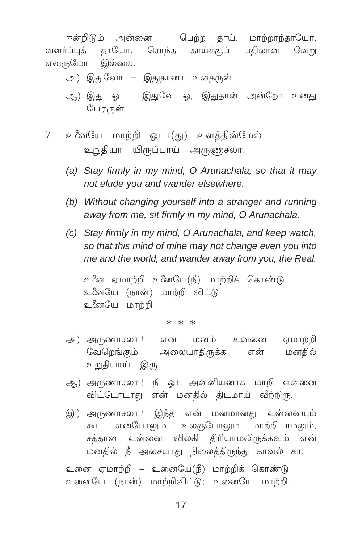ஈன்றிடும் அன்னை – பெற்ற தாய். மாற்றாந்தாயோ, வளா்ப்புத் தாயோ, சொந்த தாய்க்குப் பதிலான வேறு எவருமோ இல்லை.

- அ) இதுவோ இதுதானா உனதருள்.
- ஆ) இது ஒ இதுவே ஒ, இதுதான் அன்றோ உனது போருள்.
- 7. உனேயே மாற்றி ஓடா(து) உளத்தின்மேல் உறுதியா யிருப்பாய் அருணுசலா.
	- (a) Stay firmly in my mind, O Arunachala, so that it may not elude you and wander elsewhere.
	- (b) Without changing yourself into a stranger and running away from me, sit firmly in my mind, O Arunachala.
	- (c) Stay firmly in my mind, O Arunachala, and keep watch, so that this mind of mine may not change even you into me and the world, and wander away from you, the Real.

உனே ஏமாற்றி உனேயே(நீ) மாற்றிக் கொண்டு உனேயே (நான்) மாற்றி விட்டு உஃஎயே மாற்றி

\* \* \*

- அ) அருணாசலா ! என் மனம் உன்னை ஏமாற்றி வேறெங்கும் அலையாதிருக்க என் மனகில் உறுதியாய் இரு.
- ஆ) அருணாசலா ! நீ ஓர் அன்னியனாக மாறி என்னை விட்டோடாது என் மனதில் திடமாய் வீற்றிரு.
- இ) அருணாசலா ! இந்த என் மனமானது உன்னையும் கூட என்போலும், உலகுபோலும் மாற்றிடாமலும், சத்தான உன்னை விலகி திரியாமலிருக்கவும் என் மனதில் நீ அசையாது நிலைத்திருந்து காவல் கா.

உனை ஏமாற்றி – உனையே(நீ) மாற்றிக் கொண்டு உனையே (நான்) மாற்றிவிட்டு: உனையே மாற்றி,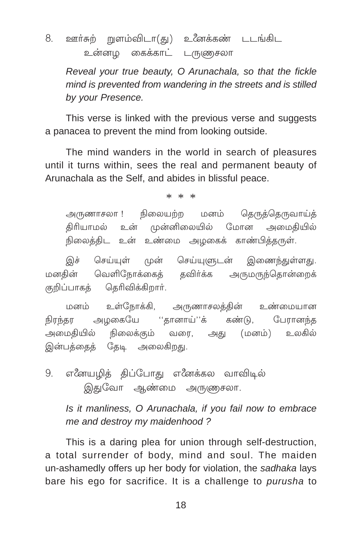ஊர்சுற் றுளம்விடா(து) உணேக்கண் டடங்கிட 8. உன்னமு கைக்காட் டருளுசலா

Reveal your true beauty, O Arunachala, so that the fickle mind is prevented from wandering in the streets and is stilled by your Presence.

This verse is linked with the previous verse and suggests a panacea to prevent the mind from looking outside.

The mind wanders in the world in search of pleasures until it turns within, sees the real and permanent beauty of Arunachala as the Self, and abides in blissful peace.

 $* * *$ 

அருணாசலா ! நிலையற்ற மனம் தெருத்தெருவாய்த் திரியாமல் உன் முன்னிலையில் மோன அமைகியில் நிலைத்திட உன் உண்மை அழகைக் காண்பித்தருள்.

இச் செய்யுள் முன் செய்யுளுடன் இணைந்துள்ளது. வெளிநோக்கைக் கவிர்க்க அருமருந்தொன்றைக் மனகின் குறிப்பாகத் தெரிவிக்கிறார்.

அருணாசலக்கின் உண்மையான மனம் உள்நோக்கி, நிரந்தர அழகையே ''தானாய்''க் கண்டு, பேரானந்த வரை, அது (மனம்) உலகில் அமைகியில் நிலைக்கும் இன்பத்தைத் தேடி அலைகிறது.

எனேயழித் திப்போது எனேக்கல வாவிடில் 9. இதுவோ ஆண்மை அருணுசலா.

Is it manliness, O Arunachala, if you fail now to embrace me and destroy my maidenhood?

This is a daring plea for union through self-destruction. a total surrender of body, mind and soul. The maiden un-ashamedly offers up her body for violation, the sadhaka lays bare his ego for sacrifice. It is a challenge to purusha to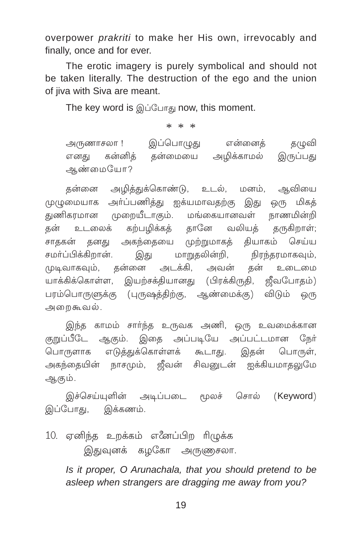overpower *prakriti* to make her His own, irrevocably and finally, once and for ever.

The erotic imagery is purely symbolical and should not be taken literally. The destruction of the ego and the union of jiva with Siva are meant.

The key word is இப்போது now, this moment.

 $* * *$ 

இப்பொழுது என்னைத் தழுவி அருணாசலா ! எனது கன்னித் தன்மையை அழிக்காமல் இருப்பது ஆண்மையோ?

தன்னை அழித்துக்கொண்டு, உடல், மனம், ஆவியை முழுமையாக அர்ப்பணித்து ஐக்யமாவதற்கு இது ஒரு மிகத் துணிகரமான முறையீடாகும். மங்கையானவள் நாணமின்றி கற்பழிக்கத் தானே வலியத் தன் உடலைக் தருகிறாள்; சாதகன் தனது அகந்தையை முற்றுமாகத் தியாகம் செய்ய மாறுதலின்றி, சமா்ப்பிக்கிறான். இது நிரந்தரமாகவும், தன்னை தன் உடைமை முடிவாகவும். அடக்கி, அவன் யாக்கிக்கொள்ள, இயற்சக்தியானது (பிரக்கிருதி, ஜீவபோதம்) பரம்பொருளுக்கு (புருஷத்திற்கு, ஆண்மைக்கு) விடும் ஒரு அறைகூவல்.

இந்த காமம் சாா்ந்த உருவக அணி, ஒரு உவமைக்கான குறுப்பீடே ஆகும். இதை அப்படியே அப்பட்டமான நேர் பொருளாக எடுத்துக்கொள்ளக் கூடாது. இதன் பொருள், அகந்தையின் நாசமும், ஜீவன் சிவனுடன் ஐக்கியமாதலுமே ஆகும்.

இச்செய்யுளின் அடிப்படை மூலச் சொல் (Keyword) இப்போகு, இக்கணம்.

10. ஏனிந்த உறக்கம் எனேப்பிற ரிழுக்க இதுவுனக் கழகோ அருணுசலா.

> Is it proper, O Arunachala, that you should pretend to be asleep when strangers are dragging me away from you?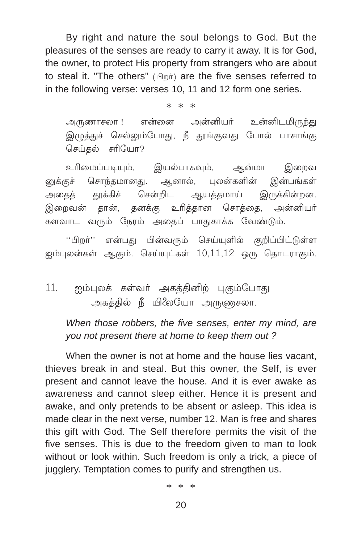By right and nature the soul belongs to God. But the pleasures of the senses are ready to carry it away. It is for God, the owner, to protect His property from strangers who are about to steal it. "The others" (Amit) are the five senses referred to in the following verse: verses 10, 11 and 12 form one series.

> $* *$  $\ast$

என்னை அன்னியர் உன்னிடமிருந்து அருணாசலா ! இழுத்துச் செல்லும்போது, நீ தூங்குவது போல் பாசாங்கு செய்தல் சரியோ?

உரிமைப்படியும், இயல்பாகவும், ஆன்மா இறைவ னுக்குச் சொந்தமானது. ஆனால், புலன்களின் இன்பங்கள் சென்றிட ஆயத்தமாய் இருக்கின்றன. அதைத் தூக்கிச் இறைவன் தான், தனக்கு உரித்தான சொத்தை, அன்னியா் களவாட வரும் நேரம் அதைப் பாதுகாக்க வேண்டும்.

''பிறா்'' என்பது பின்வரும் செய்யுளில் குறிப்பிட்டுள்ள ஐம்புலன்கள் ஆகும். செய்யுட்கள் 10,11,12 ஒரு தொடராகும்.

#### $11.$ ஐம்புலக் கள்வா் அகத்தினிற் புகும்போது அகத்தில் நீ யிலேயோ அருணுசலா.

When those robbers, the five senses, enter my mind, are you not present there at home to keep them out?

When the owner is not at home and the house lies vacant. thieves break in and steal. But this owner, the Self. is ever present and cannot leave the house. And it is ever awake as awareness and cannot sleep either. Hence it is present and awake, and only pretends to be absent or asleep. This idea is made clear in the next verse, number 12. Man is free and shares this gift with God. The Self therefore permits the visit of the five senses. This is due to the freedom given to man to look without or look within. Such freedom is only a trick, a piece of jugglery. Temptation comes to purify and strengthen us.

 $* * *$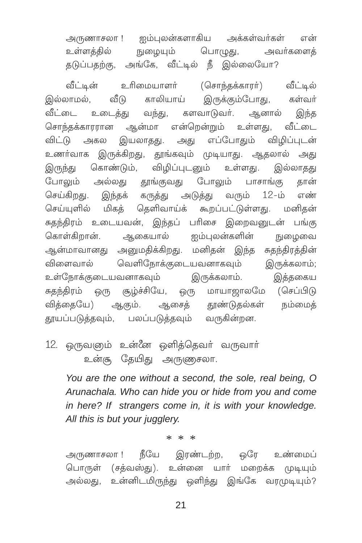அருணாசலா ! ஐம்புலன்களாகிய அக்கள்வர்கள் என் உள்ளக்கில் நுழையும் பொழுது, அவர்களைத் தடுப்பதற்கு, அங்கே, வீட்டில் நீ இல்லையோ?

வீட்டின் உரிமையாளர் (சொந்தக்காரர்) வீட்டில் வீடு காலியாய் இருக்கும்போது, இல்லாமல், கள்வர் வீட்டை உடைத்து வந்து, களவாடுவர். ஆனால் இந்த சொந்தக்காரரான ஆன்மா என்றென்றும் உள்ளது, வீட்டை விட்டு அகல இயலாதது. அது எப்போதும் விழிப்புடன் உணர்வாக இருக்கிறது, தூங்கவும் முடியாது. ஆதலால் அது இருந்து கொண்டும், விழிப்புடனும் உள்ளது. இல்லாதது போலும் அல்லது தூங்குவது போலும் பாசாங்கு கான் செய்கிறது. இந்தக் கருத்து அடுத்து வரும் 12-ம் எண் செய்யுளில் மிகத் தெளிவாய்க் கூறப்பட்டுள்ளது. மனிதன் சுதந்திரம் உடையவன், இந்தப் பரிசை இறைவனுடன் பங்கு கொள்கிறான். ஆகையால் ஐம்புலன்களின் நுழைவை ஆன்மாவானது அனுமதிக்கிறது. மனிதன் இந்த சுதந்திரத்தின் விளைவால் வெளிநோக்குடையவனாகவும் இருக்கலாம்; உள்நோக்குடையவனாகவும் இருக்கலாம். இத்தகைய சுதந்திரம் ஒரு சூழ்ச்சியே, ஒரு மாயாஜாலமே (செப்பிடு வித்தையே) ஆகும். ஆசைத் தூண்டுதல்கள் நம்மைக் தூயப்படுத்தவும், பலப்படுத்தவும் வருகின்றன.

12. ஒருவஞம் உன்னே ஒளித்தெவர் வருவார் உன்சூ தேயிது அருணுசலா.

You are the one without a second, the sole, real being, O Arunachala. Who can hide you or hide from you and come in here? If strangers come in, it is with your knowledge. All this is but your jugglery.

 $* * *$ 

அருணாசலா ! நீயே இரண்டற்ற, ஒரே உண்மைப் பொருள் (சத்வஸ்து). உன்னை யார் மறைக்க முடியும் அல்லது, உன்னிடமிருந்து ஒளிந்து இங்கே வரமுடியும்?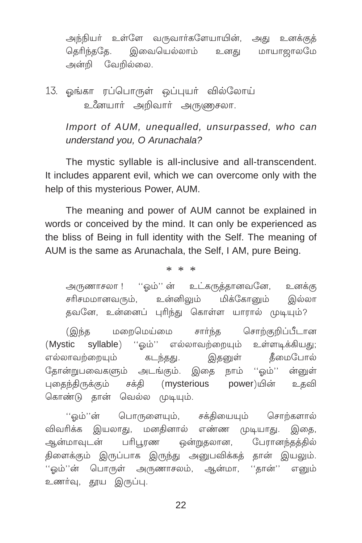அந்நியர் உள்ளே வருவார்களேயாயின், அது உனக்குக் கெரிந்ககே. இவையெல்லாம் மாயாறாலமே உனகு அன்றி வேறில்லை.

13. ஓங்கா ரப்பொருள் ஒப்புயர் வில்லோய் உனேயார் அறிவார் அருணுசலா.

Import of AUM, unequalled, unsurpassed, who can understand you, O Arunachala?

The mystic syllable is all-inclusive and all-transcendent. It includes apparent evil, which we can overcome only with the help of this mysterious Power, AUM.

The meaning and power of AUM cannot be explained in words or conceived by the mind. It can only be experienced as the bliss of Being in full identity with the Self. The meaning of AUM is the same as Arunachala, the Self. I AM, pure Being.

 $* * *$ 

அருணாசலா !''ஒம்'' ன் உட்கருத்தானவனே, உனக்கு சரிசமமானவரும், உன்னிலும் மிக்கோனும் இல்லா தவனே, உன்னைப் புரிந்து கொள்ள யாரால் முடியும்?

மறைமெய்மை சாா்ந்த சொற்குறிப்பீடான (இந்த syllable) ''ஒம்'' எல்லாவற்றையும் உள்ளடிக்கியது; (Mystic எல்லாவற்றையும் கடந்தது. இகனுள் கீமைபோல் தோன்றுபவைகளும் அடங்கும். இதை நாம் ''ஒம்'' ன்னுள் புதைந்திருக்கும் சக்தி (mysterious power)யின் உதவி கொண்டு தான் வெல்ல முடியும்.

பொருளையும், சக்தியையும் சொற்களால் ''ஒம்''ன் விவரிக்க இயலாது, மனதினால் எண்ண முடியாது. இதை, பரிபூரண ஒன்றுதலான, பேரானந்தத்தில் ஆன்மாவுடன் திளைக்கும் இருப்பாக இருந்து அனுபவிக்கத் தான் இயலும். ''ஒம்''ன் பொருள் அருணாசலம், ஆன்மா, ''தான்'' எனும் உணர்வு, தூய இருப்பு.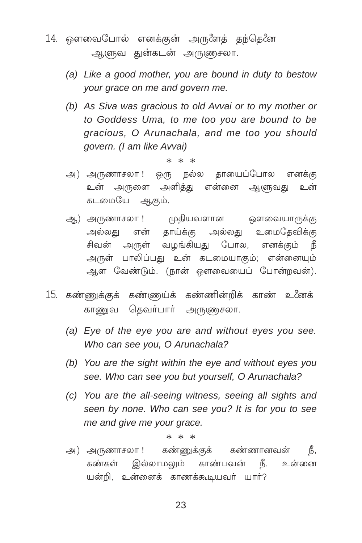- 14. ஔவைபோல் எனக்குன் அருளேத் தந்தெனே ஆளுவ துன்கடன் அருணுசலா.
	- (a) Like a good mother, you are bound in duty to bestow your grace on me and govern me.
	- (b) As Siva was gracious to old Avvai or to my mother or to Goddess Uma, to me too you are bound to be gracious, O Arunachala, and me too you should govern. (I am like Avvai)

#### $* * *$

- ஒரு நல்ல தாயைப்போல எனக்கு அ) அருணாசலா ! உன் அருளை அளித்து என்னை ஆளுவது உன் கடமையே ஆகும்.
- ஆ) அருணாசலா ! முதியவளான ஒளவையாருக்கு அல்லது என் தாய்க்கு அல்லது உமைதேவிக்கு சிவன் அருள் வழங்கியது போல, எனக்கும் நீ அருள் பாலிப்பது உன் கடமையாகும்; என்னையும் ஆள வேண்டும். (நான் ஔவையைப் போன்றவன்).
- 15. கண்ணுக்குக் கண்ணுய்க் கண்ணின்றிக் காண் உனேக் காணுவ தெவர்பார் அருணுசலா.
	- (a) Eye of the eye you are and without eyes you see. Who can see you, O Arunachala?
	- (b) You are the sight within the eye and without eyes you see. Who can see you but yourself, O Arunachala?
	- (c) You are the all-seeing witness, seeing all sights and seen by none. Who can see you? It is for you to see me and give me your grace.

 $* *$  $\ast$ 

கண்ணுக்குக் கண்ணானவன் அ) அருணாசலா ! Ӄ, கண்கள் இல்லாமலும் காண்பவன் நீ. உன்னை யன்றி, உன்னைக் காணக்கூடியவர் யார்?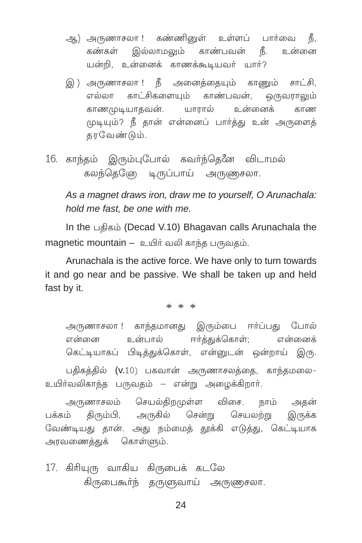- ஆ) அருணாசலா ! கண்ணினுள் உள்ளப் பார்வை நீ, கண்கள் இல்லாமலும் காண்பவன் நீ. உன்னை யன்றி, உன்னைக் காணக்கூடியவர் யார்?
- இ) அருணாசலா ! நீ அனைத்தையும் காணும் சாட்சி, எல்லா காட்சிகளையம் காண்பவன். ஒருவராலும் காணமுடியாதவன். யாரால் உன்னைக் காண முடியும்? நீ தான் என்னைப் பார்த்து உன் அருளைத் கரவேண்டும்.
- 16. காந்தம் இரும்புபோல் கவர்ந்தெனே விடாமல் கலந்தெடுே டிருப்பாய் அருணுசலா.

As a magnet draws iron, draw me to yourself, O Arunachala: hold me fast, be one with me.

In the பதிகம் (Decad V.10) Bhagavan calls Arunachala the magnetic mountain - உயிர் வலி காந்த பருவதம்.

Arunachala is the active force. We have only to turn towards it and go near and be passive. We shall be taken up and held fast by it.

 $* * *$ 

அருணாசலா ! காந்தமானது இரும்பை ஈர்ப்பது போல் உன்பால் ஈர்க்குக்கொள்; என்னைக் என்னை கெட்டியாகப் பிடித்துக்கொள், என்னுடன் ஒன்றாய் இரு.

பதிகத்தில் (v.10) பகவான் அருணாசலத்தை, காந்தமலை-உயிர்வலிகாந்த பருவதம் – என்று அமைக்கிறார்.

அருணாசலம் செயல்திறமுள்ள விசை. நாம் அதன் திரும்பி, அருகில் சென்று செயலற்று இருக்க பக்கம் வேண்டியது தான். அது நம்மைத் தூக்கி எடுத்து, கெட்டியாக அரவணைத்துக் கொள்ளும்.

17. கிரியுரு வாகிய கிருபைக் கடலே கிருபைகூர்ந் தருளுவாய் அருணுசலா.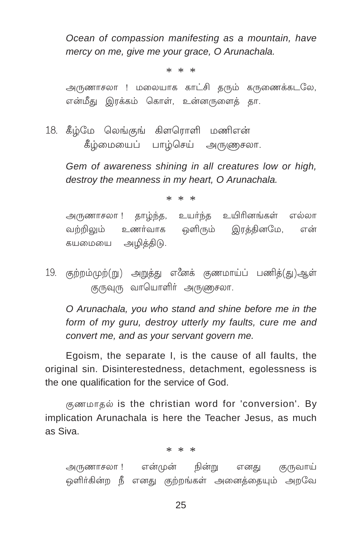Ocean of compassion manifesting as a mountain, have mercy on me, give me your grace, O Arunachala.

 $* * *$ 

அருணாசலா ! மலையாக காட்சி குரும் கருணைக்கடலே, என்மீது இரக்கம் கொள், உன்னருளைத் தா.

18. கீழ்மே லெங்குங் கிளரொளி மணிஎன் கீழ்மையைப் பாழ்செய் அருணுசலா.

Gem of awareness shining in all creatures low or high, destroy the meanness in my heart, O Arunachala.

 $* * *$ 

அருணாசலா ! தாழ்ந்த, உயர்ந்த உயிரினங்கள் எல்லா வற்றிலும் உணர்வாக ஒளிரும் இரத்தினமே, என் கயமையை அழித்திடு.

19. குற்றம்முற்(று) அறுத்து எனேக் குணமாய்ப் பணித்(து)ஆள் குருவுரு வாயொளிர் அருணுசலா.

O Arunachala, you who stand and shine before me in the form of my guru, destroy utterly my faults, cure me and convert me, and as your servant govern me.

Egoism, the separate I, is the cause of all faults, the original sin. Disinterestedness, detachment, egolessness is the one qualification for the service of God.

குணமாதல் is the christian word for 'conversion'. By implication Arunachala is here the Teacher Jesus, as much as Siva

 $* * *$ 

அருணாசலா ! என்முன் நின்று குருவாய் எனகு ஒளிர்கின்ற நீ எனது குற்றங்கள் அனைத்தையும் அறவே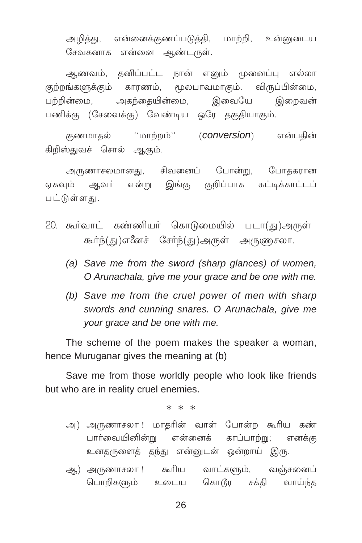அழித்து, என்னைக்குணப்படுத்தி, மாற்றி, உன்னுடைய சேவகனாக என்னை ஆண்டருள்.

ஆணவம், தனிப்பட்ட நான் எனும் முனைப்பு எல்லா குற்றங்களுக்கும் காரணம், மூலபாவமாகும். விருப்பின்மை, அகந்தையின்மை, இவையே பற்றின்மை, இறைவன் பணிக்கு (சேவைக்கு) வேண்டிய ஒரே தகுதியாகும்.

குணமாதல் ''மாற்றம்'' (**conversion**) என்பதின் கிறிஸ்துவச் சொல் ஆகும்.

அருணாசலமானது, சிவனைப் போன்று, போதகரான ஏசுவம் ஆவா் என்று இங்கு குறிப்பாக சுட்டிக்காட்டப் பட்டுள்ளது.

- 20. கூர்வாட் கண்ணியர் கொடுமையில் படா(து)அருள் கூர்ந்(து)எனேச் சேர்ந்(து)அருள் அருணுசலா.
	- (a) Save me from the sword (sharp glances) of women, O Arunachala, give me your grace and be one with me.
	- (b) Save me from the cruel power of men with sharp swords and cunning snares. O Arunachala, give me your grace and be one with me.

The scheme of the poem makes the speaker a woman, hence Muruganar gives the meaning at (b)

Save me from those worldly people who look like friends but who are in reality cruel enemies.

 $* * *$ 

- அ) அருணாசலா ! மாதரின் வாள் போன்ற கூரிய கண் பார்வையினின்று என்னைக் காப்பாற்று; எனக்கு உனதருளைத் தந்து என்னுடன் ஒன்றாய் இரு.
- ஆ) அருணாசலா ! கூரிய வாட்களும், வஞ்சனைப் பொறிகளும் உடைய கொடூர சக்தி வாய்ந்த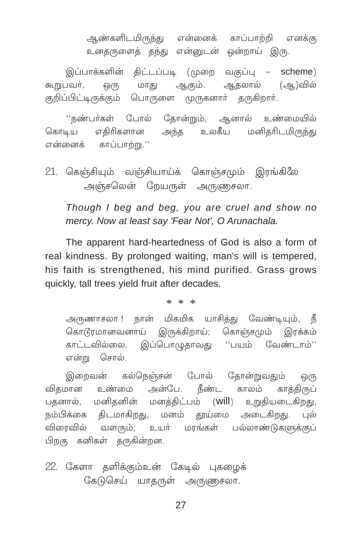ஆண்களிடமிருந்து என்னைக் காப்பாற்றி எனக்கு உனதருளைத் தந்து என்னுடன் ஒன்றாய் இரு.

இப்பாக்களின் திட்டப்படி (முறை வகுப்பு – scheme) ஒரு மாது ஆகும். ஆதலால் (ஆ)வில் கூறுபவர். குறிப்பிட்டிருக்கும் பொருளை முருகனார் தருகிறார்.

''நண்பர்கள் போல் தோன்றும், ஆனால் உண்மையில் கொடிய எதிரிகளான அந்த உலகீய மனிதரிடமிருந்து என்னைக் காப்பாற்று.''

21. கெஞ்சியும் வஞ்சியாய்க் கொஞ்சமும் இரங்கிலே அஞ்சலென் றேயருள் அருணுசலா.

Though I beg and beg, you are cruel and show no mercy. Now at least say 'Fear Not', O Arunachala.

The apparent hard-heartedness of God is also a form of real kindness. By prolonged waiting, man's will is tempered, his faith is strengthened, his mind purified. Grass grows quickly, tall trees vield fruit after decades.

 $* * *$ 

அருணாசலா ! நான் மிகமிக யாசித்து வேண்டியும், நீ கொடூரமானவனாய் இருக்கிறாய்: கொஞ்சமும் இரக்கம் காட்டவில்லை. இப்பொழுதாவது ''பயம் வேண்டாம்'' என்று சொல்.

இறைவன் கல்நெஞ்சன் போல் தோன்றுவதும் @(15 உண்மை அன்பே. நீண்ட காலம் காக்கிருப் விகமான பதனால், மனிதனின் மனத்திட்பம் (will) உறுதியடைகிறது, நம்பிக்கை திடமாகிறது, மனம் தூய்மை அடைகிறது. புல் விரைவில் வளரும்; உயர் மரங்கள் பல்லாண்டுகளுக்குப் பிறகு கனிகள் தருகின்றன.

22. கேளா களிக்கும்உன் கேடில் புகமைக் கேடுசெய் யாதருள் அருணுசலா.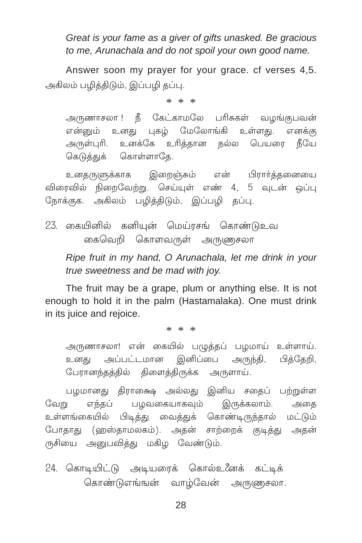Great is your fame as a giver of gifts unasked. Be gracious to me, Arunachala and do not spoil your own good name.

Answer soon my prayer for your grace, cf verses 4.5. அகிலம் பழித்திடும், இப்பழி தப்பு.

 $* * *$ 

அருணாசலா ! நீ கேட்காமலே பரிசுகள் வமங்குபவன் என்னும் உனது புகழ் மேலோங்கி உள்ளது. எனக்கு அருள்புரி. உனக்கே உரித்தான நல்ல பெயரை நீயே கெடுத்துக் கொள்ளாகே.

உனதருளுக்காக இறைஞ்சும் என் பிரார்த்தனையை விரைவில் நிறைவேற்று. செய்யுள் எண் 4, 5 வுடன் ஒப்பு நோக்குக. அகிலம் பழித்திடும், இப்பழி தப்பு.

23. கையினில் கனியுன் மெய்ரசங் கொண்டுஉவ கைவெறி கொளவருள் அருணுசலா

Ripe fruit in my hand, O Arunachala, let me drink in your true sweetness and be mad with joy.

The fruit may be a grape, plum or anything else. It is not enough to hold it in the palm (Hastamalaka). One must drink in its juice and rejoice.

 $* * *$ 

அருணாசலா! என் கையில் பழுத்தப் பழமாய் உள்ளாய். உனது அப்பட்டமான இனிப்பை அருந்தி, பித்தேறி, பேரானந்தத்தில் திளைத்திருக்க அருளாய்.

பழமானது திராக்ஷை அல்லது இனிய சதைப் பற்றுள்ள எந்தப் பழவகையாகவும் இருக்கலாம். வேறு அகை உள்ளங்கையில் பிடித்து வைத்துக் கொண்டிருந்தால் மட்டும் போதாது (ஹஸ்தாமலகம்). அதன் சாற்றைக் குடித்து அதன் ருசியை அனுபவித்து மகிழ வேண்டும்.

24. கொடியிட்டு அடியரைக் கொல்உனேக் கட்டிக் கொண்டுஎங்ஙன் வாழ்வேன் அருணுசலா.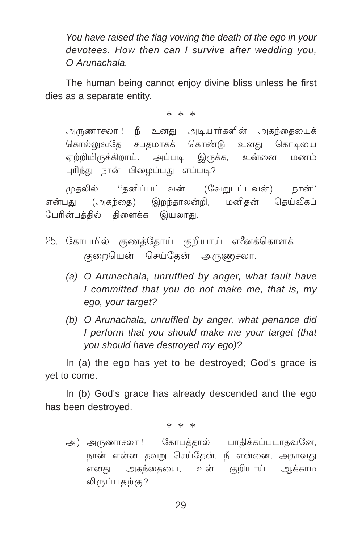You have raised the flag vowing the death of the ego in your devotees. How then can I survive after wedding you, O Arunachala.

The human being cannot enjoy divine bliss unless he first dies as a separate entity.

 $* * *$ 

அருணாசலா ! நீ உனது அடியார்களின் அகந்தையைக் கொல்லுவதே சபதமாகக் கொண்டு உனது கொடியை ஏற்றியிருக்கிறாய். அப்படி இருக்க, உன்னை மணம் புரிந்து நான் பிழைப்பது எப்படி?

முதலில் ''தனிப்பட்டவன் (வேறுபட்டவன்) நான்'' என்பது (அகந்தை) இறந்தாலன்றி, மனிகன் கெய்வீகப் பேரின்பத்தில் திளைக்க இயலாது.

- 25. கோபமில் குணக்கோய் குறியாய் எனேக்கொளக் குறையென் செய்தேன் அருணுசலா.
	- (a) O Arunachala, unruffled by anger, what fault have I committed that you do not make me, that is, my ego, vour target?
	- (b) O Arunachala, unruffled by anger, what penance did I perform that you should make me your target (that vou should have destroved my ego)?

In (a) the ego has yet to be destroyed; God's grace is vet to come.

In (b) God's grace has already descended and the ego has been destroyed.

\* \* \*

அ) அருணாசலா ! கோபத்தால் பாதிக்கப்படாதவனே, நான் என்ன தவறு செய்தேன், நீ என்னை, அதாவது எனது அகந்தையை, உன் குறியாய் ஆக்காம லிருப்பதற்கு?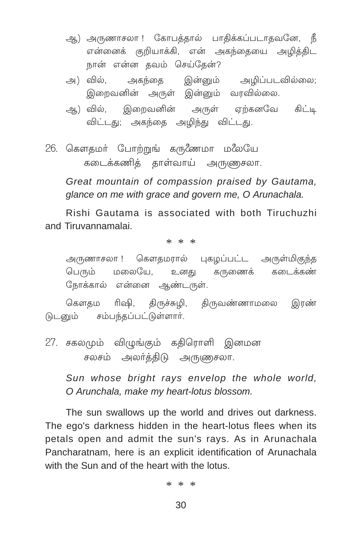- ஆ) அருணாசலா ! கோபத்தால் பாதிக்கப்படாதவனே, நீ என்னைக் குறியாக்கி. என் அகந்தையை அழித்திட நான் என்ன தவம் செய்தேன்?
- அகந்தை இன்னும் அழிப்படவில்லை; அ) வில், இறைவனின் அருள் இன்னும் வரவில்லை.
- ஆ) வில், இறைவனின் அருள் ஏற்கனவே கிட்டி விட்டது; அகந்தை அழிந்து விட்டது.
- 26. கௌதமா் போற்றுங் கருணேமா மலேயே கடைக்கணிக் காள்வாய் அருணுசலா.

Great mountain of compassion praised by Gautama, glance on me with grace and govern me. O Arunachala.

Rishi Gautama is associated with both Tiruchuzhi and Tiruvannamalai

 $* * *$ 

அருணாசலா ! கௌதமரால் புகழப்பட்ட அருள்மிகுந்த பெரும் மலையே, உனது கருணைக் கடைக்கண் நோக்கால் என்னை ஆண்டருள்.

கௌதம ரிஷி, திருச்சுமி, திருவண்ணாமலை இரண் டுடனும் சம்பந்தப்பட்டுள்ளார்.

27. சகலமும் விழுங்கும் கதிரொளி இனமன சலசம் அலர்த்திடு அருணுசலா.

> Sun whose bright rays envelop the whole world. O Arunchala, make my heart-lotus blossom.

The sun swallows up the world and drives out darkness. The ego's darkness hidden in the heart-lotus flees when its petals open and admit the sun's rays. As in Arunachala Pancharatnam, here is an explicit identification of Arunachala with the Sun and of the heart with the lotus.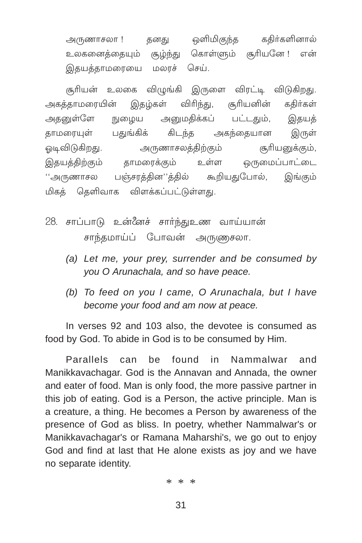தனது ஒளிமிகுந்த கதிர்களினால் அருணாசலா ! உலகனைத்தையும் சூழ்ந்து கொள்ளும் சூரியனே! என் இதயத்தாமரையை மலாச் செய்.

சூரியன் உலகை விழுங்கி இருளை விரட்டி விடுகிறது. இதழ்கள் விரிந்து, சூரியனின் அகத்தாமரையின் கதிர்கள் அதனுள்ளே அனுமதிக்கப் பட்டதும், நுழைய இதயக் கிடந்த தாமரையுள் பதுங்கிக் அகந்தையான இருள் ஒடிவிடுகிறது. அருணாசலத்திற்கும் சூரியனுக்கும், இதயத்திற்கும் தாமரைக்கும் ஒருமைப்பாட்டை உள்ள ''அருணாசல பஞ்சரத்தின''த்தில் கூறியதுபோல், இங்கும் மிகக் கெளிவாக விளக்கப்பட்டுள்ளது.

- 28. சாப்பாடு உன்னேச் சார்ந்துஉண வாய்யான் சாந்தமாய்ப் போவன் அருணுசலா.
	- (a) Let me, your prey, surrender and be consumed by you O Arunachala, and so have peace.
	- (b) To feed on you I came, O Arunachala, but I have become your food and am now at peace.

In verses 92 and 103 also, the devotee is consumed as food by God. To abide in God is to be consumed by Him.

**Parallels** can be found in Nammalwar and Manikkavachagar. God is the Annavan and Annada, the owner and eater of food. Man is only food, the more passive partner in this job of eating. God is a Person, the active principle. Man is a creature, a thing. He becomes a Person by awareness of the presence of God as bliss. In poetry, whether Nammalwar's or Manikkavachagar's or Ramana Maharshi's, we go out to enjoy God and find at last that He alone exists as joy and we have no separate identity.

 $* * *$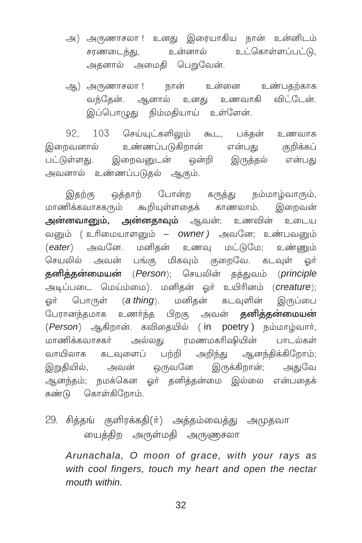- அ) அருணாசலா !உனது இரையாகிய நான் உன்னிடம் சரணடைந்து, உன்னால் உட்கொள்ளப்பட்டு. அதனால் அமைதி பெறுவேன்.
- ஆ) அருணாசலா ! நான் உன்னை உண்பகற்காக வந்தேன். ஆனால் உனது உணவாகி விட்டேன். இப்பொமுது நிம்மகியாய் உள்ளேன்.

92, 103 செய்யுட்களிலும் கூட, பக்தன் உணவாக இறைவனால் உண்ணப்படுகிறான் என்பது குறிக்கப் பட்டுள்ளது. இறைவனுடன் ஒன்றி இருத்தல் என்பது அவனால் உண்ணப்படுதல் ஆகும்.

இதற்கு ஒத்தாற் போன்ற கருத்து நம்மாழ்வாரும், மாணிக்கவாசகரும் கூறியள்ளகைக் காணலாம். இறைவன் அன்னவானும், அன்னதாவும் ஆவன்; உணவின் உடைய வனும் ( உரிமையாளனும் – owner ) அவனே; உண்பவனும் (eater) அவனே. மனிகன் உணவு மட்டுமே; உண்ணும் செயலில் அவன் பங்கு மிகவும் குறைவே. கடவுள் ஒர் தனித்தன்மையன் (Person): செயலின் கக்குவம் (principle அடிப்படை மெய்ம்மை). மனிதன் ஓர் உயிரினம் (creature); ஓர் பொருள் (**a thing**). மனிதன் கடவுளின் இருப்பை பேரானந்தமாக உணர்ந்த பிறகு அவன் **தனித்தன்மையன்** (Person) ஆகிறான். கவிதையில் (in poetry) நம்மாழ்வார், மாணிக்கவாசகர் அல்லது ரமணமகரிஷியின் பாடல்கள் வாயிலாக கடவுளைப் பற்றி அறிந்து ஆனந்திக்கிறோம்; இறுதியில், அவன் ஒருவனே இருக்கிறான்; அதுவே ஆனந்தம்; நமக்கென ஓர் தனித்தன்மை இல்லை என்பதைக் கண்டு கொள்கிறோம்.

29. சித்தங் குளிரக்கதி(ர்) அத்தம்வைத்து அமுதவா மைத்திற அருள்மதி அருணுசலா

Arunachala, O moon of grace, with your rays as with cool fingers, touch my heart and open the nectar mouth within.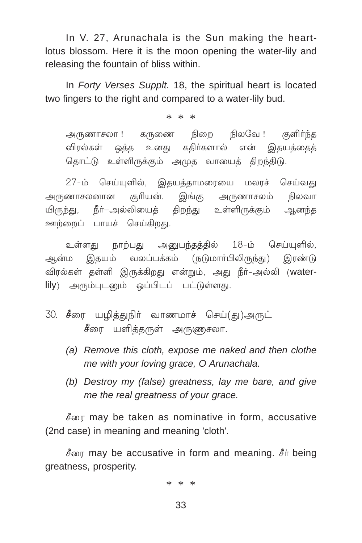In V. 27, Arunachala is the Sun making the heartlotus blossom. Here it is the moon opening the water-lily and releasing the fountain of bliss within.

In Forty Verses Supplt. 18, the spiritual heart is located two fingers to the right and compared to a water-lily bud.

 $* * *$ 

அருணாசலா ! கருணை நிறை நிலவே ! குளிர்ந்த விரல்கள் ஒத்த உனது கதிர்களால் என் இதயத்தைத் தொட்டு உள்ளிருக்கும் அமுத வாயைத் திறந்திடு.

27-ம் செய்யுளில், இதயத்தாமரையை மலரச் செய்வது அருணாசலனான சூரியன். இங்கு அருணாசலம் நிலவா யிருந்து, நீர்—அல்லியைக் கிறந்து உள்ளிருக்கும் ஆனந்த ஊற்றைப் பாயச் செய்கிறது.

உள்ளது நாற்பது அனுபந்தத்தில் 18-ம் செய்யுளில், ஆன்ம இதயம் வலப்பக்கம் (நடுமாா்பிலிருந்து) இரண்டு விரல்கள் தள்ளி இருக்கிறது என்றும், அது நீர்-அல்லி (waterlily) அரும்புடனும் ஒப்பிடப் பட்டுள்ளது.

- 30. சீரை யழித்துநிர் வாணமாச் செய்(து)அருட் சீரை யளித்தருள் அருணுசலா.
	- (a) Remove this cloth, expose me naked and then clothe me with vour loving grace, O Arunachala.
	- (b) Destroy my (false) greatness, lay me bare, and give me the real greatness of your grace.

சீரை may be taken as nominative in form, accusative (2nd case) in meaning and meaning 'cloth'.

சீரை may be accusative in form and meaning. சீர் being greatness, prosperity.

\* \* \*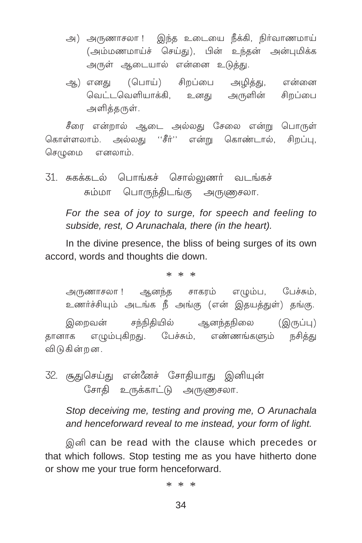- அ) அருணாசலா ! இந்த உடையை நீக்கி, நிர்வாணமாய் (அம்மணமாய்ச் செய்து), பின் உந்தன் அன்புமிக்க அருள் ஆடையால் என்னை உடுத்து.
- ஆ) எனது (பொய்) சிறப்பை அழித்து, என்னை வெட்டவெளியாக்கி, உனது அருளின் சிறப்பை அளித்தருள்.

சீரை என்றால் ஆடை அல்லது சேலை என்று பொருள் கொள்ளலாம். அல்லது ''சீர்'' என்று கொண்டால், சிறப்பு, செமுமை எனலாம்.

31. சுகக்கடல் பொங்கச் சொல்லுணர் வடங்கச் சும்மா பொருந்திடங்கு அருணுசலா.

For the sea of joy to surge, for speech and feeling to subside, rest, O Arunachala, there (in the heart).

In the divine presence, the bliss of being surges of its own accord, words and thoughts die down.

 $* * *$ 

அருணாசலா ! ஆனந்த சாகரம் எழும்ப, பேச்சும், உணர்ச்சியும் அடங்க நீ அங்கு (என் இதயத்துள்) தங்கு. சந்நிதியில் ஆனந்தநிலை (இருப்பு) இறைவன் தானாக எழும்புகிறது. பேச்சும், எண்ணங்களும் நசித்து விடுகின்றன.

32. சூதுசெய்து என்னேச் சோதியாது இனியுன் சோதி உருக்காட்டு அருணுசலா.

Stop deceiving me, testing and proving me, O Arunachala and henceforward reveal to me instead, your form of light.

இனி can be read with the clause which precedes or that which follows. Stop testing me as you have hitherto done or show me your true form henceforward.

 $* * *$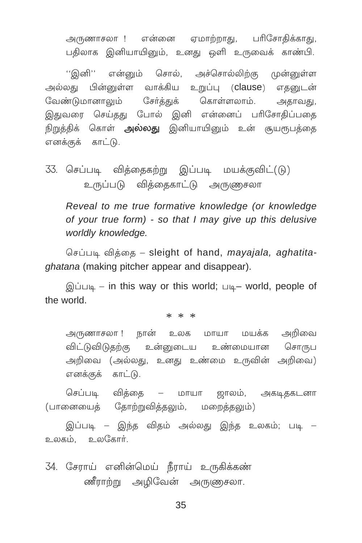அருணாசலா ! என்னை ஏமாற்றாது, பரிசோதிக்காது, பதிலாக இனியாயினும், உனது ஒளி உருவைக் காண்பி.

''இனி'' என்னும் சொல், அச்சொல்லிற்கு முன்னுள்ள அல்லது பின்னுள்ள வாக்கிய உறுப்பு (**clause**) எதனுடன் வேண்டுமானாலும் சேர்த்துக் கொள்ளலாம். அதாவது, இதுவரை செய்தது போல் இனி என்னைப் பரிசோதிப்பதை நிறுத்திக் கொள் **அல்லது** இனியாயினும் உன் சூயரூபத்தை எனக்குக் காட்டு.

33. செப்படி வித்தைகற்று இப்படி மயக்குவிட்(டு) உருப்படு வித்தைகாட்டு அருணுசலா

Reveal to me true formative knowledge (or knowledge of your true form) - so that I may give up this delusive worldly knowledge.

செப்படி விக்கை – sleight of hand, mayajala, aghatita*chatana* (making pitcher appear and disappear).

இப்படி – in this way or this world; படி– world, people of the world.

 $* * *$ 

அருணாசலா ! நான் உலக மாயா மயக்க அறிவை விட்டுவிடுகற்கு உன்னடைய உண்மையான சொருப அறிவை (அல்லது, உனது உண்மை உருவின் அறிவை) எனக்குக் காட்டு.

செப்படி விக்கை — மாயா ஜாலம், அகடிதகடனா (பானையைத் தோற்றுவித்தலும், மறைத்தலும்)

இப்படி – இந்த விதம் அல்லது இந்த உலகம்; படி – உலகம், உலகோர்.

34. சேராய் எனின்மெய் நீராய் உருகிக்கண் ணீராற்று அழிவேன் அருணுசலா.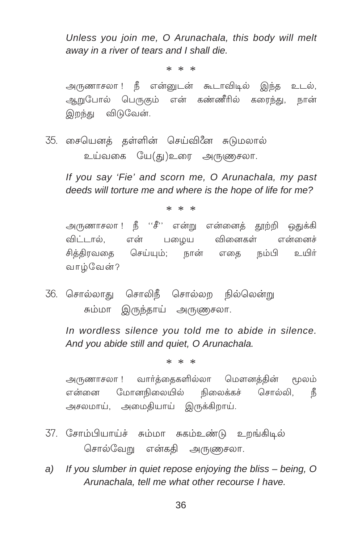Unless you join me, O Arunachala, this body will melt away in a river of tears and I shall die.

 $* * *$ 

அருணாசலா ! நீ என்னுடன் கூடாவிடில் இந்த உடல், ஆறுபோல் பெருகும் என் கண்ணீரில் கரைந்து, நான் இறந்து விடுவேன்.

35. சையெனத் தள்ளின் செய்வினே சுடுமலால் உய்வகை யே(து)உரை அருணுசலா.

If you say 'Fie' and scorn me, O Arunachala, my past deeds will torture me and where is the hope of life for me?

 $* * *$ 

அருணாசலா ! நீ ''சீ'' என்று என்னைத் தூற்றி ஒதுக்கி விட்டால். என் பமைய வினைகள் என்னைச் சித்திரவதை செய்யும்; நான் எதை நம்பி உயிர் வாழ்வேன்?

36. சொல்லாது சொலிநீ சொல்லற நில்லென்று சும்மா இருந்தாய் அருணுசலா.

In wordless silence you told me to abide in silence. And you abide still and quiet, O Arunachala.

 $* * *$ 

அருணாசலா ! வார்த்தைகளில்லா மௌனத்தின் மூலம் என்னை மோனநிலையில் நிலைக்கச் சொல்லி, நீ அசலமாய், அமைதியாய் இருக்கிறாய்.

- 37. சோம்பியாய்ச் சும்மா சுகம்உண்டு உறங்கிடில் சொல்வேறு என்கதி அருணுசலா.
- a) If you slumber in quiet repose enjoving the bliss being. O Arunachala, tell me what other recourse I have.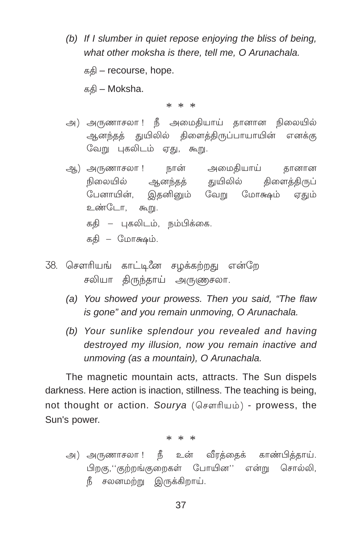*(b) If I slumber in quiet repose enjoying the bliss of being, what other moksha is there, tell me, O Arunachala.*

 $a$ க்கி – recourse, hope.

 $a_n = M$ oksha.

\* \* \*

- அ) அருணாசலா ! நீ அமைதியாய் தானான நிலையில் ஆனந்தத் துயிலில் திளைத்திருப்பாயாயின் எனக்கு வேறு புகலிடம் ஏது, கூறு.
- ஆ) அருணாசலா ! நான் அமைதியாய் தானான நிலையில் ஆனந்தத் துயிலில் திளைத்திருப் ேடனாயின், இதனினும் வேறு மோக்ஷம் ஏதும் உண்டோ, கூறு. கதி – புகலிடம், நம்பிக்கை. கதி – மோக்ஷம்.
- 38. சௌரியங் காட்டி*னே* சழக்கற்றது என்றே சலியா திருந்தாய் அருணுசலா.
	- *(a) You showed your prowess. Then you said, "The flaw is gone" and you remain unmoving, O Arunachala.*
	- *(b) Your sunlike splendour you revealed and having destroyed my illusion, now you remain inactive and unmoving (as a mountain), O Arunachala.*

The magnetic mountain acts, attracts. The Sun dispels darkness. Here action is inaction, stillness. The teaching is being, not thought or action. *Sourya* (கௌரியம்) - prowess, the Sun's power.

\* \* \*

அ) அருணாசலா ! நீ உன் வீரத்தைக் காண்பித்தாய். பிறகு,''குற்றங்குறைகள் போயின'' என்று சொல்லி,  ${}^{\mathbf{f}}$  சலனமற்று இருக்கிறாய்.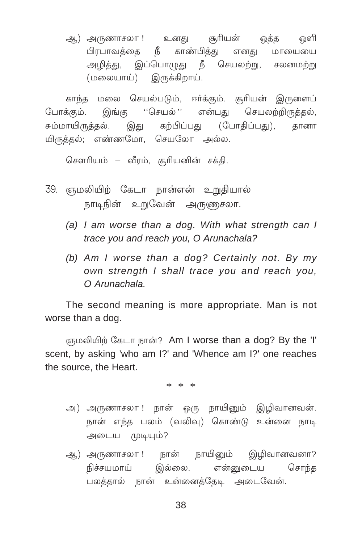ஆ) அருணாசலா ! உனது சூரியன் ஒத்த ஒளி பிரபாவத்தை நீ காண்பித்து எனது மாயையை அழித்து, இப்பொழுது நீ செயலற்று, சலனமற்று (மலையாய்) இருக்கிறாய்.

காந்த மலை செயல்படும், ஈா்க்கும். சூாியன் இருளைப் போக்கும். இங்கு ''செயல்'' என்பது செயலற்றிருத்தல், சும்மாயிருத்தல். இது கற்பிப்பது (போதிப்பது), தானா யிருத்தல்; எண்ணமோ, செயலோ அல்ல.

சௌரியம் − வீரம், சூரியனின் சக்கி.

- 39. ஞமலியிற் கேடா நான்என் உறுதியால் நாடிநின் உறுவேன் அருணுசலா.
	- *(a) I am worse than a dog. With what strength can I trace you and reach you, O Arunachala?*
	- *(b) Am I worse than a dog? Certainly not. By my own strength I shall trace you and reach you, O Arunachala.*

The second meaning is more appropriate. Man is not worse than a dog.

ஞமலியிற் கேடா நான்? Am I worse than a dog? By the 'I' scent, by asking 'who am I?' and 'Whence am I?' one reaches the source, the Heart.

- அ) அருணாசலா ! நான் ஒரு நாயினும் இழிவானவன். நான் எந்த பலம் (வலிவு) கொண்டு உன்னை நாடி அடைய முடியும்?
- ஆ) அருணாசலா ! நான் நாயினும் இழிவானவனா? நிச்சயமாய் இல்லை. என்னுடைய சொந்த பலத்தால் நான் உன்னைத்தேடி அடைவேன்.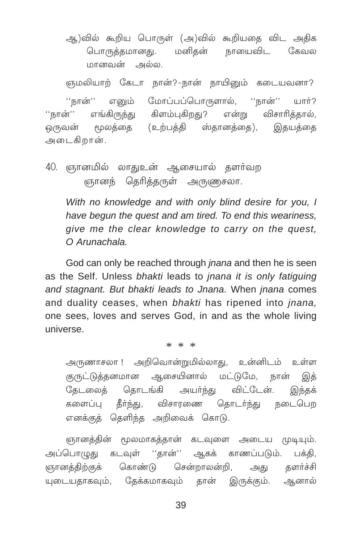ஆ)வில் கூறிய பொருள் (அ)வில் கூறியதை விட அதிக பொருக்கமானகு. மனிகன் நாயைவிட  $(350)$ மானவன் அல்ல.

ஞமலியாற் கேடா நான்?-நான் நாயினும் கடையவனா?

எனும் மோப்பப்பொருளால், ''நான்'' ் நான் $"$ யார்? எங்கிருந்து கிளம்புகிறது? என்று விசாரித்தால், ''நான்'' ஒருவன் மூலக்கை (உற்பத்தி ஸ்தானத்தை), இதயத்தை அடைகிறான்.

40. ஞானமில் லாதுஉன் ஆசையால் தளர்வற ஞானந் தெரித்தருள் அருணுசலா.

With no knowledge and with only blind desire for you, I have begun the quest and am tired. To end this weariness, give me the clear knowledge to carry on the quest. O Arunachala.

God can only be reached through *jnana* and then he is seen as the Self. Unless bhakti leads to jnana it is only fatiguing and stagnant. But bhakti leads to Jnana. When jnana comes and duality ceases, when bhakti has ripened into inana. one sees, loves and serves God, in and as the whole living universe

 $* * *$ 

அருணாசலா ! அறிவொன்றுமில்லாது, உன்னிடம் உள்ள குருட்டுத்தனமான ஆசையினால் மட்டுமே, நான் இக் தேடலைத் தொடங்கி அயர்ந்து விட்டேன். இந்தக் களைப்பு தீர்ந்து, விசாரணை தொடர்ந்து நடைபெற எனக்குத் தெளிந்த அறிவைக் கொடு.

ஞானத்தின் மூலமாகத்தான் கடவுளை அடைய முடியும். அப்பொமுது கடவுள் ''கான்'' ஆகக் காணப்படும். பக்கி, ஞானத்திற்குக் கொண்டு சென்றாலன்றி. களர்ச்சி அகு யுடையதாகவும், தேக்கமாகவும் தான் இருக்கும். ஆனால்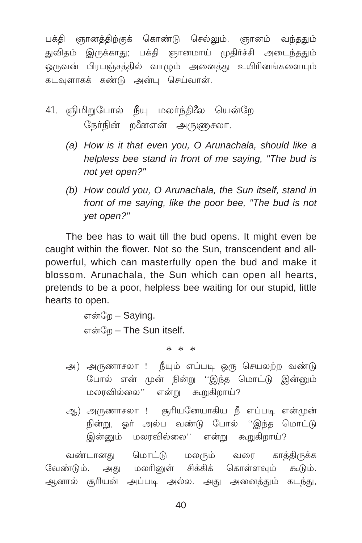பக்தி ஞானத்திற்குக் கொண்டு செல்லும். ஞானம் வந்ததும் துவிதம் இருக்காது; பக்தி ஞானமாய் முதிர்ச்சி அடைந்ததும் ஒருவன் பிரபஞ்சத்தில் வாமும் அனைத்து உயிரினங்களையும் கடவுளாகக் கண்டு அன்பு செய்வான்.

- 41. ஞிமிறுபோல் நீயு மலர்ந்திலே யென்றே நேர்நின் றனேஎன் அருணுசலா.
	- (a) How is it that even you, O Arunachala, should like a helpless bee stand in front of me saying. "The bud is not yet open?"
	- (b) How could you, O Arunachala, the Sun itself, stand in front of me saying, like the poor bee, "The bud is not yet open?"

The bee has to wait till the bud opens. It might even be caught within the flower. Not so the Sun, transcendent and allpowerful, which can masterfully open the bud and make it blossom. Arunachala, the Sun which can open all hearts, pretends to be a poor, helpless bee waiting for our stupid, little hearts to open.

```
என்றே – Saving.
என்றே - The Sun itself.
```
 $* * *$ 

- அ) அருணாசலா ! நீயும் எப்படி ஒரு செயலற்ற வண்டு போல் என் முன் நின்று ''இந்த மொட்டு இன்னும் மலரவில்லை'' என்று கூறுகிறாய்?
- ஆ) அருணாசலா ! சூரியனேயாகிய நீ எப்படி என்முன் நின்று, ஒர் அல்ப வண்டு போல் ''இந்த மொட்டு இன்னும் மலரவில்லை'' என்று கூறுகிறாய்?

வண்டானது மொட்டு மலரும் வரை காக்கிருக்க வேண்டும். அது மலரினுள் சிக்கிக் கொள்ளவும் கூடும். ஆனால் சூரியன் அப்படி அல்ல. அது அனைத்தும் கடந்து,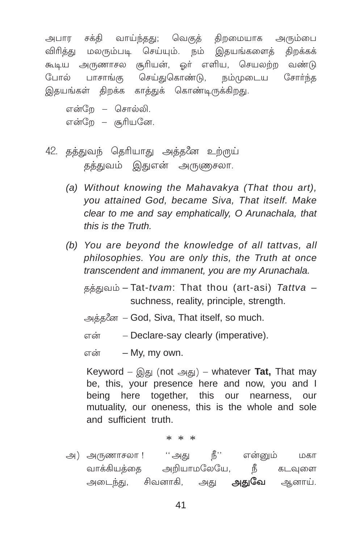அபார சக்தி வாய்ந்தது; வெகுத் திறமையாக அரும்பை விரித்து மலரும்படி செய்யும். நம் இதயங்களைத் கிறக்கக் கூடிய அருணாசல சூரியன், ஒர் எளிய, செயலற்ற வண்டு பாசாங்கு செய்துகொண்டு, நம்முடைய சோர்ந்த போல் இதயங்கள் கிறக்க காக்குக் கொண்டிருக்கிறது.

என்றே – சொல்லி. என்றே – சூரியனே.

- 42. தத்துவந் தெரியாது அத்தனே உற்ருய் தத்துவம் இதுஎன் அருணுசலா.
	- (a) Without knowing the Mahavakya (That thou art). you attained God, became Siva, That itself. Make clear to me and say emphatically, O Arunachala, that this is the Truth
	- (b) You are bevond the knowledge of all tattvas, all philosophies. You are only this, the Truth at once transcendent and immanent, you are my Arunachala.

தத்துவம் - Tat-tvam: That thou (art-asi) Tattva suchness, reality, principle, strenath.

அத்தனே – God, Siva, That itself, so much.

என் - Declare-say clearly (imperative).

 $\pi \dot{\sigma}$  - My my own.

Keyword –  $\text{Q}(\mathcal{B})$  (not  $\text{Q}(\mathcal{B})$ ) – whatever Tat, That may be, this, your presence here and now, you and I being here together, this our nearness, our mutuality, our oneness, this is the whole and sole and sufficient truth.

 $* * *$ 

அ) அருணாசலா ! ''அது நீ'' என்னும் மகா வாக்கியத்தை அறியாமலேயே, நீ கடவுளை அடைந்து, சிவனாகி, அது **அதுவே** ஆனாய்.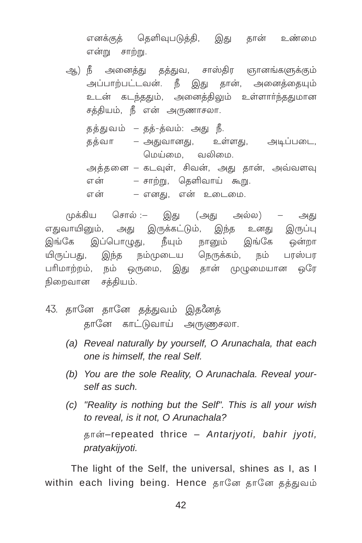எனக்குத் தெளிவுபடுத்தி, இது தான் உண்மை என்று சாற்று.

- ஆ) நீ அனைத்து தத்துவ, சாஸ்திர ஞானங்களுக்கும் அப்பாற்பட்டவன். நீ இது தான், அனைத்தையும் உடன் கடந்ததும், அனைத்திலும் உள்ளார்ந்ததுமான சத்தியம், நீ என் அருணாசலா. தத்துவம் – தத்-த்வம்: அது நீ.
	- தத்வா அதுவானது, உள்ளது, அடிப்படை, மெய்மை வலிமை

அத்தனை – கடவுள், சிவன், அது தான், அவ்வளவு என் – சாற்று, தெளிவாய் கூறு. – எனது, என் உடைமை. என்

முக்கிய சொல் :– இது (அது அல்ல) – அது எதுவாயினும், அது இருக்கட்டும், இந்த உனது இருப்பு இங்கே இப்பொழுது, நீயும் நானும் இங்கே ஒன்றா யிருப்பது, இந்த நம்முடைய நெருக்கம், நம் பரஸ்பர பரிமாற்றம், நம் ஒருமை, இது தான் முழுமையான ஒரே நிறைவான சத்தியம்.

- 43. தானே தானே தத்துவம் இதனேத் தானே காட்டுவாய் அருணுசலா.
	- (a) Reveal naturally by yourself, O Arunachala, that each one is himself, the real Self.
	- (b) You are the sole Reality, O Arunachala. Reveal yourself as such.
	- (c) "Reality is nothing but the Self". This is all your wish to reveal, is it not. O Arunachala? தான்-repeated thrice - Antarjyoti, bahir jyoti, pratyakijyoti.

The light of the Self, the universal, shines as I, as I within each living being. Hence தானே தானே தத்துவம்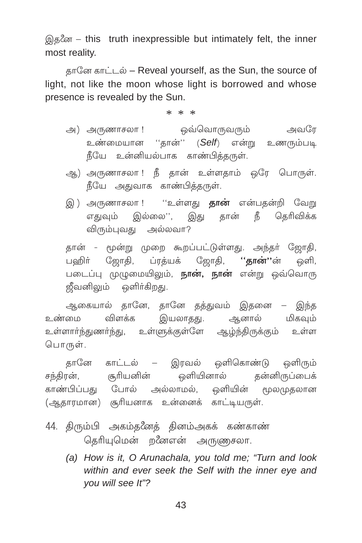இதனே – this truth inexpressible but intimately felt, the inner most reality.

தானே காட்டல் – Reveal yourself, as the Sun, the source of light, not like the moon whose light is borrowed and whose presence is revealed by the Sun.

 $* * *$ 

- அ) அருணாசலா ! ஒவ்வொருவரும் அவரே உண்மையான ''தான்'' (Self) என்று உணரும்படி நீயே உன்னியல்பாக காண்பித்தருள்.
- ஆ) அருணாசலா ! நீ தான் உள்ளதாம் ஒரே பொருள். நீயே அதுவாக காண்பித்தருள்.
- இ) அருணாசலா !''உள்ளது **தான்** என்பதன்றி வேறு எதுவும் இல்லை'', இது தான் நீ தெரிவிக்க விரும்புவது அல்லவா?

தான் - மூன்று முறை கூறப்பட்டுள்ளது. அந்தர் ஜோதி, பஹிா் ஜோதி, ப்ரத்யக் ஜோதி, '**'தான்''**ன் ஒளி, படைப்பு முழுமையிலும், **நான், நான்** என்று ஒவ்வொரு ஜீவனிலும் ஒளிர்கிறது.

ஆகையால் தானே, தானே தத்துவம் இதனை – இந்த உண்மை விளக்க இயலாதது. ஆனால் மிகவும்<br>உள்ளாா்ந்துணா்ந்து, உள்ளுக்குள்ளே ஆழ்ந்திருக்கும் உள்ள பொருள்.

தானே காட்டல் — இரவல் ஒளிகொண்டு ஒளிரும் சந்திரன், சூரியனின் ஒளியினால் தன்னிருப்பைக் காண்பிப்பகு போல் அல்லாமல். ஒளியின் மூலமுகலான (ஆதாரமான) சூரியனாக உன்னைக் காட்டியருள்.

- 44. திரும்பி அகம்தனேத் தினம்அகக் கண்காண் தெரியுமென் றீனஎன் அருணுசலா.
	- (a) How is it, O Arunachala, you told me; "Turn and look within and ever seek the Self with the inner eye and you will see It"?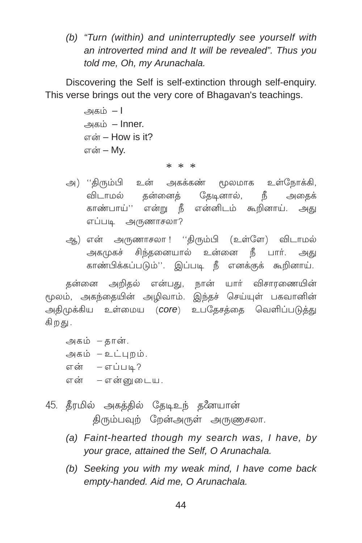(b) "Turn (within) and uninterruptedly see yourself with an introverted mind and It will be revealed". Thus you told me, Oh, my Arunachala.

Discovering the Self is self-extinction through self-enquiry. This verse brings out the very core of Bhagavan's teachings.

> அகம் – l அகம் – Inner.  $\sigma$ ன் – How is it? என் – Mv.

#### $* * *$

- அ) ''திரும்பி உன் அகக்கண் மூலமாக உள்நோக்கி, விடாமல் தன்னைத் தேடினால், நீ அதைக் .<br>காண்பாய்'' என்று நீ என்னிடம் கூறினாய். அது எப்படி அருணாசலா?
- ஆ) என் அருணாசலா ! ''திரும்பி (உள்ளே) விடாமல் அகமுகச் சிந்தனையால் உன்னை நீ பார். அது காண்பிக்கப்படும்''. இப்படி நீ எனக்குக் கூறினாய்.

கன்னை அறிகல் என்பது, நான் யார் விசாரணையின் மூலம், அகந்தையின் அழிவாம். இந்தச் செய்யுள் பகவானின் அதிமுக்கிய உள்மைய (COre) உபதேசத்தை வெளிப்படுத்து கிறது.

- அகம் தான். அகம் –உட்புறம். என் – எப்படி? என் – என்னுடைய.
- 45. கீரமில் அகக்கில் தேடிஉந் த*ீ*னயான் திரும்பவுற் றேன்அருள் அருணுசலா.
	- (a) Faint-hearted though my search was, I have, by your grace, attained the Self, O Arunachala.
	- (b) Seeking you with my weak mind, I have come back empty-handed. Aid me, O Arunachala.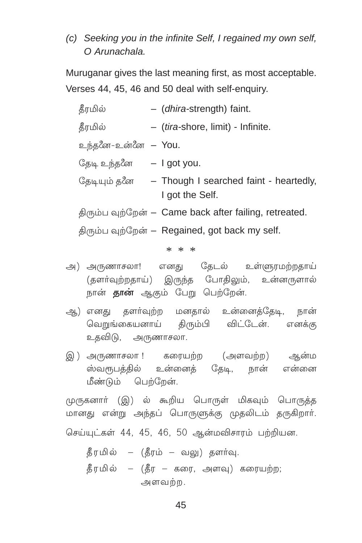(c) Seeking you in the infinite Self. I regained my own self. O Arunachala.

Muruganar gives the last meaning first, as most acceptable. Verses 44, 45, 46 and 50 deal with self-enguiry.

| தீரமில்                                  | - (dhira-strength) faint.                                                   |
|------------------------------------------|-----------------------------------------------------------------------------|
| தீரமில்                                  | - (tira-shore, limit) - Infinite.                                           |
| உந்தனே-உன்னே <b>– You</b> .              |                                                                             |
| தேடி உந்த <i>ீ</i> ன        — I got you. |                                                                             |
|                                          | தேடியும் தீன      – Though I searched faint - heartedly,<br>I got the Self. |
|                                          | திரும்ப வுற்றேன் – Came back after failing, retreated.                      |
|                                          | திரும்ப வுற்றேன் – Regained, got back my self.                              |

 $* * *$ 

- அ) அருணாசலா! எனது தேடல் உள்ளுரமற்றதாய் (தளர்வுற்றதாய்) இருந்த போதிலும், உன்னருளால் நான் **தான்** ஆகும் பேறு பெற்றேன்.
- ஆ) எனது தளர்வுற்ற மனதால் உன்னைத்தேடி, நான் வெறுங்கையனாய் திரும்பி விட்டேன். எனக்கு உதவிடு, அருணாசலா.
- இ) அருணாசலா ! கரையற்ற (அளவற்ற) ஆன்ம ஸ்வரூபத்தில் உன்னைத் தேடி, நான் என்னை மீண்டும் பெற்றேன்.

முருகனார் (இ) ல் கூறிய பொருள் மிகவும் பொருத்த மானது என்று அந்தப் பொருளுக்கு முதலிடம் தருகிறார். செய்யுட்கள் 44, 45, 46, 50 ஆன்மவிசாரம் பற்றியன.

தீரமில் – (தீரம் – வலு) தளர்வு.  $\frac{3}{2}$ ரமில் – (தீர – கரை, அளவு) கரையற்ற; அளவற்ற.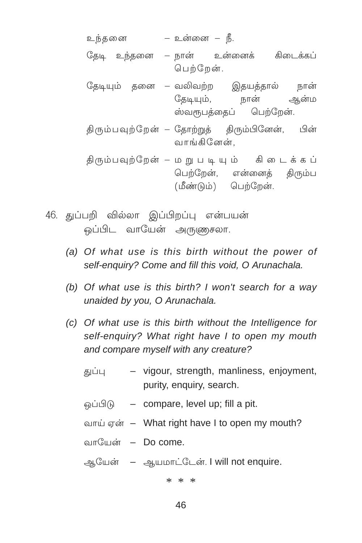- 46. துப்பறி வில்லா இப்பிறப்பு என்பயன் ஒப்பிட வாயேன் அருணுசலா.
	- (a) Of what use is this birth without the power of self-enquiry? Come and fill this void, O Arunachala.
	- (b) Of what use is this birth? I won't search for a way unaided by you. O Arunachala.
	- (c) Of what use is this birth without the Intelligence for self-enguiry? What right have I to open my mouth and compare myself with any creature?
		- vigour, strength, manliness, enjoyment, துப்பு purity, enquiry, search.
		- வப்பிடு compare, level up; fill a pit.
		- வாய் என் What right have I to open my mouth?
		- வாயேன் Do come.
		- ஆயேன் ஆயமாட்டேன். I will not enquire.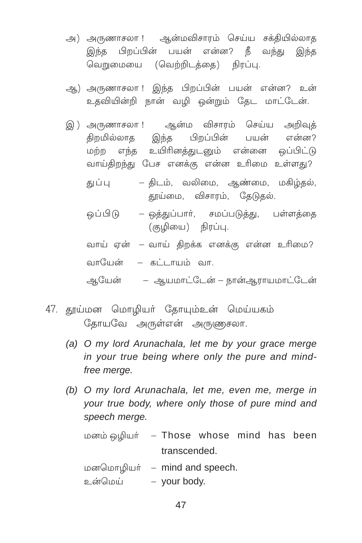- அ) அருணாசலா ! ஆன்மவிசாரம் செய்ய சக்தியில்லாத இந்த பிறப்பின் பயன் என்ன? நீ வந்து இந்த வெறுமையை (வெற்றிடத்தை) நிரப்பு.
- ஆ) அருணாசலா ! இந்த பிறப்பின் பயன் என்ன? உன் உதவியின்றி நான் வழி ஒன்றும் தேட மாட்டேன்.
- இ) அருணாசலா ! ஆன்ம விசாரம் செய்ய அறிவக் திறமில்லாத இந்த பிறப்பின் பயன் என்ன? மற்ற எந்த உயிரினத்துடனும் என்னை ஒப்பிட்டு வாய்திறந்து பேச எனக்கு என்ன உரிமை உள்ளது?
	- திடம், வலிமை, ஆண்மை, மகிழ்தல், துப்பு தூய்மை, விசாரம், தேடுதல்.
	- ஒப்பிடு ஒத்துப்பார், சமப்படுத்து, பள்ளத்தை (குழியை) நிரப்பு.
	- வாய் ஏன் வாய் திறக்க எனக்கு என்ன உரிமை?

வாயேன் – கட்டாயம் வா.

ஆயேன் – ஆயமாட்டேன் – நான்ஆராயமாட்டேன்

- 47. தூய்மன மொழியா் தோயும்உன் மெய்யகம் தோயவே அருள்என் அருணுசலா.
	- (a) O my lord Arunachala, let me by your grace merge in your true being where only the pure and mindfree merge.
	- (b) O my lord Arunachala, let me, even me, merge in vour true body, where only those of pure mind and speech merge.

| மனம் ஒழியர் – Those whose mind has been |              |  |  |
|-----------------------------------------|--------------|--|--|
|                                         | transcended. |  |  |

மனமொழியர் – mind and speech.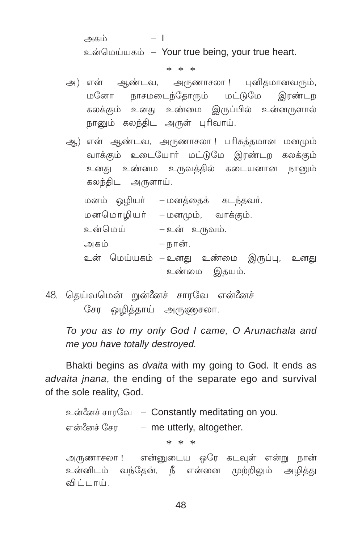அகம்  $-1$ உன்மெய்யகம் – Your true being, your true heart.

 $* * *$ 

- அ) என் ஆண்டவ, அருணாசலா ! புனிதமானவரும், மனோ நாசமடைந்தோரும் மட்டுமே இரண்டா கலக்கும் உனது உண்மை இருப்பில் உன்னருளால் நானும் கலந்திட அருள் புரிவாய்.
- ஆ) என் ஆண்டவ, அருணாசலா! பரிசுத்தமான மனமும் வாக்கும் உடையோா் மட்டுமே இரண்டற கலக்கும் உனது உண்மை உருவத்தில் கடையனான நானும் கலந்திட அருளாய்.

மனம் ஒழியர் – மனத்தைக் கடந்தவர். மனமொமியர் – மனமும், வாக்கும். உன்மெய் – உன் உருவம். — நான். அகம் உன் மெய்யகம் –உனது உண்மை இருப்பு, உனது உண்மை இதயம்.

48. தெய்வமென் றுன்னேச் சாரவே என்னேச் சேர ஒழித்தாய் அருணுசலா.

To you as to my only God I came, O Arunachala and me you have totally destroyed.

Bhakti begins as *dvaita* with my going to God. It ends as advaita inana, the ending of the separate ego and survival of the sole reality, God.

உன்னேச் சாரவே – Constantly meditating on you. என்னேச் சேர — me utterly, altogether.  $* * *$ அருணாசலா ! என்னுடைய ஒரே கடவுள் என்று நான் உன்னிடம் வந்தேன், நீ என்னை முற்றிலும் அழித்து விட்டாய்.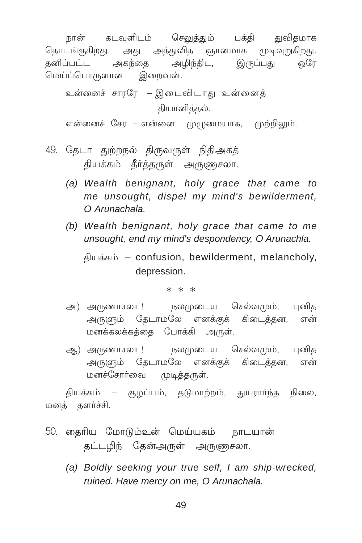நான் கடவுளிடம் செலுத்தும் பக்தி துவிதமாக தொடங்குகிறது. அது அத்துவித ஞானமாக முடிவுறுகிறது. தனிப்பட்ட அகந்தை அழிந்திட, இருப்பது ெரே மெய்ப்பொருளான இறைவன்.

உன்னைச் சாரரே – இடைவிடாது உன்னைக் கியானிக்கல்.

என்னைச் சேர – என்னை முழுமையாக, முற்றிலும்.

- 49. தேடா துற்றநல் திருவருள் நிதிஅகத் தியக்கம் தீர்த்தருள் அருணுசலா.
	- (a) Wealth benignant, holy grace that came to me unsought, dispel my mind's bewilderment, O Arunachala.
	- (b) Wealth benignant, holy grace that came to me unsought, end my mind's despondency, O Arunachla.

தியக்கம் - confusion, bewilderment, melancholy, depression.

 $* * *$ 

- அ) அருணாசலா ! நலமுடைய செல்வமும், புனித அருளும் தேடாமலே எனக்குக் கிடைத்தன, என் மனக்கலக்கக்கை போக்கி அருள்.
- ஆ) அருணாசலா ! நலமுடைய செல்வமும், புனித அருளும் தேடாமலே எனக்குக் கிடைக்கன, என் மனச்சோர்வை முடித்தருள்.

தியக்கம் – குழப்பம், தடுமாற்றம், துயராா்ந்த நிலை, மனத் தளர்ச்சி.

- 50. தைரிய மோடும்உன் மெய்யகம் நாடயான் தட்டழிந் தேன்அருள் அருணுசலா.
	- (a) Boldly seeking your true self, I am ship-wrecked, ruined. Have mercy on me. O Arunachala.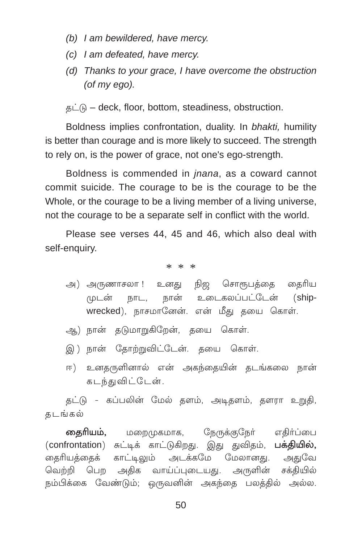- (b) I am bewildered, have mercy.
- (c) I am defeated, have mercy.
- (d) Thanks to your grace. I have overcome the obstruction  $($ of mv eao $).$

தட்டு – deck, floor, bottom, steadiness, obstruction.

Boldness implies confrontation, duality. In bhakti, humility is better than courage and is more likely to succeed. The strength to rely on, is the power of grace, not one's ego-strength.

Boldness is commended in *jnana*, as a coward cannot commit suicide. The courage to be is the courage to be the Whole, or the courage to be a living member of a living universe, not the courage to be a separate self in conflict with the world.

Please see verses 44, 45 and 46, which also deal with self-enquiry.

\* \* \*

- நிஜ சொரூபத்தை தைரிய அ) அருணாசலா ! உனகு நான் உடைகலப்பட்டேன் முடன் நாட. (shipwrecked), நாசமானேன். என் மீது தயை கொள்.
- ஆ) நான் தடுமாறுகிறேன், தயை கொள்.
- இ) நான் தோற்றுவிட்டேன். தயை கொள்.
- ஈ) உனதருளினால் என் அகந்தையின் தடங்கலை நான் கடந்துவிட்டேன்.

தட்டு - கப்பலின் மேல் தளம், அடிதளம், தளரா உறுதி, கடங்கல்

தைரியம், நேருக்குநேர் எதிர்ப்பை மறை/மகமாக, (confrontation) சுட்டிக் காட்டுகிறது. இது துவிதம், பக்தியில், தைரியத்தைக் காட்டிலும் அடக்கமே மேலானது. அதுவே வெற்றி பெற அதிக வாய்ப்புடையது. அருளின் சக்தியில் நம்பிக்கை வேண்டும்; ஒருவனின் அகந்தை பலத்தில் அல்ல.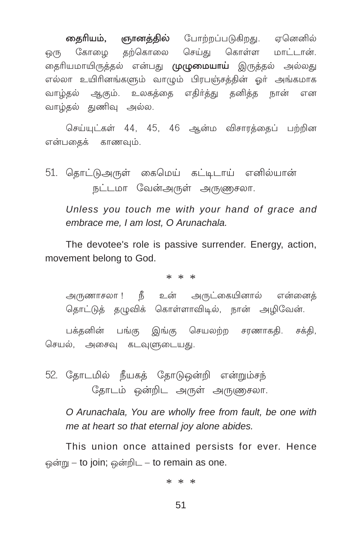**தைரியம், ஞானத்தில்** போற்றப்படுகிறது. ஏனெனில் கோழை தற்கொலை செய்து கொள்ள மாட்டான். ஒரு தைரியமாயிருத்தல் என்பது **முழுமையாய்** இருத்தல் அல்லது எல்லா உயிரினங்களும் வாழும் பிரபஞ்சத்தின் ஓர் அங்கமாக வாழ்தல் ஆகும். உலகத்தை எதிர்த்து தனித்த நான் என வாழ்தல் துணிவு அல்ல.

செய்யுட்கள் 44, 45, 46 ஆன்ம விசாரத்தைப் பற்றின என்பதைக் காணவும்.

51. தொட்டுஅருள் கைமெய் கட்டிடாய் எனில்யான் நட்டமா வேன்அருள் அருணுசலா.

Unless you touch me with your hand of grace and embrace me, I am lost, O Arunachala.

The devotee's role is passive surrender. Energy, action. movement belong to God.

 $* * *$ 

அருணாசலா ! நீ உன் அருட்கையினால் என்னைக் தொட்டுத் தழுவிக் கொள்ளாவிடில், நான் அமிவேன்.

பக்தனின் பங்கு இங்கு செயலற்ற சரணாகதி. சக்தி, செயல், அசைவு கடவுளுடையது.

52. தோடமில் நீயகத் தோடுஒன்றி என்றும்சந் தோடம் ஒன்றிட அருள் அருணுசலா.

O Arunachala. You are wholly free from fault, be one with me at heart so that eternal joy alone abides.

This union once attained persists for ever. Hence ஒன்று – to join; ஒன்றிட – to remain as one.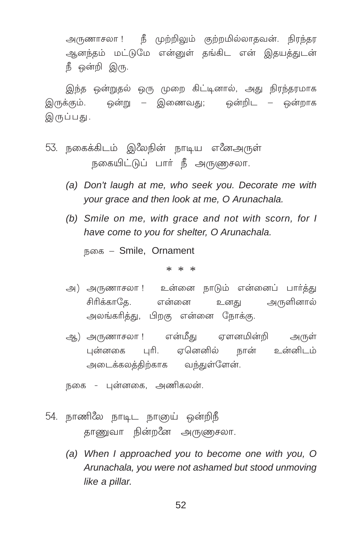அருணாசலா ! நீ முற்றிலும் குற்றமில்லாதவன். நிரந்தர ஆனந்தம் மட்டுமே என்னுள் தங்கிட என் இதயத்துடன் நீ ஒன்றி இரு.

இந்த ஒன்றுதல் ஒரு முறை கிட்டினால், அது நிரந்தரமாக இருக்கும். ஒன்று – இணைவது; ஒன்றிட – ஒன்றாக இருப்பது.

- 53. நகைக்கிடம் இஃமநின் நாடிய எஃனஅருள் நகையிட்டுப் பார் நீ அருணுசலா.
	- (a) Don't laugh at me, who seek you. Decorate me with your grace and then look at me, O Arunachala.
	- (b) Smile on me, with grace and not with scorn, for I have come to you for shelter, O Arunachala.

நகை – Smile, Ornament

\* \* \*

- அ) அருணாசலா ! உன்னை நாடும் என்னைப் பார்த்து .<br>சிரிக்காகே. என்னை உனது அருளினால் அலங்கரித்து, பிறகு என்னை நோக்கு.
- ஆ) அருணாசலா ! என்மீது ஏளனமின்றி அருள் புன்னகை புரி. ஏனெனில் நான் உன்னிடம் அடைக்கலத்திற்காக வந்துள்ளேன்.

நகை - புன்னகை, அணிகலன்.

- 54. நாணிலே நாடிட நாஞய் ஒன்றிநீ தாணுவா நின்றனே அருணுசலா.
	- (a) When I approached you to become one with you, O Arunachala, you were not ashamed but stood unmoving like a pillar.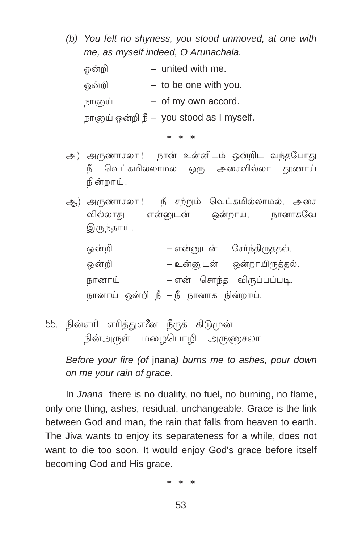*(b) You felt no shyness, you stood unmoved, at one with me, as myself indeed, O Arunachala.*

| ஒன்றி  | - united with me.                        |
|--------|------------------------------------------|
| ஒன்றி  | $-$ to be one with you.                  |
| நாளுய் | $-$ of my own accord.                    |
|        | நாகுய் ஒன்றி நீ – you stood as I myself. |

\* \* \*

- அ) அருணாசலா ! நான் உன்னிடம் ஒன்றிட வந்தபோது  ${}$ நீ வெட்கமில்லாமல் ஒரு அசைவில்லா தூணாய் நின்றாய்.
- ஆ) அருணாசலா ! நீ சற்றும் வெட்கமில்லாமல், அசை வில்லாது என்னுடன் ஒன்றாய், நானாகவே இருந்தாய்.

| ஒன்றி                                |  |  | – என்னுடன் சேர்ந்திருத்தல். |
|--------------------------------------|--|--|-----------------------------|
| ஒன்றி                                |  |  | – உன்னுடன் ஒன்றாயிருத்தல்.  |
| நானாய்                               |  |  | – என் சொந்த விருப்பப்படி.   |
| நானாய் ஒன்றி நீ — நீ நானாக நின்றாய். |  |  |                             |

55. நின்எரி எரித்துஎ∕ீன நீருக் கிடுமுன் நின்அருள் மழைபொழி அருணுசலா.

*Before your fire (of* jnana*) burns me to ashes, pour down on me your rain of grace.*

In *Jnana* there is no duality, no fuel, no burning, no flame, only one thing, ashes, residual, unchangeable. Grace is the link between God and man, the rain that falls from heaven to earth. The Jiva wants to enjoy its separateness for a while, does not want to die too soon. It would enjoy God's grace before itself becoming God and His grace.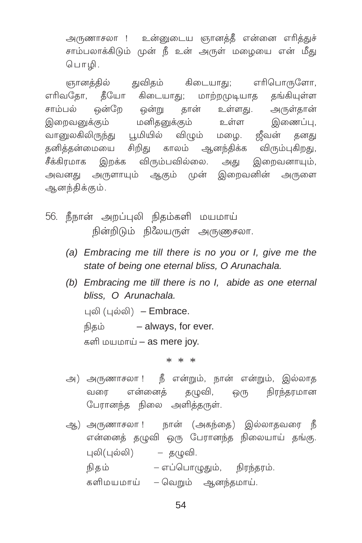அருணாசலா ! உன்னுடைய ஞானத்தீ என்னை எரித்துச் சாம்பலாக்கிடும் முன் நீ உன் அருள் மழையை என் மீது பொழி.

ஞானத்தில் துவிதம் கிடையாது; எரிபொருளோ, எரிவதோ, தீயோ கிடையாது; மாற்றமுடியாத கங்கியள்ள சாம்பல் ஒன்றே ஒன்று தான் உள்ளது. அருள்தான் உள்ள இறைவனுக்கும் மனிதனுக்கும் இணைப்பு, வானுலகிலிருந்து பூமியில் விழும் மழை. ஜீவன் தனது தனித்தன்மையை சிறிது காலம் ஆனந்திக்க விரும்புகிறது, சீக்கிரமாக இறக்க விரும்பவில்லை. அது இறைவனாயும், அவனது அருளாயும் ஆகும் முன் இறைவனின் அருளை ஆனந்திக்கும்.

- 56. நீநான் அறப்புலி நிதம்களி மயமாய் நின்றிடும் நிலேயருள் அருணுசலா.
	- (a) Embracing me till there is no you or I, give me the state of being one eternal bliss, O Arunachala.
	- (b) Embracing me till there is no I, abide as one eternal bliss, O Arunachala.

புலி  $($ புல்லி) – Embrace.

நிகம் – always, for ever.

களி மயமாய் – as mere joy.

- அ) அருணாசலா ! நீ என்றும், நான் என்றும், இல்லாத வரை என்னைத் தழுவி, ஒரு நிரந்தரமான பேரானந்த நிலை அளித்தருள்.
- ஆ) அருணாசலா ! நான் (அகந்தை) இல்லாதவரை நீ என்னைத் தழுவி ஒரு பேரானந்த நிலையாய் தங்கு. புலி(புல்லி) – தழுவி. நிதம் — எப்பொழுதும், நிரந்தரம். களிமயமாய் – வெறும் ஆனந்தமாய்.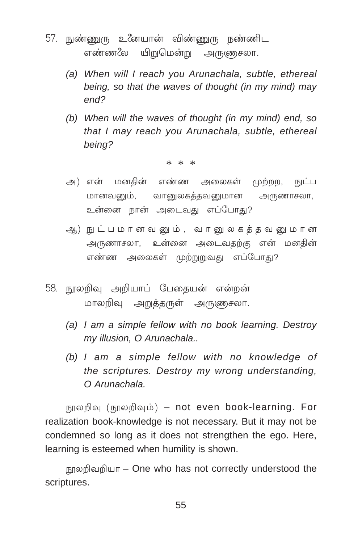- 57. நுண்ணுரு உனேயான் விண்ணுரு நண்ணிட என்ன& பிறுமென்று அருணுசலா.
	- *(a) When will I reach you Arunachala, subtle, ethereal being, so that the waves of thought (in my mind) may end?*
	- *(b) When will the waves of thought (in my mind) end, so that I may reach you Arunachala, subtle, ethereal being?*

\* \* \*

- அ) என் மனகின் எண்ண அலைகள் முற்றற, நுட்ப மானவனும், வானுலகத்தவனுமான அருணாசலா, உன்னை நான் அடைவது எப்போகு?
- ஆ) நுட்பமானவனும், வானுலகத்தவனுமான அருணாசலா, உன்னை அடைவதற்கு என் மனதின் எண்ண அலைகள் முற்றுறுவது எப்போது?
- 58. நூலறிவு அறியாப் பேதையன் என்றன் மாலறிவு அறுத்தருள் அருணுசலா.
	- *(a) I am a simple fellow with no book learning. Destroy my illusion, O Arunachala..*
	- *(b) I am a simple fellow with no knowledge of the scriptures. Destroy my wrong understanding, O Arunachala.*

நூலறிவு (நூலறிவும்) – not even book-learning. For realization book-knowledge is not necessary. But it may not be condemned so long as it does not strengthen the ego. Here, learning is esteemed when humility is shown.

நூலறிவறியா – One who has not correctly understood the scriptures.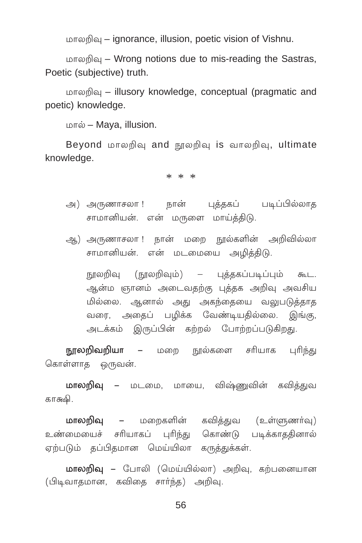மாலறிவு – ignorance, illusion, poetic vision of Vishnu.

மாலறிவு – Wrong notions due to mis-reading the Sastras, Poetic (subjective) truth.

மாலறிவு – illusory knowledge, conceptual (pragmatic and poetic) knowledge.

மால் - Maya, illusion.

Beyond மாலறிவு and நூலறிவு is வாலறிவு, ultimate knowledge.

 $* * *$ 

- அ) அருணாசலா ! நான் புத்தகப் படிப்பில்லாத சாமானியன். என் மருளை மாய்த்திடு.
- ஆ) அருணாசலா ! நான் மறை நூல்களின் அறிவில்லா சாமானியன். என் மடமையை அழித்திடு.

நூலறிவு (நூலறிவும்) – பக்ககப்படிப்பும் கூட. ஆன்ம ஞானம் அடைவதற்கு புத்தக அறிவு அவசிய மில்லை. ஆனால் அது அகந்தையை வலுபடுத்தாத வரை, அதைப் பழிக்க வேண்டியதில்லை. இங்கு, அடக்கம் இருப்பின் கற்றல் போற்றப்படுகிறது.

நூலறிவறியா – மறை நூல்களை சரியாக புரிந்து கொள்ளாத ஒருவன்.

மாலறிவு – மடமை, மாயை, விஷ்ணுவின் கவித்துவ காகூடு.

**மாலறிவ –** மறைகளின் கவிக்குவ (உள்ளுணர்வ) உண்மையைச் சரியாகப் புரிந்து கொண்டு படிக்காததினால் ஏற்படும் தப்பிதமான மெய்யிலா கருத்துக்கள்.

மாலறிவு – போலி (மெய்யில்லா) அறிவு, கற்பனையான (பிடிவாகமான, கவிதை சார்ந்த) அறிவு.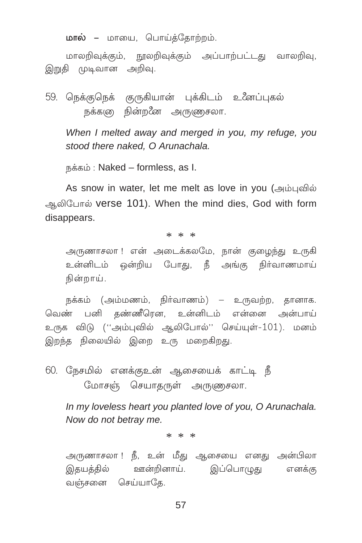**மால் –** மாயை, பொய்த்தோற்றம்.

மாலறிவுக்கும், நூலறிவுக்கும் அப்பாற்பட்டது வாலறிவு, இறுதி முடிவான அறிவு.

59. நெக்குநெக் குருகியான் புக்கிடம் உனேப்புகல் நக்களு நின்றனே அருணுசலா.

When I melted away and merged in you, my refuge, you stood there naked. O Arunachala.

நக்கம்: Naked – formless, as I.

As snow in water, let me melt as love in you (அம்புவில் ஆலிபோல் verse 101). When the mind dies, God with form disappears.

 $* * *$ 

அருணாசலா ! என் அடைக்கலமே, நான் குழைந்து உருகி உன்னிடம் ஒன்றிய போது, நீ அங்கு நிர்வாணமாய் நின்றாய்.

நக்கம் (அம்மணம், நிர்வாணம்) – உருவற்ற, தானாக. வெண் பனி தண்ணீரென, உன்னிடம் என்னை அன்பாய் உருக விடு (''அம்புவில் ஆலிபோல்'' செய்யுள்-101). மனம் இறந்த நிலையில் இறை உரு மறைகிறது.

60. நேசமில் எனக்குஉன் ஆசையைக் காட்டி நீ மோசஞ் செயாதருள் அருணுசலா.

In my loveless heart you planted love of you, O Arunachala. Now do not betray me.

 $* * *$ 

அருணாசலா ! நீ, உன் மீது ஆசையை எனது அன்பிலா இதயத்தில் ஊன்றினாய். இப்பொழுது எனக்கு வஞ்சனை செய்யாதே.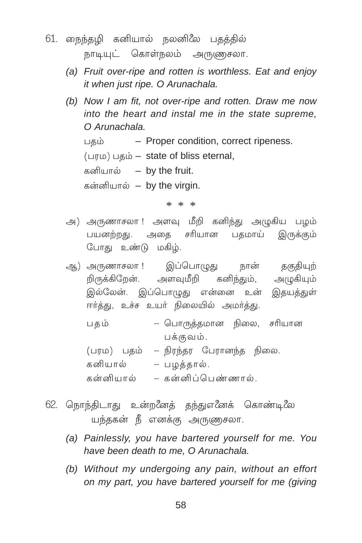- 61. நைந்தழி கனியால் நலனிலே பதத்தில் நாடியுட் கொள்நலம் அருணுசலா.
	- (a) Fruit over-ripe and rotten is worthless. Eat and enjoy it when just ripe. O Arunachala.
	- (b) Now I am fit, not over-ripe and rotten. Draw me now into the heart and instal me in the state supreme. O Arunachala.

- Proper condition, correct ripeness. பகம்

(பரம) பதம் – state of bliss eternal,

கனியால் – by the fruit.

கன்னியால் – by the virgin.

 $* * *$ 

அ) அருணாசலா !அளவு மீறி கனிந்து அழுகிய பழம் பயனற்றது. அதை சரியான பதமாய் இருக்கும் போது உண்டு மகிழ்.

ஆ) அருணாசலா ! இப்பொழுது நான் தகுதியுற் றிருக்கிறேன். அளவுமீறி கனிந்தும், அழுகியும் இல்லேன். இப்பொழுது என்னை உன் இதயத்துள் ஈர்த்து, உச்ச உயர் நிலையில் அமர்த்து.

– பொருத்தமான நிலை, சரியான பகம் பக்குவம்.

- (பரம) பதம் நிரந்தர பேரானந்த நிலை. கனியால் – பழத்தால். கன்னியால் – கன்னிப்பெண்ணால்.
- 62. நொந்திடாது உன்றனேத் தந்துஎனேக் கொண்டிலே யந்தகன் நீ எனக்கு அருணுசலா.
	- (a) Painlessly, you have bartered yourself for me. You have been death to me. O Arunachala.
	- (b) Without my undergoing any pain, without an effort on my part, you have bartered yourself for me (giving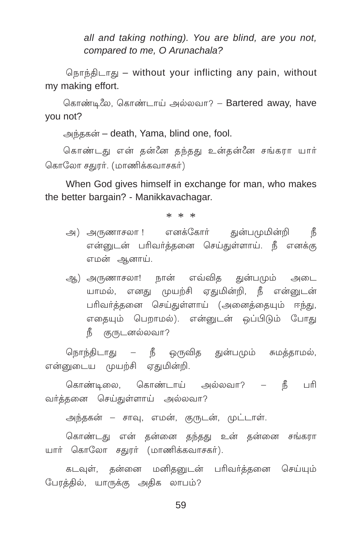all and taking nothing). You are blind, are you not, compared to me, O Arunachala?

நொந்திடாது – without your inflicting any pain, without my making effort.

கொண்டிலே, கொண்டாய் அல்லவா? – Bartered away, have you not?

அந்தகன் – death, Yama, blind one, fool.

கொண்டது என் தன்னே தந்தது உன்தன்னே சங்கரா யார் கொலோ சதுரர். (மாணிக்கவாசகர்)

When God gives himself in exchange for man, who makes the better bargain? - Manikkavachagar.

 $* * *$ 

- அ) அருணாசலா ! எனக்கோர் துன்பமுமின்றி நீ என்னுடன் பரிவர்த்தனை செய்துள்ளாய். நீ எனக்கு எமன் ஆனாய்.
- ஆ) அருணாசலா! நான் எவ்வித துன்பமும் அடை யாமல், எனது முயற்சி ஏதுமின்றி, நீ என்னுடன் பரிவர்க்கனை செய்குள்ளாய் (அனைக்கையம் ஈந்கு, எகையம் பௌமல்). என்டைன் ஒப்பிடும் போகு நீ குருடனல்லவா?

நொந்திடாது – நீ ஒருவித துன்பமும் சுமத்தாமல், என்னுடைய முயற்சி ஏதுமின்றி.

கொண்டிலை, கொண்டாய் அல்லவா? – நீ பரி வர்க்கனை செய்குள்ளாய் அல்லவா?

அந்தகன் – சாவு, எமன், குருடன், முட்டாள்.

கொண்டது என் தன்னை தந்தது உன் தன்னை சங்கரா யார் கொலோ சதுரர் (மாணிக்கவாசகர்).

கடவுள், தன்னை மனிதனுடன் பரிவர்த்தனை செய்யும் பேரத்தில், யாருக்கு அதிக லாபம்?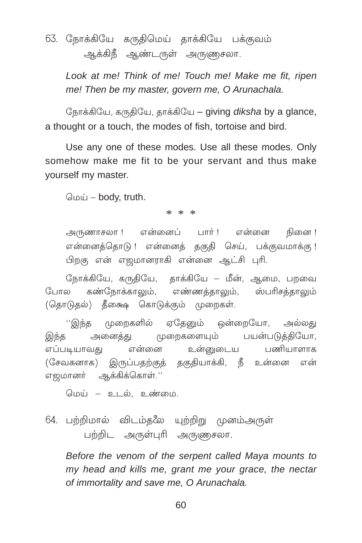# 63. நோக்கியே கருதிமெய் தாக்கியே பக்குவம் ஆக்கிநீ ஆண்டருள் அருணுசலா.

Look at me! Think of me! Touch me! Make me fit, ripen me! Then be my master, govern me, O Arunachala.

நோக்கியே, கருதியே, தாக்கியே – giving diksha by a glance, a thought or a touch, the modes of fish, tortoise and bird.

Use any one of these modes. Use all these modes. Only somehow make me fit to be your servant and thus make yourself my master.

மெய் – body, truth.

### $* * *$

அருணாசலா ! என்னைப் பார் ! என்னை நினை ! என்னைத்தொடு ! என்னைத் தகுதி செய், பக்குவமாக்கு ! பிறகு என் எஜமானராகி என்னை ஆட்சி புரி.

நோக்கியே, கருதியே, தாக்கியே – மீன், ஆமை, பறவை போல கண்நோக்காலும், எண்ணத்தாலும், ஸ்பரிசத்தாலும் (தொடுதல்) தீகைஷ கொடுக்கும் முறைகள்.

''இந்த முறைகளில் ஏதேனும் ஒன்றையோ, அல்லது அனைத்து முறைகளையும் பயன்படுத்தியோ, இந்த எப்படியாவது என்னை உன்னுடைய பணியாளாக (சேவகனாக) இருப்பதற்குத் தகுதியாக்கி, நீ உன்னை என் எஜமானா் ஆக்கிக்கொள்.''

மெய் – உடல், உண்மை,

64. பற்றிமால் விடம்தலே யுற்றிறு முனம்அருள் பற்றிட அருள்புரி அருணுசலா.

Before the venom of the serpent called Mava mounts to my head and kills me, grant me your grace, the nectar of immortality and save me, O Arunachala.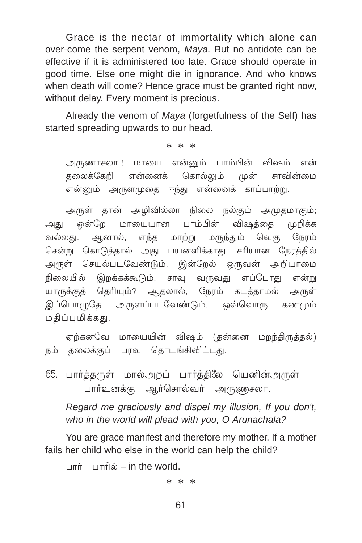Grace is the nectar of immortality which alone can over-come the serpent venom, Maya. But no antidote can be effective if it is administered too late. Grace should operate in good time. Else one might die in ignorance. And who knows when death will come? Hence grace must be granted right now, without delay. Every moment is precious.

Already the venom of Maya (forgetfulness of the Self) has started spreading upwards to our head.

 $* * *$ 

அருணாசலா ! மாயை என்னும் பாம்பின் விஷம் என் கலைக்கேறி என்னைக் கொல்லும் முன் சாவின்மை என்னும் அருளமுதை ஈந்து என்னைக் காப்பாற்று.

அருள் தான் அழிவில்லா நிலை நல்கும் அமுதமாகும்; ஒன்றே மாயையான பாம்பின் விஷக்கை மறிக்க அகுட ஆனால், எந்த மாற்று மருந்தும் வெகு நேரம் வல்லகு. சென்று கொடுக்கால் அது பயனளிக்காது. சரியான நேரத்தில் அருள் செயல்படவேண்டும். இன்றேல் ஒருவன் அறியாமை இறக்கக்கூடும். சாவு வருவது எப்போது என்று நிலையில் யாருக்குத் தெரியும்? ஆதலால், நேரம் கடத்தாமல் அருள் இப்பொமுதே அருளப்படவேண்டும். ஒவ்வொரு கணமும் மதிப்புமிக்கது.

ஏற்கனவே மாயையின் விஷம் (தன்னை மறந்திருத்தல்) நம் தலைக்குப் பரவ தொடங்கிவிட்டது.

65. பார்த்தருள் மால்அறப் பார்த்திலே யெனின்அருள் பார்உனக்கு ஆர்சொல்வர் அருணுசலா.

Regard me graciously and dispel my illusion, If you don't, who in the world will plead with you. O Arunachala?

You are grace manifest and therefore my mother. If a mother fails her child who else in the world can help the child?

 $\ln \pi \dot{\pi} = \ln \pi \hat{\pi}$  = in the world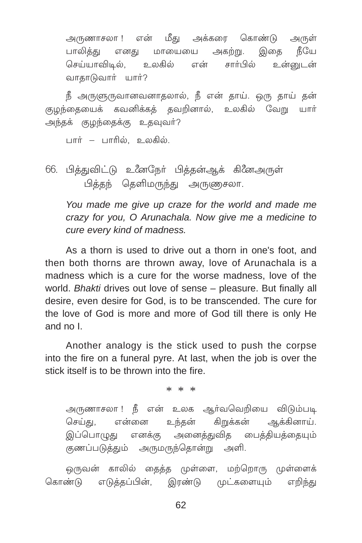அருணாசலா ! என் மீது அக்கரை கொண்டு அருள் பாலிக்கு எனகு மாயையை அகற்று. இகை நீயே செய்யாவிடல். உலகில் என் சார்பில் உள்ளைடன் வாதாடுவார் யார்?

நீ அருளுருவானவனாதலால், நீ என் தாய். ஒரு தாய் தன் குழந்தையைக் கவனிக்கத் தவறினால், உலகில் வேறு யாா் அந்தக் குழந்தைக்கு உதவுவர்?

பார் – பாரில். உலகில்.

66. பித்துவிட்டு உனேநேர் பித்தன்ஆக் கினேஅருள் பித்தந் தெளிமருந்து அருணுசலா.

You made me give up craze for the world and made me crazy for you, O Arunachala. Now give me a medicine to cure every kind of madness.

As a thorn is used to drive out a thorn in one's foot, and then both thorns are thrown away, love of Arunachala is a madness which is a cure for the worse madness. love of the world. Bhakti drives out love of sense - pleasure. But finally all desire, even desire for God, is to be transcended. The cure for the love of God is more and more of God till there is only He and no  $\mathsf{I}$ 

Another analogy is the stick used to push the corpse into the fire on a funeral pyre. At last, when the job is over the stick itself is to be thrown into the fire

 $* * *$ 

அருணாசலா ! நீ என் உலக ஆர்வவெறியை விடும்படி செய்து, உந்தன் என்னை கிறுக்கன் ஆக்கினாய். இப்பொழுது எனக்கு அனைத்துவித பைத்தியக்கையும் குணப்படுத்தும் அருமருந்தொன்று அளி.

ஒருவன் காலில் தைத்த முள்ளை, மற்றொரு முள்ளைக் கொண்டு எடுத்தப்பின், இரண்டு முட்களையும் எறிந்து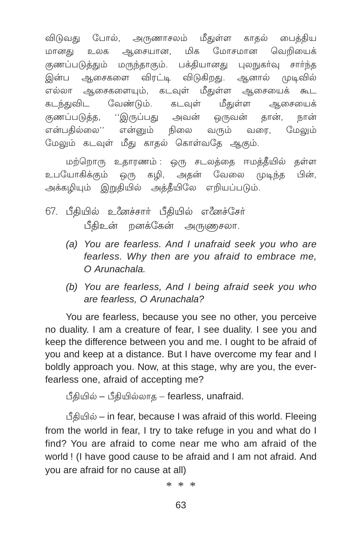விடுவது போல், அருணாசலம் மீதுள்ள காதல் பைத்திய மானது உலக ஆசையான, மிக மோசமான வெறியைக் குணப்படுத்தும் மருந்தாகும். பக்தியானது புலநுகர்வு சார்ந்த இன்ப ஆசைகளை விரட்டி விடுகிறது. ஆனால் முடிவில் எல்லா ஆசைகளையும். கடவுள் மீதுள்ள ஆசையைக் கூட கடந்துவிட வேண்டும். கடவுள் மீதுள்ள ஆசையைக் குணப்படுத்த, ''இருப்பது அவன் ஒருவன் தான், நான் என்பதில்லை'' என்னும் நிலை வரும் வரை, மேலும் மேலும் கடவுள் மீது காதல் கொள்வதே ஆகும்.

மற்றொரு உதாரணம் : ஒரு சடலத்தை ஈமத்தீயில் தள்ள உபயோகிக்கும் ஒரு கழி, அதன் வேலை முடிந்த பின், அக்கழியும் இறுதியில் அத்தீயிலே எறியப்படும்.

- 67. பீதியில் உீனச்சார் பீதியில் எீனச்சேர் பீதிஉன் றனக்கேன் அருணுசலா.
	- *(a) You are fearless. And I unafraid seek you who are fearless. Why then are you afraid to embrace me, O Arunachala.*
	- *(b) You are fearless, And I being afraid seek you who are fearless, O Arunachala?*

You are fearless, because you see no other, you perceive no duality. I am a creature of fear, I see duality. I see you and keep the difference between you and me. I ought to be afraid of you and keep at a distance. But I have overcome my fear and I boldly approach you. Now, at this stage, why are you, the everfearless one, afraid of accepting me?

 $\angle$ ீதியில் – பீதியில்லாத – fearless, unafraid.

பீதியில் – in fear, because I was afraid of this world. Fleeing from the world in fear, I try to take refuge in you and what do I find? You are afraid to come near me who am afraid of the world ! (I have good cause to be afraid and I am not afraid. And you are afraid for no cause at all)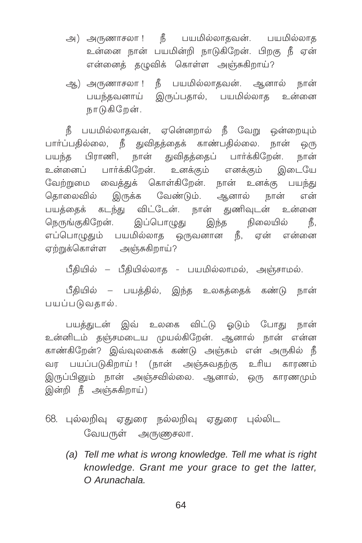- அ) அருணாசலா ! நீ பயமில்லாதவன். பயமில்லாத உன்னை நான் பயமின்றி நாடுகிறேன். பிறகு நீ ஏன் என்னைக் கமுவிக் கொள்ள அஞ்சுகிறாய்?
- ஆ) அருணாசலா ! நீ பயமில்லாதவன். ஆனால் நான் பயந்தவனாய் இருப்பதால், பயமில்லாத உன்னை நாடுகிறேன்.

நீ பயமில்லாதவன், ஏனெ்னறால் நீ வேறு ஒன்றையும் பார்ப்பதில்லை, நீ துவிதத்தைக் காண்பதில்லை. நான் ஒரு பயந்த பிராணி, நான் துவிதத்தைப் பார்க்கிறேன். நான் உன்னைப் பார்க்கிறேன். உனக்கும் எனக்கும் இடையே ேவற்றுமை வைத்துக் கொள்கிறேன். நான் உனக்கு பயந்து தொலைவில் இருக்க வேண்டும். ஆனால் நான் என் பயத்தைக் கடந்து விட்டேன். நான் துணிவுடன் உன்னை ொநங்குகிறேன். இப்பொழுது இந்த நிலையில் நீ, எப்பொழுதும் பயமில்லாத ஒருவனான நீ, ஏன் என்னை ஏற்றுக்கொள்ள அஞ்சுகிறாய்?

 $\mathfrak{g}$ கியில்லாத - பயமில்லாமல், அஞ்சாமல்.

பீதியில் – பயத்தில், இந்த உலகத்தைக் கண்டு நான் பயப்படுவதால்.

பயத்துடன் இவ் உலகை விட்டு ஓடும் போது நான் உன்னிடம் தஞ்சமடைய முயல்கிறேன். ஆனால் நான் என்ன காண்கிறேன்? இவ்வுலகைக் கண்டு அஞ்சும் என் அருகில் <mark>ந</mark>ீ வர பயப்படுகிறாய் ! (நான் அஞ்சுவதற்கு உரிய காரணம் இருப்பினும் நான் அஞ்சவில்லை. ஆனால், ஒரு காரணமும் இன்றி நீ அஞ்சுகிறாய்)

68. புல்லறிவு ஏதுரை நல்லறிவு ஏதுரை புல்லிட வேயருள் அருணுசலா.

*(a) Tell me what is wrong knowledge. Tell me what is right knowledge. Grant me your grace to get the latter, O Arunachala.*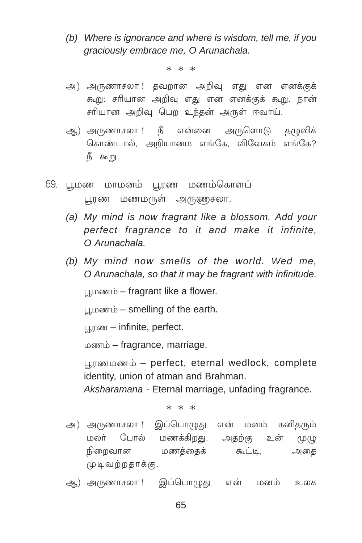(b) Where is ignorance and where is wisdom, tell me, if you graciously embrace me, O Arunachala.

 $* * *$ 

- அ) அருணாசலா ! தவறான அறிவு எது என எனக்குக் கூறு: சரியான அறிவு எது என எனக்குக் கூறு. நான் சரியான அறிவு பெற உந்தன் அருள் ஈவாய்.
- ஆ) அருணாசலா ! நீ என்னை அருளொடு தழுவிக் கொண்டால், அறியாமை எங்கே, விவேகம் எங்கே? நீ கூறு.
- 69. புமண மாமனம் புரண மணம்கொளப் பூரண மணமருள் அருணுசலா.
	- (a) My mind is now fragrant like a blossom. Add your perfect fragrance to it and make it infinite, O Arunachala
	- (b) My mind now smells of the world. Wed me, O Arunachala, so that it may be fragrant with infinitude.

பூமணம் – fragrant like a flower.

பூமணம் – smelling of the earth.

பூரண – infinite, perfect.

 $\omega$   $\omega$  in  $\omega$  – fragrance, marriage.

பூரணமணம் – perfect, eternal wedlock, complete identity, union of atman and Brahman.

Aksharamana - Eternal marriage, unfading fragrance.

- அ) அருணாசலா ! இப்பொழுது என் மனம் கனிதரும் மலர் போல் மணக்கிறது. அதற்கு உன்  $(10(10))$ நிறைவான மணக்கைக் கூட்டி, அகை முடிவற்றதாக்கு.
- ஆ) அருணாசலா ! இப்பொழுது என் மனம் உலக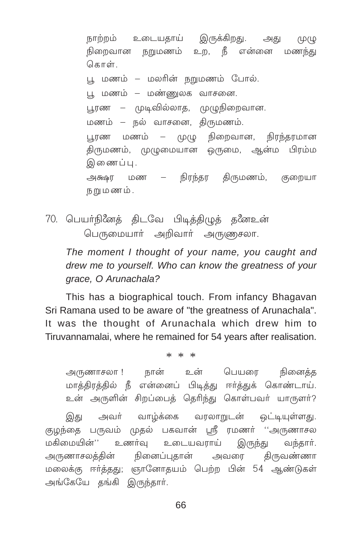நாற்றம் உடையதாய் இருக்கிறது. அது  $(4)$ நிறைவான நறுமணம் உற, நீ என்னை மணந்து கொள்

பூ மணம் – மலரின் நறுமணம் போல்.

பு, மணம் – மண்ணுலக வாசனை.

பூரண – முடிவில்லாத, முழுநிறைவான.

மணம் – நல் வாசனை, திருமணம்.

பூரண மணம் – முழு நிறைவான, நிரந்தரமான திருமணம், முழுமையான ஒருமை, ஆன்ம பிரம்ம இணைப்பு.

அக்ஷர மண – நிரந்தர திருமணம், குறையா நறு மணம்.

70. பெயர்நினேத் திடவே பிடித்திமுத் தனேஉன் பெருமையார் அறிவார் அருணுசலா.

The moment I thought of your name, you caught and drew me to yourself. Who can know the greatness of your grace, O Arunachala?

This has a biographical touch. From infancy Bhagavan Sri Ramana used to be aware of "the greatness of Arunachala". It was the thought of Arunachala which drew him to Tiruvannamalai, where he remained for 54 years after realisation.

 $* * *$ 

அருணாசலா ! நான் உன் பெயரை நினைக்க மாத்திரத்தில் நீ என்னைப் பிடித்து ஈர்த்துக் கொண்டாய். உன் அருளின் சிறப்பைத் தெரிந்து கொள்பவர் யாருளர்?

அவர் வாழ்க்கை வரலாறுடன் ஒட்டியுள்ளது. இது குழந்தை பருவம் முதல் பகவான் ஸ்ரீ ரமணர் ''அருணாசல உணர்வு உடையவராய் மகிமையின்'' இருந்து வந்தார். அருணாசலக்கின் நினைப்புகான் அவரை கிருவண்ணா மலைக்கு ஈர்த்தது; ஞானோதயம் பெற்ற பின் 54 ஆண்டுகள் அங்கேயே தங்கி இருந்தார்.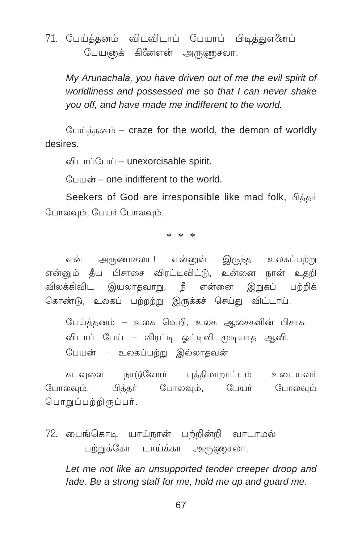### 71. பேய்த்தனம் விடவிடாப் பேயாப் பிடித்துஎனேப் பேயஞக் கினேஎன் அருணுசலா.

My Arunachala, you have driven out of me the evil spirit of worldliness and possessed me so that I can never shake you off, and have made me indifferent to the world.

பேய்த்தனம் – craze for the world, the demon of worldly desires

விடாப்பேய் – unexorcisable spirit.

 $\frac{c}{2}$  union – one indifferent to the world

Seekers of God are irresponsible like mad folk, Assin போலவம், பேயர் போலவம்.

\* \* \*

என் அருணாசலா ! என்னுள் இருந்த உலகப்பற்று என்னும் தீய பிசாசை விரட்டிவிட்டு, உன்னை நான் உதறி விலக்கிவிட இயலாதவாறு, நீ என்னை இறுகப் பற்றிக் கொண்டு, உலகப் பற்றற்று இருக்கச் செய்து விட்டாய்.

பேய்த்தனம் – உலக வெறி, உலக ஆசைகளின் பிசாசு. விடாப் பேய் – விரட்டி ஓட்டிவிடமுடியாத ஆவி. பேயன் – உலகப்பற்று இல்லாதவன்

கடவுளை நாடுவோர் புத்திமாறாட்டம் உடையவர் பிக்கா் போலவும், பேயர் போலவும் போலவும், பொறுப்பற்றிருப்பர்.

72. பைங்கொடி யாய்நான் பற்றின்றி வாடாமல் பற்றுக்கோ டாய்க்கா அருணுசலா.

Let me not like an unsupported tender creeper droop and fade. Be a strong staff for me, hold me up and guard me.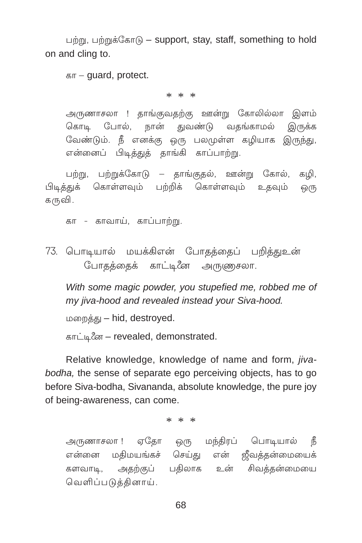பற்று, பற்றுக்கோடு – support, stay, staff, something to hold on and cling to.

கா - guard, protect.

 $* * *$ 

அருணாசலா ! தாங்குவதற்கு ஊன்று கோலில்லா இளம் கொடி போல், நான் துவண்டு வதங்காமல் இருக்க வேண்டும். நீ எனக்கு ஒரு பலமுள்ள கழியாக இருந்து, என்னைப் பிடித்துத் தாங்கி காப்பாற்று.

பற்று, பற்றுக்கோடு – தாங்குதல், ஊன்று கோல், கழி, பிடித்துக் கொள்ளவும் பற்றிக் கொள்ளவும் உதவும் ஒ(ந கருவி.

கா - காவாய், காப்பாற்று.

73. பொடியால் மயக்கிஎன் போதத்தைப் பறித்துஉன் போதத்தைக் காட்டினே அருணுசலா.

With some magic powder, you stupefied me, robbed me of my jiva-hood and revealed instead your Siva-hood.

மறைத்து - hid, destroyed.

காட்டினே – revealed, demonstrated.

Relative knowledge, knowledge of name and form, *jiva*bodha, the sense of separate ego perceiving objects, has to go before Siva-bodha, Sivananda, absolute knowledge, the pure joy of being-awareness, can come.

 $* * *$ 

அருணாசலா ! ஏதோ ஒரு மந்திரப் பொடியால் நீ என்னை மதிமயங்கச் செய்து என் ஜீவத்தன்மையைக் களவாடி, அதற்குப் பதிலாக உன் சிவத்தன்மையை வெளிப்படுத்தினாய்.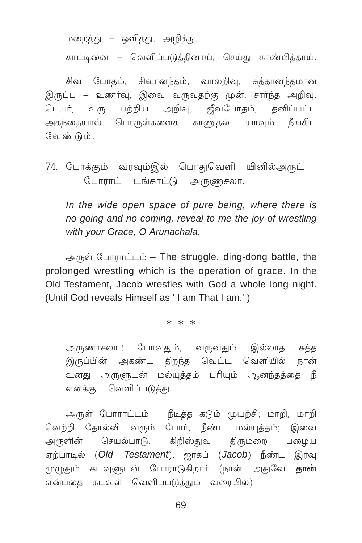மறைத்து – ஒளித்து, அழித்து.

காட்டினை – வெளிப்படுக்கினாய், செய்து காண்பிக்காய்.

சிவ போதம், சிவானந்தம், வாலறிவு, சுத்தானந்தமான இருப்பு – உணர்வு, இவை வருவதற்கு முன், சார்ந்த அறிவு, பெயர். உரு அகந்தையால் பொருள்களைக் காணுதல், யாவும் நீங்கிட வேண்டும்.

74. போக்கும் வரவும்இல் பொதுவெளி யினில்அருட் போராட் டங்காட்டு அருணுசலா.

In the wide open space of pure being, where there is no going and no coming, reveal to me the joy of wrestling with your Grace, O Arunachala.

அருள் போராட்டம் - The struggle, ding-dong battle, the prolonged wrestling which is the operation of grace. In the Old Testament, Jacob wrestles with God a whole long night. (Until God reveals Himself as 'I am That I am.')

\* \* \*

அருணாசலா ! போவதும், வருவதும் இல்லாத சுத்த இருப்பின் அகண்ட கிறந்த வெட்ட வெளியில் நான் உனது அருளுடன் மல்யுத்தம் புரியும் ஆனந்தத்தை நீ எனக்கு வெளிப்படுத்து.

அருள் போராட்டம் – நீடித்த கடும் முயற்சி; மாறி, மாறி வெற்றி தோல்வி வரும் போர், நீண்ட மல்யுத்தம்; இவை அருளின் செயல்பாடு. கிறிஸ்துவ திருமறை பழைய ஏற்பாடில் (Old Testament), ஜாகப் (Jacob) நீண்ட இரவு முழுதும் கடவுளுடன் போராடுகிறார் (நான் அதுவே **தான்** என்பதை கடவுள் வெளிப்படுத்தும் வரையில்)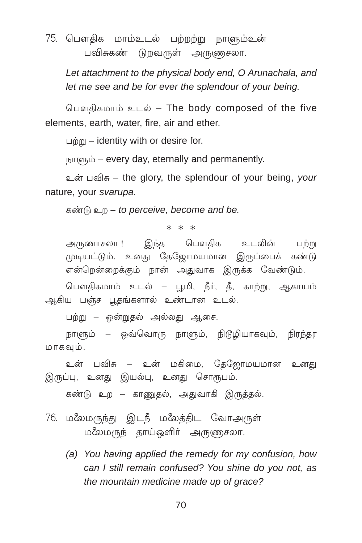# 75. பௌதிக மாம்உடல் பற்றற்று நாளும்உன் பவிசுகண் டுறவருள் அருணுசலா.

Let attachment to the physical body end, O Arunachala, and let me see and be for ever the splendour of your being.

பௌகிகமாம் உடல் – The body composed of the five elements, earth, water, fire, air and ether.

 $\lim_{h \to 0}$  – identity with or desire for.

влюсь - every day, eternally and permanently.

உன் பவிசு – the glory, the splendour of your being, your nature, your svarupa.

கண்டு உற – to perceive, become and be.

 $* * *$ 

இந்த பௌதிக உடலின் அருணாசலா ! பற்று முடியட்டும். உனது தேஜோமயமான இருப்பைக் கண்டு என்றென்றைக்கும் நான் அதுவாக இருக்க வேண்டும்.

பௌகிகமாம் உடல் – பூமி, நீர், தீ, காற்று, ஆகாயம் ஆகிய பஞ்ச பூதங்களால் உண்டான உடல்.

பற்று – ஒன்றுதல் அல்லது ஆசை.

நாளும் – ஒவ்வொரு நாளும், நிடூழியாகவும், நிரந்தர மாகவும்.

உன் பவிசு – உன் மகிமை, தேஜோமயமான உனது இருப்பு, உனது இயல்பு, உனது சொரூபம்.

கண்டு உற – காணுதல், அதுவாகி இருத்தல்.

- 76. மலேமருந்து இடநீ மலேத்திட வோஅருள் மலேமருந் தாய்ஔிர் அருணுசலா.
	- (a) You having applied the remedy for my confusion, how can I still remain confused? You shine do you not, as the mountain medicine made up of grace?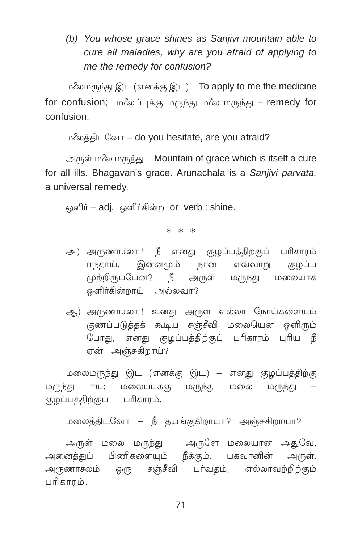*(b) You whose grace shines as Sanjivi mountain able to cure all maladies, why are you afraid of applying to me the remedy for confusion?*

மலேமருந்து இட (எனக்கு இட) – To apply to me the medicine for confusion; ம $\ell$ லப்புக்கு மருந்து ம $\ell$ ல மருந்து – remedy for confusion.

மலேத்திடவோ – do you hesitate, are you afraid?

அருள் மலே மருந்து – Mountain of grace which is itself a cure for all ills. Bhagavan's grace. Arunachala is a *Sanjivi parvata,* a universal remedy.

ஒளிர் – adj. ஒளிர்கின்ற or verb : shine.

\* \* \*

- அ) அருணாசலா ! நீ எனது குழப்பத்திற்குப் பரிகாரம் ஈந்தாய். இன்னமும் நான் எவ்வாறு குழப்ப முற்றிருப்பேன்? நீ அருள் மருந்து மலையாக ெளிர்கின்றாய் அல்லவா?
- ஆ) அருணாசலா !உனது அருள் எல்லா நோய்களையும் குணப்படுத்தக் கூடிய சஞ்சீவி மலையென ஒளிரும் போது, எனது குழப்பத்திற்குப் பரிகாரம் புரிய நீ ஏன் அஞ்சுகிறாய்?

மலைமருந்து இட (எனக்கு இட) – எனது குழப்பத்திற்கு மருந்து ஈய; மலைப்புக்கு மருந்து மலை மருந்து குழப்பத்திற்குப் பரிகாரம்.

மலைத்திடவோ – நீ தயங்குகிறாயா? அஞ்சுகிறாயா?

அருள் மலை மருந்து – அருளே மலையான அதுவே, அனைக்குப் பிணிகளையும் நீக்கும். பகவானின் அருள். அருணாசலம் ஒரு சஞ்சீவி பா்வதம், எல்லாவற்றிற்கும் £∂PıμÆ.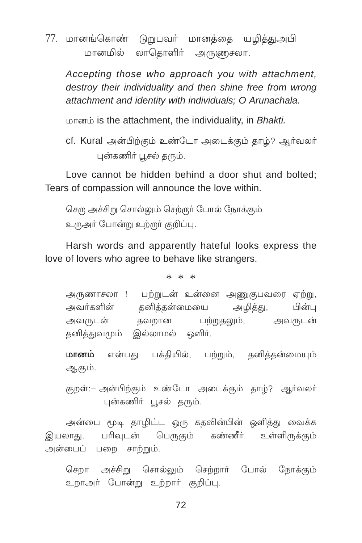77. மானங்கொண் டுறுபவர் மானக்கை யமிக்குஅபி மானமில் லாதொளிர் அருணுசலா.

Accepting those who approach you with attachment. destrov their individuality and then shine free from wrong attachment and identity with individuals: O Arunachala.

மானம் is the attachment, the individuality, in Bhakti.

cf. Kural அன்பிற்கும் உண்டோ அடைக்கும் தாழ்? ஆர்வலர் புன்கணிர் பூசல் தரும்.

Love cannot be hidden behind a door shut and bolted; Tears of compassion will announce the love within.

செரு அச்சிறு சொல்லும் செற்ருர் போல் நோக்கும் உருஅர் போன்று உற்ருர் குறிப்பு.

Harsh words and apparently hateful looks express the love of lovers who agree to behave like strangers.

 $* * *$ 

அருணாசலா ! பற்றுடன் உன்னை அணுகுபவரை ஏற்று, தனித்தன்மையை அவர்களின் அமிக்கு, பின்ப பற்றுதலும், அவருடன் அவருடன் தவறான கனிக்குவமும் இல்லாமல் ஒளிர்.

**மானம்** என்பது பக்தியில், பற்றும், தனித்தன்மையும் ஆகும்.

குறள்:– அன்பிற்கும் உண்டோ அடைக்கும் காம்? ஆர்வலர் புன்கணிர் பூசல் தரும்.

அன்பை மூடி தாழிட்ட ஒரு கதவின்பின் ஒளித்து வைக்க பரிவுடன் பெருகும் கண்ணீர் உள்ளிருக்கும் இயலாது. அன்பைப் பறை சாற்றும்.

செறா அச்சிறு சொல்லும் செற்றார் போல் நோக்கும் உறாஅர் போன்று உற்றார் குறிப்பு.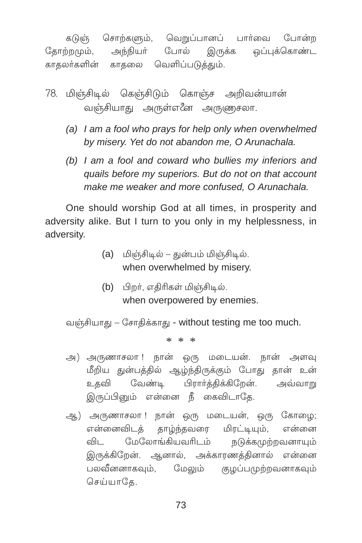சொற்களும், வெறுப்பானப் பார்வை போன்ற கடுஞ் கோற்றமும். அங்கியர் போல் இ<sub>்</sub>ருக்க லப்பக்கொண்ட காகலர்களின் காகலை வெளிப்படுக்கும்.

- 78. மின்சிடில் கென்சிடும் கொன்ச அறிவன்யான் வஞ்சியாது அருள்எனே அருணுசலா.
	- (a) I am a fool who prays for help only when overwhelmed by misery. Yet do not abandon me, O Arunachala.
	- (b) I am a fool and coward who bullies my inferiors and quails before my superiors. But do not on that account make me weaker and more confused. O Arunachala.

One should worship God at all times, in prosperity and adversity alike. But I turn to you only in my helplessness, in adversity.

- (a) மிஞ்சிடில் துன்பம் மிஞ்சிடில். when overwhelmed by misery.
- (b) பிறர், எதிரிகள் மிஞ்சிடில். when overpowered by enemies.

வஞ்சியாது – சோதிக்காது - without testing me too much.

 $* * *$ 

- அ) அருணாசலா ! நான் ஒரு மடையன். நான் அளவு மீறிய துன்பத்தில் ஆழ்ந்திருக்கும் போது தான் உன் உகவி வேண்டி பிரார்த்திக்கிறேன். அவ்வாறு இருப்பினும் என்னை நீ கைவிடாதே.
- ஆ) அருணாசலா ! நான் ஒரு மடையன், ஒரு கோழை; என்னைவிடக் தாழ்ந்தவரை மிரட்டியும், என்னை மேலோங்கியவரிடம் விட நடுக்கமுற்றவனாயும் இருக்கிறேன். ஆனால், அக்காரணத்தினால் என்னை பலவீனனாகவும். மேலும் குழப்பமுற்றவனாகவும் செய்யாகே.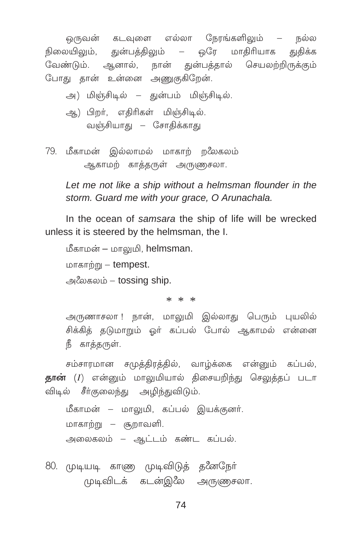ஒருவன் கடவுளை எல்லா நேரங்களிலும் – நல்ல நிலையிலும், துன்பத்திலும் – ஒரே மாதிரியாக துதிக்க வேண்டும். ஆனால், நான் துன்பத்தால் செயலற்றிருக்கும் போது தான் உன்னை அணுகுகிறேன்.

அ) மிஞ்சிடில் – துன்பம் மிஞ்சிடில்.

- ஆ) பிறர், எதிரிகள் மிஞ்சிடில். வஞ்சியாது – சோதிக்காது
- 79. மீகாமன் இல்லாமல் மாகாற் றலேகலம் ஆகாமற் காத்தருள் அருணுசலா.

Let me not like a ship without a helmsman flounder in the storm. Guard me with your grace, O Arunachala.

In the ocean of samsara the ship of life will be wrecked unless it is steered by the helmsman, the I.

மீகாமன் – மாலுமி, helmsman.  $L$   $\Delta$   $\pi$   $\sigma$   $\sigma$   $\eta$   $\eta$   $\gamma$   $\sigma$   $\gamma$   $\sigma$   $\sigma$   $\gamma$   $\sigma$   $\gamma$   $\sigma$   $\sigma$   $\sigma$   $\sigma$   $\gamma$   $\sigma$   $\gamma$   $\sigma$   $\gamma$   $\sigma$   $\gamma$   $\sigma$   $\gamma$   $\sigma$   $\gamma$   $\sigma$   $\gamma$   $\sigma$   $\gamma$   $\sigma$   $\gamma$   $\sigma$   $\gamma$   $\sigma$   $\gamma$   $\sigma$   $\gamma$   $\sigma$   $\gamma$   $\$ 

அலேகலம் – tossing ship.

 $* * *$ 

அருணாசலா ! நான், மாலுமி இல்லாது பெரும் புயலில் சிக்கிக் கடுமாறும் ஒர் கப்பல் போல் ஆகாமல் என்னை நீ காக்கருள்.

சம்சாரமான சமுத்திரத்தில், வாழ்க்கை என்னும் கப்பல், தான் (I) என்னும் மாலுமியால் திசையறிந்து செலுத்தப் படா விடில் சீர்குலைந்து அழிந்துவிடும்.

மீகாமன் – மாலுமி, கப்பல் இயக்குனர். மாகாற்று — சூறாவளி. அலைகலம் – ஆட்டம் கண்ட கப்பல்.

80. முடியடி காண முடிவிடுத் தனேநேர் முடிவிடக் கடன்இலே அருணுசலா.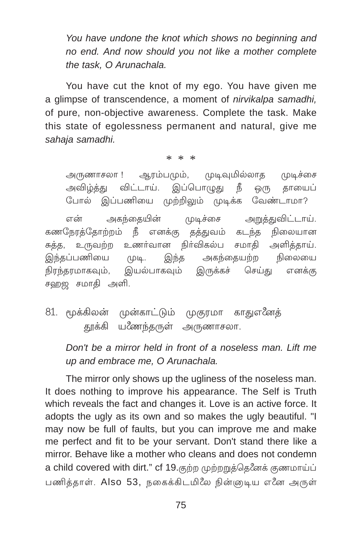You have undone the knot which shows no beginning and no end. And now should you not like a mother complete the task, O Arunachala.

You have cut the knot of my ego. You have given me a glimpse of transcendence, a moment of *nirvikalpa samadhi*, of pure, non-objective awareness. Complete the task. Make this state of egolessness permanent and natural, give me sahaja samadhi.

 $* * *$ 

ஆரம்பமும், முடிவுமில்லாத முடிச்சை அருணாசலா ! அவிழ்த்து விட்டாய். இப்பொழுது நீ தாயைப் ஒ(ந போல் இப்பணியை முற்றிலும் முடிக்க வேண்டாமா?

அகந்தையின் முடிச்சை என் அறுத்துவிட்டாய். கணநேரக்கோற்றம் நீ எனக்கு கத்துவம் கடந்த நிலையான உணர்வான நிர்விகல்ப சமாகி அளிக்காய். சுக்க, உருவற்ற இந்தப்பணியை அகந்தையற்ற நிலையை  $\Box$ இந்த நிரந்தரமாகவும், இயல்பாகவும் இருக்கச் செய்து எனக்கு சஹஜ சமாதி அளி.

81. மூக்கிலன் முன்காட்டும் முகுரமா காதுஎனேத் தூக்கி யணேந்தருள் அருணாசலா.

Don't be a mirror held in front of a noseless man. Lift me up and embrace me, O Arunachala.

The mirror only shows up the ugliness of the noseless man. It does nothing to improve his appearance. The Self is Truth which reveals the fact and changes it. Love is an active force, It adopts the ugly as its own and so makes the ugly beautiful. "I may now be full of faults, but you can improve me and make me perfect and fit to be your servant. Don't stand there like a mirror. Behave like a mother who cleans and does not condemn a child covered with dirt." cf 19. குற்ற முற்றறுத்தெனேக் குணமாய்ப் பணித்தாள். Also 53, நகைக்கிடமிலே நின்ஞடிய எனே அருள்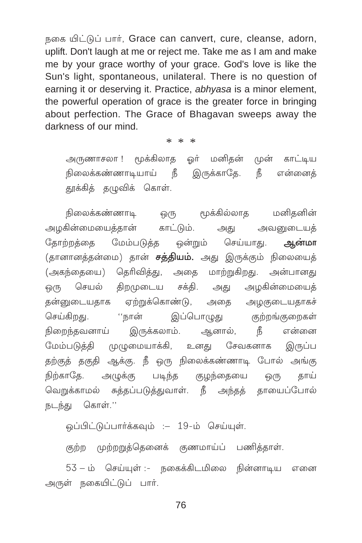நகை யிட்டுப் பார், Grace can canvert, cure, cleanse, adorn, uplift. Don't laugh at me or reject me. Take me as I am and make me by your grace worthy of your grace. God's love is like the Sun's light, spontaneous, unilateral. There is no question of earning it or deserving it. Practice, abhyasa is a minor element, the powerful operation of grace is the greater force in bringing about perfection. The Grace of Bhagavan sweeps away the darkness of our mind.

 $* * *$ 

அருணாசலா ! மூக்கிலாக ஒர் மனிதன் முன் காட்டிய நிலைக்கண்ணாடியாய் நீ இருக்காதே. நீ என்னைத் தூக்கித் தழுவிக் கொள்.

நிலைக்கண்ணாடி மூக்கில்லாத மனிதனின் ஒ(ந அழகின்மையைத்தான் காட்டும். அவனுடையக் அது கோற்றக்கை மேம்படுத்த ஒன்றும் செய்யாது. ஆன்மா (தானானத்தன்மை) தான் **சத்தியம்.** அது இருக்கும் நிலையைத் (அகந்தையை) தெரிவித்து, அதை மாற்றுகிறது. அன்பானது ஒரு செயல் திறமுடைய சக்தி. அது அழகின்மையைத் ஏற்றுக்கொண்டு, அதை அமுகுடையதாகச் தன்னுடையதாக செய்கிறது. ''நான் இப்பொழுது குற்றங்குறைகள் நிறைந்தவனாய் இருக்கலாம். ஆனால், நீ என்னை மேம்படுத்தி முழுமையாக்கி, உனது சேவகனாக இருப்ப தற்குத் தகுதி ஆக்கு. நீ ஒரு நிலைக்கண்ணாடி போல் அங்கு நிற்காதே. அழுக்கு படிந்த குழந்தையை <u>@</u>(Ҧ காய் வெறுக்காமல் சுத்தப்படுத்துவாள். நீ அந்தத் தாயைப்போல் நடந்து கொள்.''

ஒப்பிட்டுப்பார்க்கவும் : – 19-ம் செய்யுள்.

குற்ற முற்றறுத்தெனைக் குணமாய்ப் பணித்தாள்.

53 – ம் செய்யுள் :- நகைக்கிடமிலை நின்னாடிய எனை அருள் நகையிட்டுப் பார்.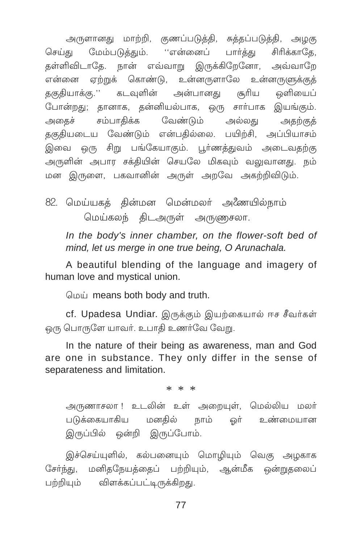அருளானது மாற்றி, குணப்படுத்தி, சுத்தப்படுத்தி, அழகு செய்து மேம்படுத்தும். ''என்னைப் பார்த்து சிரிக்காதே, தள்ளிவிடாதே. நான் எவ்வாறு இருக்கிறேனோ, அவ்வாறே என்னை ஏற்றுக் கொண்டு, உன்னருளாலே உன்னருளுக்குத் தகுதியாக்கு.'' கடவுளின் அன்பானது சூரிய ஒளியைப் போன்றது; தானாக, தன்னியல்பாக, ஒரு சார்பாக இயங்கும். அதைச் சம்பாதிக்க வேண்டும் அல்லது அகற்குக் தகுதியடைய வேண்டும் என்பதில்லை. பயிற்சி, அப்பியாசம் இவை ஒரு சிறு பங்கேயாகும். பூர்ணத்துவம் அடைவதற்கு அருளின் அபார சக்தியின் செயலே மிகவும் வலுவானது. நம் மன இருளை, பகவானின் அருள் அறவே அகற்றிவிடும்.

82. மெய்யகத் தின்மன மென்மலர் அணேயில்நாம் மெய்கலந் திடஅருள் அருணுசலா.

In the body's inner chamber, on the flower-soft bed of mind, let us merge in one true being, O Arunachala.

A beautiful blending of the language and imagery of human love and mystical union.

மெய் means both body and truth.

cf. Upadesa Undiar. இருக்கும் இயற்கையால் ஈச சீவர்கள் ஒரு பொருளே யாவர். உபாதி உணர்வே வேறு.

In the nature of their being as awareness, man and God are one in substance. They only differ in the sense of separateness and limitation.

 $* * *$ 

அருணாசலா !உடலின் உள் அறையுள், மெல்லிய மலர் படுக்கையாகிய மனகில் நாம் ஒர் உண்மையான இருப்பில் ஒன்றி இருப்போம்.

இச்செய்யுளில், கல்பனையும் மொழியும் வெகு அழகாக சேர்ந்து, மனிதநேயத்தைப் பற்றியும், ஆன்மீக ஒன்றுதலைப் பற்றியும் விளக்கப்பட்டிருக்கிறது.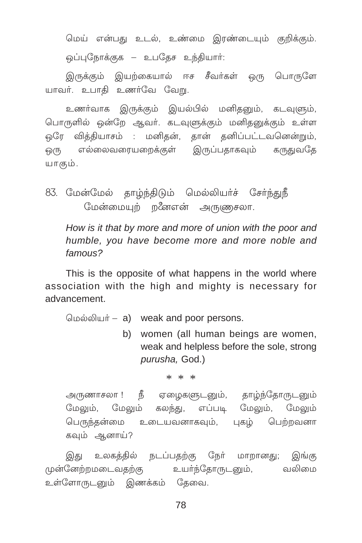மெய் என்பது உடல், உண்மை இரண்டையும் குறிக்கும். ஒப்புநோக்குக – உபகேச உந்தியார்:

இருக்கும் இயற்கையால் ஈச சீவர்கள் ஒரு பொருளே யாவர். உபாதி உணர்வே வேறு.

உணர்வாக இருக்கும் இயல்பில் மனிதனும், கடவுளும், பொருளில் ஒன்றே ஆவர். கடவுளுக்கும் மனிதனுக்கும் உள்ள ஒரே வித்தியாசம் : மனிதன், தான் தனிப்பட்டவனென்றும், .<br>ஒரு எல்லைவரையறைக்கள் இருப்பகாகவம் கருகுவதே யாகம்.

83. மேன்மேல் தாழ்ந்திடும் மெல்லியர்ச் சேர்ந்துநீ மேன்மையும் றனேஎன் அருணுசலா.

How is it that by more and more of union with the poor and humble, you have become more and more noble and  $f$ amous?

This is the opposite of what happens in the world where association with the high and mighty is necessary for advancement

மெல்லியர் – a) weak and poor persons.

b) women (all human beings are women, weak and helpless before the sole, strong purusha, God.)

 $* * *$ 

நீ ஏழைகளுடனும், தாழ்ந்தோருடனும் அருணாசலா ! மேலும், மேலும் கலந்து, எப்படி மேலும், மேலும் பெருந்தன்மை உடையவனாகவும், புகழ் பெற்றவனா கவும் ஆனாய்?

இது உலகத்தில் நடப்பதற்கு நேர் மாறானது; இங்கு வலிமை முன்னேற்றமடைவதற்கு உயர்ந்தோருடனும், உள்ளோருடனும் இணக்கம் தேவை.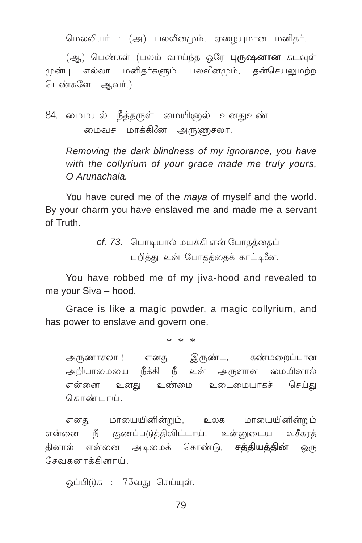மெல்லியர் : (அ) பலவீனமும், ஏமையுமான மனிதர்.

(ஆ) பெண்கள் (பலம் வாய்ந்த ஒரே **புருஷனான** கடவுள் முன்பு எல்லா மனிகர்களும் பலவீனமும், கன்செயலுமற்ற பெண்களே ஆவர்.)

84. மைமயல் நீத்தருள் மையிஞல் உனதுஉண் மைவச மாக்கினே அருணுசலா.

Removing the dark blindness of my ignorance, you have with the collyrium of your grace made me truly yours,  $O$  Arunachala

You have cured me of the *maya* of myself and the world. By your charm you have enslaved me and made me a servant of Truth

> cf. 73. பொடியால் மயக்கி என் போதத்தைப் பறித்து உன் போதத்தைக் காட்டினே.

You have robbed me of my jiva-hood and revealed to me your Siva - hood.

Grace is like a magic powder, a magic collyrium, and has power to enslave and govern one.

 $* * *$ 

அருணாசலா ! எனது இருண்ட, கண்மறைப்பான அறியாமையை நீக்கி நீ உன் அருளான மையினால் என்னை உனது உண்மை உடைமையாகச் செய்கு கொண்டாய்

எனகு மாயையினின்றும். உலக மாயையினின்றும் என்னை நீ குணப்படுத்திவிட்டாய். உன்னுடைய வசீகரத் தினால் என்னை அடிமைக் கொண்டு, **சக்தியத்தின்** ஒரு சேவுகனாக்கினாய்

ஒப்பிடுக : 73வது செய்யுள்.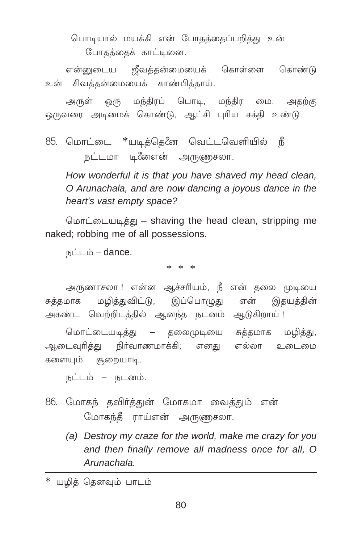பொடியால் மயக்கி என் போதத்தைப்பறித்து உன் போதத்தைக் காட்டினை.

உன் சிவத்தன்மையைக் காண்பித்தாய்.

அருள் ஒரு மந்திரப் பொடி, மந்திர மை. அதற்கு ஒருவரை அடிமைக் கொண்டு, ஆட்சி புரிய சக்தி உண்டு.

85. மொட்டை \*யடித்தெனே வெட்டவெளியில் நீ நட்டமா டினேஎன் அருணுசலா.

How wonderful it is that you have shaved my head clean. O Arunachala, and are now dancing a joyous dance in the heart's vast empty space?

மொட்டையடித்து – shaving the head clean, stripping me naked; robbing me of all possessions.

 $B\angle L$   $\Delta$  - dance.

\* \* \*

அருணாசலா ! என்ன ஆச்சரியம், நீ என் தலை முடியை மழித்துவிட்டு, இப்பொழுது என் இதயத்தின் சுக்கமாக அகண்ட வெற்றிடத்தில் ஆனந்த நடனம் ஆடுகிறாய்!

மொட்டையடித்து – தலைமுடியை சுத்தமாக மழித்து, ஆடைவுரித்து நிர்வாணமாக்கி; எனது எல்லா உடைமை களையும் சூறையாடி.

நட்டம் – நடனம்.

- 86. மோகந் தவிர்த்துன் மோகமா வைத்தும் என் மோகந்தீ ராய்என் அருணுசலா.
	- (a) Destroy my craze for the world, make me crazy for you and then finally remove all madness once for all, O Arunachala.

\* யமிக் கெனவும் பாடம்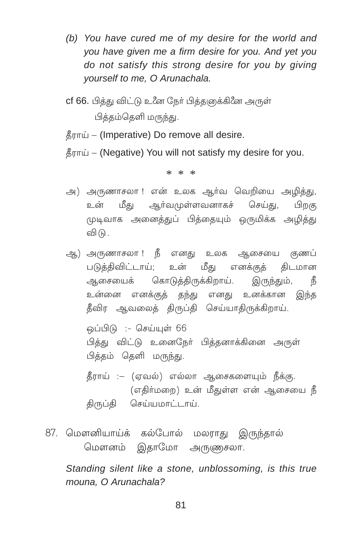- (b) You have cured me of my desire for the world and you have given me a firm desire for you. And yet you do not satisfy this strong desire for you by giving yourself to me, O Arunachala.
- cf 66. பித்து விட்டு உணே நேர் பித்தளுக்கினே அருள் பிக்கம்கெளி மருந்து.
- தீராய் (Imperative) Do remove all desire.
- தீராய் (Negative) You will not satisfy my desire for you.

## $* * *$

- அ) அருணாசலா ! என் உலக ஆர்வ வெறியை அழித்து, உன் மீது ஆர்வமுள்ளவனாகச் செய்து, பிறகு முடிவாக அனைத்துப் பித்தையும் ஒருமிக்க அழித்து வி $($
- ஆ) அருணாசலா ! நீ எனது உலக ஆசையை குணப் படுத்திவிட்டாய்; உன் மீது எனக்குத் திடமான ஆசையைக் கொடுத்திருக்கிறாய். இருந்தும், 了了 உன்னை எனக்குத் தந்து எனது உனக்கான இந்த தீவிர ஆவலைத் திருப்தி செய்யாதிருக்கிறாய். லப்பிடு :- செய்யள் 66
	- பித்து விட்டு உனைநேர் பித்தனாக்கினை அருள் பித்தம் தெளி மருந்து.
	- தீராய் :– (ஏவல்) எல்லா ஆசைகளையும் நீக்கு. (எதிர்மறை) உன் மீதுள்ள என் ஆசையை நீ திருப்தி செய்யமாட்டாய்.
- 87. மௌனியாய்க் கல்போல் மலராது இருந்தால் மௌனம் இதாமோ அருளுசலா.

Standing silent like a stone, unblossoming, is this true mouna. O Arunachala?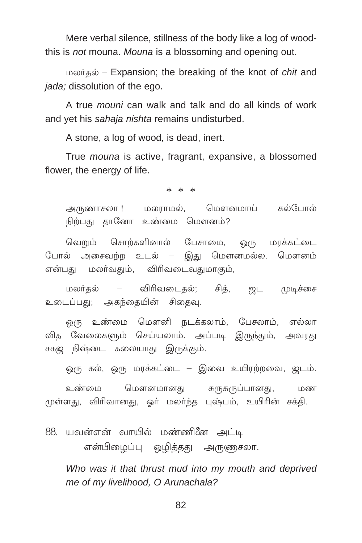Mere verbal silence, stillness of the body like a log of woodthis is not mouna. Mouna is a blossoming and opening out.

மலர்தல் – Expansion; the breaking of the knot of *chit* and *jada*; dissolution of the ego.

A true *mouni* can walk and talk and do all kinds of work and yet his sahaja nishta remains undisturbed.

A stone, a log of wood, is dead, inert.

True *mouna* is active, fragrant, expansive, a blossomed flower, the energy of life.

 $* * *$ 

அருணாசலா ! மலராமல், மௌனமாய் கல்போல் நிற்பது தானோ உண்மை மௌனம்?

வெறும் சொற்களினால் பேசாமை, ஒரு மரக்கட்டை போல் அசைவற்ற உடல் – இது மௌனமல்ல. மௌனம் என்பது மலா்வதும், விரிவடைவதுமாகும்,

மலர்தல் – விரிவடைதல்; சித், ஜட முடிச்சை உடைப்பது; அகந்தையின் சிதைவு.

ஒரு உண்மை மௌனி நடக்கலாம், பேசலாம், எல்லா வித வேலைகளும் செய்யலாம். அப்படி இருந்தும், அவரது சகஜ நிஷ்டை கலையாது இருக்கும்.

ஒரு கல், ஒரு மரக்கட்டை – இவை உயிரற்றவை, ஜடம்.

உண்மை மௌனமானது சுருசுருப்பானது, மண முள்ளது, விரிவானது, ஓர் மலர்ந்த புஷ்பம், உயிரின் சக்தி.

88. யவன்என் வாயில் மண்ணினே அட்டி என்பிழைப்பு ஒழித்தது அருணுசலா.

Who was it that thrust mud into my mouth and deprived me of my livelihood, O Arunachala?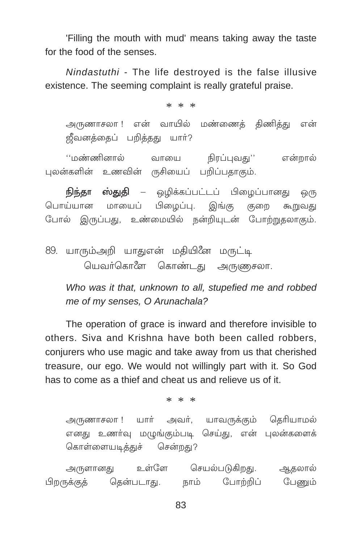'Filling the mouth with mud' means taking away the taste for the food of the senses.

Nindastuthi - The life destroyed is the false illusive existence. The seeming complaint is really grateful praise.

 $* * *$ 

அருணாசலா ! என் வாயில் மண்ணைத் திணித்து என் ஜீவனத்தைப் பறித்தது யார்?

''மண்ணினால் வாயை நிரப்புவது'' என்றால் புலன்களின் உணவின் ருசியைப் பறிப்பதாகும்.

**நிந்தா ஸ்துதி** – ஒழிக்கப்பட்டப் பிழைப்பானது <u>ஒ</u>(ந பொய்யான மாயைப் பிழைப்பு. இங்கு குறை கூறுவகு போல் இருப்பது, உண்மையில் நன்றியுடன் போற்றுதலாகும்.

89. யாரும்அறி யாதுஎன் மதியினே மருட்டி யெவர்கொளே கொண்டது அருணுசலா.

Who was it that, unknown to all, stupefied me and robbed me of my senses. O Arunachala?

The operation of grace is inward and therefore invisible to others. Siva and Krishna have both been called robbers, conjurers who use magic and take away from us that cherished treasure, our ego. We would not willingly part with it. So God has to come as a thief and cheat us and relieve us of it

 $* * *$ 

அருணாசலா ! யார் அவர், யாவருக்கும் தெரியாமல் எனது உணர்வு மழுங்கும்படி செய்து, என் புலன்களைக் கொள்ளையடித்துச் சென்றது?

அருளானது உள்ளே செயல்படுகிறது. ஆதலால் பிறருக்குத் தென்படாது. நாம் போற்றிப் பேணும்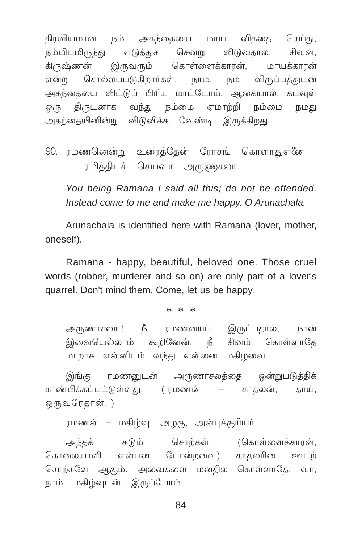திரவியமான நம் அகந்தையை மாய வித்தை செய்து, நம்மிடமிருந்து எடுக்குச் விடுவதால், சென்று சிவன். இருவரும் கொள்ளைக்காரன், கிருஷ்ணன் மாயக்காான் என்று சொல்லப்படுகிறார்கள். நாம், நம் விருப்பத்துடன் அகந்தையை விட்டுப் பிரிய மாட்டோம். ஆகையால், கடவுள் ஒரு திருடனாக வந்து நம்மை ஏமாற்றி நம்மை நமது அகந்தையினின்று விடுவிக்க வேண்டி இருக்கிறது.

90. ரமணனென்று உரைத்தேன் ரோசங் கொளாதுஎனே ரமித்திடச் செயவா அருணுசலா.

You being Ramana I said all this; do not be offended. Instead come to me and make me happy, O Arunachala.

Arunachala is identified here with Ramana (lover, mother, oneself).

Ramana - happy, beautiful, beloved one. Those cruel words (robber, murderer and so on) are only part of a lover's quarrel. Don't mind them. Come, let us be happy.

 $* * *$ 

அருணாசலா ! நீ ரமணனாய் இருப்பதால், நான் இவையெல்லாம் கூறினேன். நீ சினம் கொள்ளாதே மாறாக என்னிடம் வந்து என்னை மகிழவை.

இங்கு ரமணனுடன் அருணாசலத்தை ஒன்றுபடுத்திக் காண்பிக்கப்பட்டுள்ளது. (ரமணன் – காதலன், தாய், ஒருவரேதான். )

ரமணன் – மகிழ்வு, அழகு, அன்புக்குரியர்.

சொற்கள் (கொள்ளைக்காரன், அந்தக் கடும் என்பன போன்றவை) காகலரின் ஊடற் கொலையாளி சொற்களே ஆகும். அவைகளை மனதில் கொள்ளாதே. வா, நாம் மகிழ்வுடன் இருப்போம்.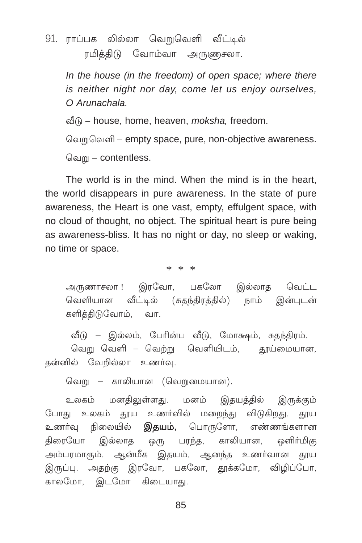91. ராப்பக லில்லா வெறுவெளி வீட்டில் ரமிக்திடு வோம்வா அருணுசலா.

> In the house (in the freedom) of open space; where there is neither night nor day, come let us enjoy ourselves,  $O$  Arunachala

வீடு – house, home, heaven, *moksha*, freedom.

வெறுவெளி – empty space, pure, non-objective awareness.

வெறு – contentless.

The world is in the mind. When the mind is in the heart. the world disappears in pure awareness. In the state of pure awareness, the Heart is one vast, empty, effulgent space, with no cloud of thought, no object. The spiritual heart is pure being as awareness-bliss. It has no night or day, no sleep or waking, no time or space.

 $* * *$ 

அருணாசலா ! இரவோ, பகலோ இல்லாத வெட்ட வெளியான வீட்டில் (சுதந்திரத்தில்) நாம் இன்புடன் களித்திடுவோம், வா.

வீடு – இல்லம், பேரின்ப வீடு, மோக்ஷம், சுதந்திரம். வெறு வெளி – வெற்று வெளியிடம், தூய்மையான, கன்னில் வேறில்லா உணர்வு.

வெறு – காலியான (வெறுமையான).

உலகம் மனதிலுள்ளது. மனம் இதயத்தில் இருக்கும் போது உலகம் தூய உணர்வில் மறைந்து விடுகிறது. தூய உணர்வு நிலையில் **இதயம்,** பொருளோ, எண்ணங்களான திரையோ இல்லாத ஒரு பரந்த, காலியான, ஒளிா்மிகு அம்பரமாகும். ஆன்மீக இதயம், ஆனந்த உணர்வான தூய இருப்பு. அதற்கு இரவோ, பகலோ, தூக்கமோ, விழிப்போ, காலமோ, இடமோ கிடையாது.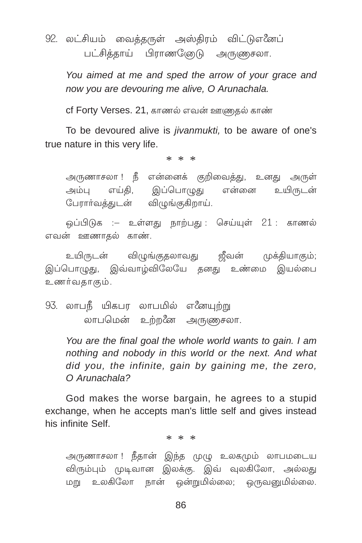92. லட்சியம் வைத்தருள் அஸ்திரம் விட்டுஎனேப் பட்சித்தாய் பிராணணேடு அருணுசலா.

You aimed at me and sped the arrow of your grace and now you are devouring me alive, O Arunachala.

cf Forty Verses. 21, காணல் எவன் ஊணுதல் காண்

To be devoured alive is jivanmukti, to be aware of one's true nature in this very life.

 $* * *$ 

அருணாசலா ! நீ என்னைக் குறிவைத்து, உனது அருள் அம்பு எய்தி, இப்பொழுது என்னை உயிருடன் பேரார்வத்துடன் விழுங்குகிறாய்.

ஒப்பிடுக :– உள்ளது நாற்பது : செய்யுள் 21 : காணல் எவன் ஊணாகல் காண்.

உயிருடன் விழுங்குதலாவது ஜீவன் முக்தியாகும்; இப்பொழுது, இவ்வாழ்விலேயே தனது உண்மை இயல்பை உணர்வகாகும்.

93. லாபநீ யிகபர லாபமில் எனேயுற்று லாபமென் உற்றனே அருணுசலா.

> You are the final goal the whole world wants to gain. I am nothing and nobody in this world or the next. And what did you, the infinite, gain by gaining me, the zero, O Arunachala?

God makes the worse bargain, he agrees to a stupid exchange, when he accepts man's little self and gives instead his infinite Self

 $* * *$ 

அருணாசலா ! நீதான் இந்த முழு உலகமும் லாபமடைய விரும்பும் முடிவான இலக்கு. இவ் வுலகிலோ, அல்லது மறு உலகிலோ நான் ஒன்றுமில்லை; ஒருவனுமில்லை.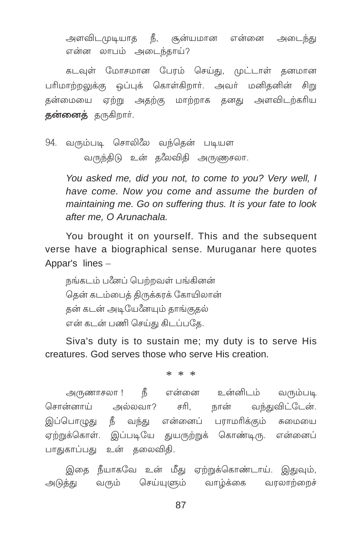அளவிடமுடியாத நீ, சூன்யமான என்னை அடைந்து என்ன லாபம் அடைந்காய்?

கடவுள் மோசமான பேரம் செய்து, முட்டாள் தனமான பரிமாற்றலுக்கு ஒப்புக் கொள்கிறார். அவர் மனிதனின் சிறு தன்மையை ஏற்று அதற்கு மாற்றாக தனது அளவிடற்கரிய தன்னைத் தருகிறார்.

94. வரும்படி சொலிலே வந்தென் படியள வருந்திடு உன் தலேவிதி அருணுசலா.

> You asked me, did you not, to come to you? Very well, I have come. Now you come and assume the burden of maintaining me. Go on suffering thus. It is your fate to look after me. O Arunachala.

You brought it on vourself. This and the subsequent verse have a biographical sense. Muruganar here quotes Appar's lines -

நங்கடம் பஃளப் பெற்றவள் பங்கினன் தென் கடம்பைத் திருக்கரக் கோயிலான் கன் கடன் அடியேனேயும் காங்குகல் என் கடன் பணி செய்து கிடப்பதே.

Siva's duty is to sustain me; my duty is to serve His creatures. God serves those who serve His creation.

 $* * *$ 

அருணாசலா ! நீ என்னை உன்னிடம் வரும்படி சொன்னாய் அல்லவா? சரி. நான் வந்துவிட்டேன். இப்பொழுது நீ வந்து என்னைப் பராமரிக்கும் சுமையை ஏற்றுக்கொள். இப்படியே துயருற்றுக் கொண்டிரு. என்னைப் பாதுகாப்பது உன் தலைவிதி.

இதை நீயாகவே உன் மீது ஏற்றுக்கொண்டாய். இதுவும், அடுத்து வரும் செய்யுளும் வாழ்க்கை வரலாற்றைச்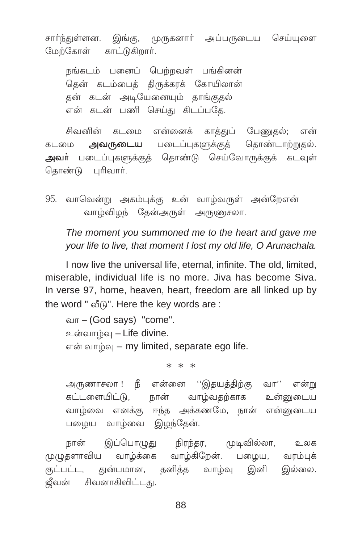சார்ந்துள்ளன. இங்கு, முருகனார் அப்பருடைய செய்யுளை மேற்கோள் காட்டுகிறார்.

நங்கடம் பனைப் பெற்றவள் பங்கினன் தென் கடம்பைத் திருக்கரக் கோயிலான் கன் கடன் அடியேனையும் தாங்குதல் என் கடன் பணி செய்து கிடப்பதே.

சிவனின் கடமை என்னைக் காத்துப் பேணுதல்; என் அவருடைய படைப்புகளுக்குத் தொண்டாற்றுதல். கடமை அவா் படைப்புகளுக்குத் தொண்டு செய்வோருக்குக் கடவுள் தொண்டு புரிவார்.

95. வாவென்று அகம்புக்கு உன் வாழ்வருள் அன்றேஎன் வாழ்விழந் தேன்அருள் அருணுசலா.

The moment you summoned me to the heart and gave me your life to live, that moment I lost my old life, O Arunachala.

I now live the universal life, eternal, infinite. The old, limited, miserable, individual life is no more. Jiva has become Siva. In verse 97, home, heaven, heart, freedom are all linked up by the word " of n". Here the key words are :

வா – (God says) "come". உன்வாம்வு – Life divine. என் வாழ்வு – my limited, separate ego life.

 $* * *$ 

அருணாசலா ! நீ என்னை ''இதயத்திற்கு வா'' என்று கட்டளையிட்டு, நான் வாழ்வதற்காக உன்னுடைய வாழ்வை எனக்கு ஈந்த அக்கணமே, நான் என்னுடைய பழைய வாழ்வை இழந்தேன்.

இப்பொழுது நிரந்தர, முடிவில்லா, நான் உலக முழுதளாவிய வாழ்க்கை வாழ்கிறேன். பழைய, வரம்புக் குட்பட்ட, துன்பமான, தனித்த வாழ்வு இனி இல்லை. ஜீவன் சிவனாகிவிட்டது.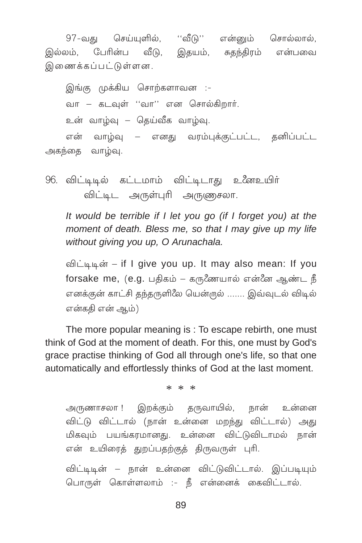97-வது செய்யுளில், ''வீடு'' என்னும் சொல்லால், இதயம், சுதந்திரம் என்பவை இல்லம், பேரின்ப வீடு, இணைக்கப்பட்டுள்ளன.

இங்கு முக்கிய சொற்களாவன :-வா – கடவுள் ''வா'' என சொல்கிறார். உன் வாம்வு – கெய்வீக வாம்வு. என் வாழ்வு – எனது வரம்புக்குட்பட்ட, தனிப்பட்ட அகந்தை வாழ்வு.

96. விட்டிடில் கட்டமாம் விட்டிடாது உனேஉயிர் விட்டிட அருள்புரி அருணுசலா.

It would be terrible if I let you go (if I forget you) at the moment of death. Bless me, so that I may give up my life without giving you up, O Arunachala.

விட்டிடின் – if I give you up. It may also mean: If you எனக்குன் காட்சி தந்தருளிலே யென்ருல் ....... இவ்வுடல் விடில் என்ககி என் ஆம்)

The more popular meaning is: To escape rebirth, one must think of God at the moment of death. For this, one must by God's grace practise thinking of God all through one's life, so that one automatically and effortlessly thinks of God at the last moment.

 $* * *$ 

அருணாசலா ! இறக்கும் தருவாயில், நான் உன்னை விட்டு விட்டால் (நான் உன்னை மறந்து விட்டால்) அது மிகவும் பயங்கரமானது. உன்னை விட்டுவிடாமல் நான் என் உயிரைத் துறப்பதற்குத் திருவருள் புரி.

விட்டிடின் – நான் உன்னை விட்டுவிட்டால். இப்படியும் பொருள் கொள்ளலாம் :- நீ என்னைக் கைவிட்டால்.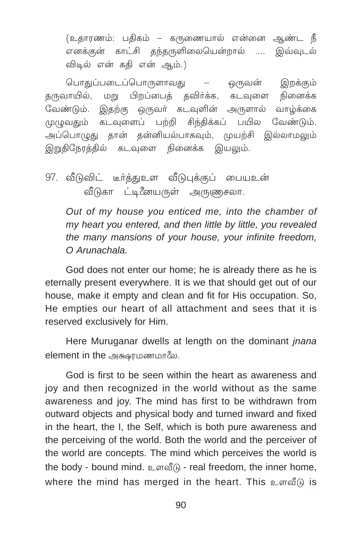(உதாரணம்: பதிகம் – கருணையால் என்னை ஆண்ட நீ எனக்கன் காட்சி கந்தருளிலையென்றால் .... இவ்வுடல் விடில் என் கதி என் ஆம்.)

ொதுப்படைப்பொருளாவது — ஒருவன் இறக்கும் தருவாயில், மறு பிறப்பைத் தவிர்க்க, கடவுளை நினைக்க ேவண்டும். இதற்கு ஒருவர் கடவுளின் அருளால் வாழ்க்கை முழுவதும் கடவுளைப் பற்றி சிந்திக்கப் பயில வேண்டும். அப்பொழுது தான் தன்னியல்பாகவும், முயற்சி இல்லாமலும் இறுதிநேரத்தில் கடவுளை நினைக்க இயலும்.

97. வீடுவிட் டீர்த்துஉள வீடுபுக்குப் பையஉன் வீடுகா ட்டிஃ யைருள் அருணுசலா.

*Out of my house you enticed me, into the chamber of my heart you entered, and then little by little, you revealed the many mansions of your house, your infinite freedom, O Arunachala.*

God does not enter our home; he is already there as he is eternally present everywhere. It is we that should get out of our house, make it empty and clean and fit for His occupation. So, He empties our heart of all attachment and sees that it is reserved exclusively for Him.

Here Muruganar dwells at length on the dominant *jnana* element in the அக்ஷரமணமாலே.

God is first to be seen within the heart as awareness and joy and then recognized in the world without as the same awareness and joy. The mind has first to be withdrawn from outward objects and physical body and turned inward and fixed in the heart, the I, the Self, which is both pure awareness and the perceiving of the world. Both the world and the perceiver of the world are concepts. The mind which perceives the world is the body - bound mind. உளவீடு - real freedom, the inner home, where the mind has merged in the heart. This  $en@A$  is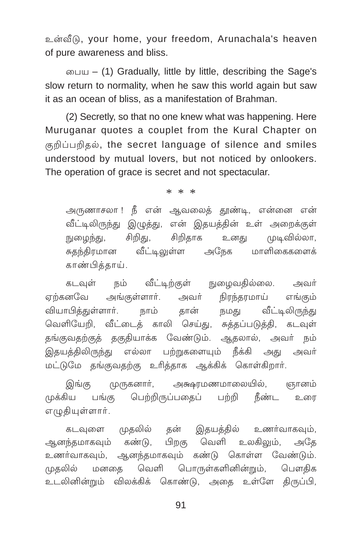உன்வீடு, your home, your freedom, Arunachala's heaven of pure awareness and bliss.

 $\omega$  = (1) Gradually, little by little, describing the Sage's slow return to normality, when he saw this world again but saw it as an ocean of bliss, as a manifestation of Brahman.

(2) Secretly, so that no one knew what was happening. Here Muruganar quotes a couplet from the Kural Chapter on குறிப்பறிதல், the secret language of silence and smiles understood by mutual lovers, but not noticed by onlookers. The operation of grace is secret and not spectacular.

 $* * *$ 

அருணாசலா ! நீ என் ஆவலைத் தூண்டி, என்னை என் வீட்டிலிருந்து இழுத்து, என் இதயத்தின் உள் அறைக்குள் சிறிதாக நுழைந்து, சிறிது, உனது முடிவில்லா, சுதந்திரமான வீட்டிலுள்ள அநேக மாளிகைகளைக் காண்பித்தாய்.

வீட்டிற்குள் நுழைவதில்லை. கடவள் ங் அவர் அங்குள்ளார். அவர் நிரந்தரமாய் எர்கனவே எங்கம் வியாபிக்குள்ளார். நாம் நமது வீட்டிலிருந்து கான் வெளியேறி, வீட்டைத் காலி செய்து, சுத்தப்படுத்தி, கடவுள் தங்குவதற்குத் தகுதியாக்க வேண்டும். ஆதலால், அவர் நம் எல்லா பற்றுகளையும் நீக்கி அகு அவர் இதயத்திலிருந்து மட்டுமே தங்குவதற்கு உரித்தாக ஆக்கிக் கொள்கிறார்.

முருகனார், அக்ஷரமணமாலையில், இங்கு ஞானம் பெற்றிருப்பகைப் பற்றி நீண்ட முக்கிய பங்கு உரை எழுதியுள்ளார்.

இதயத்தில் உணர்வாகவும், முதலில் தன் கடவுளை ஆனந்தமாகவும் கண்டு, உலகிலும். பிறகு வெளி அகே உணர்வாகவும், ஆனந்தமாகவும் கண்டு கொள்ள வேண்டும். முகலில் மனகை வெளி பொருள்களினின்றும், பௌகிக உடலினின்றும் விலக்கிக் கொண்டு, அதை உள்ளே திருப்பி,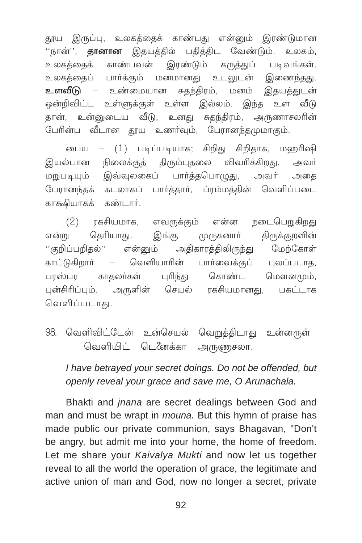தூய இருப்பு, உலகத்தைக் காண்பது என்னும் இரண்டுமான 'நான்'', **தானான** இதயத்தில் பதித்திட வேண்டும். உலகம், காண்பவன் இரண்டும் கருக்குப் படிவங்கள். உலகக்கைக் பார்க்கும் மனமானது உடலுடன் இணைந்தது. உலகக்கைப் – உண்மையான சுகந்திரம், மனம் இகயக்குடன் உளவீடு ஒன்றிவிட்ட உள்ளுக்குள் உள்ள இல்லம். இந்த உள வீடு தான், உன்னுடைய வீடு, உனது சுதந்திரம், அருணாசலரின் பேரின்ப வீடான தூய உணர்வும், பேரானந்தமுமாகும்.

பைய – (1) படிப்படியாக; சிறிது சிறிதாக, மஹரிஷி இயல்பான நிலைக்குத் திரும்புதலை விவரிக்கிறது. அவர் மறுபடியும் இவ்வுலகைப் பார்த்தபொழுது, அவர் அகை பேரானந்தக் கடலாகப் பார்த்தார், ப்ரம்மத்தின் வெளிப்படை காகூியாகக் கண்டார்.

 $(2)$ ரகசியமாக, எவருக்கும் என்ன நடைபெறுகிறது என்று தெரியாது. இங்கு முருகனார் திருக்குறளின் மேற்கோள் ''குறிப்பறிகல்'' என்னும் அதிகாரத்திலிருந்து வெளியாரின் பார்வைக்குப் புலப்படாத, காட்டுகிறார்  $\overline{\phantom{0}}$ கொண்ட மௌனமும், பாஸ்பா காகலர்கள் பரிந்து பன்சிரிப்பும். அருளின் செயல் ரகசியமானது, பகட்டாக வெளிப்படாகு.

98. வெளிவிட்டேன் உன்செயல் வெறுத்திடாது உன்னருள் வெளியிட் டெ*னே*க்கா அருணுசலா.

I have betrayed your secret doings. Do not be offended, but openly reveal your grace and save me. O Arunachala.

Bhakti and *jnana* are secret dealings between God and man and must be wrapt in *mouna*. But this hymn of praise has made public our private communion, says Bhagavan, "Don't be angry, but admit me into your home, the home of freedom. Let me share your Kaivalya Mukti and now let us together reveal to all the world the operation of grace, the legitimate and active union of man and God, now no longer a secret, private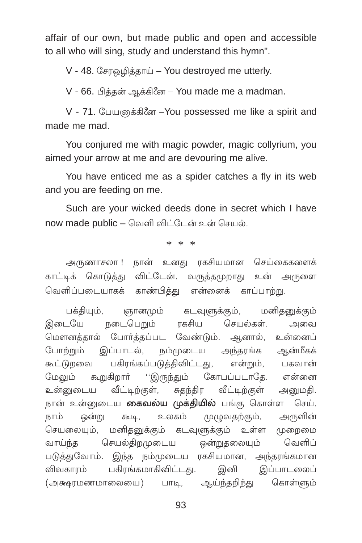affair of our own, but made public and open and accessible to all who will sing, study and understand this hymn".

V - 48. கோஒமிக்காய் – You destroved me utterly.

V - 66. பிக்கன் ஆக்கினே – You made me a madman.

V - 71. பேயுனைக்கின் - You possessed me like a spirit and made me mad.

You conjured me with magic powder, magic collyrium, you aimed your arrow at me and are devouring me alive.

You have enticed me as a spider catches a fly in its web and you are feeding on me.

Such are your wicked deeds done in secret which I have now made public – வெளி விட்டேன் உன் செயல்.

\* \* \*

அருணாசலா ! நான் உனது ரகசியமான செய்கைகளைக் காட்டிக் கொடுத்து விட்டேன். வருத்தமுறாது உன் அருளை வெளிப்படையாகக் காண்பித்து என்னைக் காப்பாற்று.

பக்தியும், ஞானமும் கடவுளுக்கும், மனிதனுக்கும் இடையே நடைபெறும் ரகசிய செயல்கள். அவை மௌனத்தால் போர்த்தப்பட வேண்டும். ஆனால், உன்னைப் போற்றும் இப்பாடல், நம்முடைய அந்தரங்க ஆன்மீகக் கூட்டுறவை பகிரங்கப்படுத்திவிட்டது, என்றும், பகவான் மேலும் கூறுகிறார் ''இருந்தும் கோபப்படாதே. என்னை உன்னுடைய வீட்டிற்குள், சுதந்திர வீட்டிற்குள் அனுமதி. நான் உன்னுடைய **கைவல்ய முக்தியில்** பங்கு கொள்ள செய். .<br>நாம் ஒன்று கூடி, உலகம் முழுவதற்கும், அருளின் செயலையும், மனிதனுக்கும் கடவுளுக்கும் உள்ள முறைமை வாய்ந்த செயல்திறமுடைய ஒன்றுதலையும் வெளிப் படுத்துவோம். இந்த நம்முடைய ரகசியமான, அந்தரங்கமான விவகாரம் பகிரங்கமாகிவிட்டது. இனி இப்பாடலைப் (அக்ஷரமணமாலையை) பாடி, ஆய்ந்தறிந்து கொள்ளும்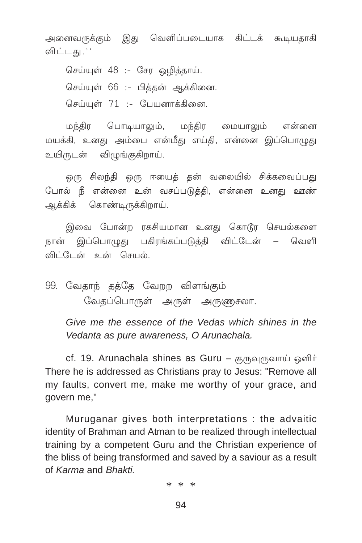அனைவருக்கும் இது வெளிப்படையாக கிட்டக் கூடியதாகி விட்டகு, ''

செய்யுள் 48 :- சேர ஒழித்தாய். செய்யுள் 66 :- பித்தன் ஆக்கினை. செய்யுள் 71 :- பேயனாக்கினை.

மந்திர பொடியாலும், மந்திர மையாலும் என்னை மயக்கி, உனது அம்பை என்மீது எய்தி, என்னை இப்பொழுது உயிருடன் விழுங்குகிறாய்.

ஒரு சிலந்தி ஒரு ஈயைத் தன் வலையில் சிக்கவைப்பது போல் நீ என்னை உன் வசப்படுத்தி, என்னை உனது ஊண் ஆக்கிக் கொண்டிருக்கிறாய்.

இவை போன்ற ரகசியமான உனது கொடூர செயல்களை நான் இப்பொழுது பகிரங்கப்படுத்தி விட்டேன் – வெளி விட்டேன் உன் செயல்.

99. வேதாந் தத்தே வேறற விளங்கும் வேதப்பொருள் அருள் அருணுசலா.

Give me the essence of the Vedas which shines in the Vedanta as pure awareness, O Arunachala.

cf. 19. Arunachala shines as Guru – குருவுருவாய் ஒளிர் There he is addressed as Christians pray to Jesus: "Remove all my faults, convert me, make me worthy of your grace, and govern me,"

Muruganar gives both interpretations : the advaitic identity of Brahman and Atman to be realized through intellectual training by a competent Guru and the Christian experience of the bliss of being transformed and saved by a saviour as a result of Karma and Bhakti

 $* * *$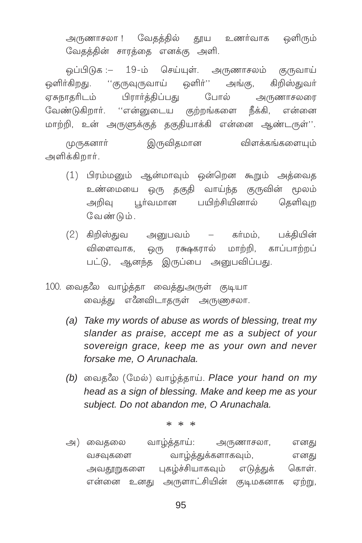அருணாசலா ! வேதத்தில் தூய உணர்வாக ஒளிரும் வேதத்தின் சாரத்தை எனக்கு அளி.

19-ம் செய்யுள். அருணாசலம் குருவாய் ஒப்பிடுக :– ஒளிர்'' ஒளிர்கிறது. ''குருவுருவாய் அங்கு, கிறிஸ்குவர் பிரார்த்திப்பது ஏசுநாதரிடம் போல் அருணாசலரை வேண்டுகிறார். ''என்னுடைய குற்றங்களை நீக்கி, என்னை மாற்றி, உன் அருளுக்குத் தகுதியாக்கி என்னை ஆண்டருள்''.

இருவிதமான விளக்கங்களையம் முருகனார் அளிக்கிறார்.

- (1) பிரம்மனும் ஆன்மாவும் ஒன்றென கூறும் அத்வைத ஒரு தகுதி வாய்ந்த குருவின் மூலம் உண்மையை பூர்வமான பயிற்சியினால் தெளிவா அறிவு வேண்டும்.
- $(2)$  கிறிஸ்துவ அனுபவம் கா்மம், பக்தியின் ரக்ஷகரால் மாற்றி, காப்பாற்றப் விளைவாக, <u>ଡ</u>େ(୮୮) பட்டு, ஆனந்த இருப்பை அனுபவிப்பது.
- 100. வைதலே வாழ்த்தா வைத்துஅருள் குடியா வைத்து எீனவிடாதருள் அருணுசலா.
	- (a) Take my words of abuse as words of blessing, treat my slander as praise, accept me as a subject of your sovereign grace, keep me as your own and never forsake me, O Arunachala.
	- (b) வைதலே (மேல்) வாழ்த்தாய். Place your hand on my head as a sign of blessing. Make and keep me as your subject. Do not abandon me, O Arunachala.

 $* * *$ 

வாம்த்தாய்: அருணாசலா, அ) வைதலை எனது வாழ்த்துக்களாகவும், வசவுகளை எனது அவதூறுகளை புகழ்ச்சியாகவும் எடுத்துக் கொள் என்னை உனது அருளாட்சியின் குடிமகனாக ஏற்று,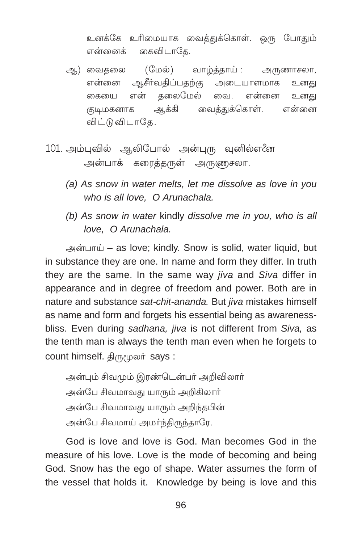உனக்கே உரிமையாக வைத்துக்கொள். ஒரு போதும் என்னைக் கைவிடாகே.

- (மேல்) வாழ்த்தாய் : அூ) வைகலை அருணாசலா, ஆசீர்வதிப்பதற்கு என்னை அடையாளமாக உனது என் தலைமேல் வை. என்னை உனகு கையை ஆக்கி வைத்துக்கொள். குடிமகனாக என்னை விட்டுவிடாதே.
- 101. அம்புவில் ஆலிபோல் அன்புரு வுனில்எனே அன்பாக் கரைத்தருள் அருணுசலா.
	- (a) As snow in water melts, let me dissolve as love in you who is all love, O Arunachala.
	- (b) As snow in water kindly dissolve me in you, who is all love. O Arunachala.

அன்பாய் – as love; kindly. Snow is solid, water liquid, but in substance they are one. In name and form they differ. In truth they are the same. In the same way *jiva* and Siva differ in appearance and in degree of freedom and power. Both are in nature and substance sat-chit-ananda. But jiva mistakes himself as name and form and forgets his essential being as awarenessbliss. Even during sadhana, jiva is not different from Siva, as the tenth man is always the tenth man even when he forgets to count himself. திருமூலர் says :

அன்பும் சிவமும் இரண்டென்பர் அறிவிலார் அன்பே சிவமாவது யாரும் அறிகிலார் அன்பே சிவமாவது யாரும் அறிந்தபின் அன்பே சிவமாய் அமர்ந்திருந்தாரே.

God is love and love is God. Man becomes God in the measure of his love. Love is the mode of becoming and being God. Snow has the ego of shape. Water assumes the form of the vessel that holds it. Knowledge by being is love and this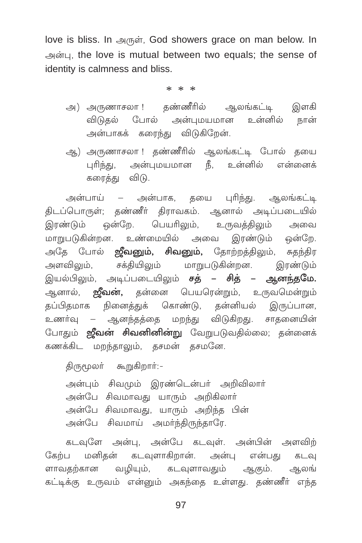love is bliss. In அருள், God showers grace on man below. In அன்பு, the love is mutual between two equals; the sense of identity is calmness and bliss.

 $* * *$ 

- அ) அருணாசலா ! தண்ணீரில் ஆலங்கட்டி இளகி விடுதல் போல் அன்புமயமான உன்னில் நான் அன்பாகக் கரைந்து விடுகிறேன்.
- ஆ) அருணாசலா ! தண்ணீரில் ஆலங்கட்டி போல் தயை புரிந்து, அன்புமயமான நீ, உன்னில் என்னைக் கரைக்கு விடு.

அன்பாய் – அன்பாக, தயை புரிந்து. ஆலங்கட்டி திடப்பொருள்; தண்ணீர் திராவகம். ஆனால் அடிப்படையில் இரண்டும் ஒன்றே. பெயரிலும், உருவத்திலும் அவை மாறுபடுகின்றன. உண்மையில் அவை இரண்டும் ஒன்றே. அதே போல் **ஜீவனும், சிவனும்,** தோற்றத்திலும், சுதந்திர அளவிலும், சக்தியிலும் மாறுபடுகின்றன. இரண்டும் இயல்பிலும், அடிப்படையிலும் சத் – சித் – ஆனந்த**மே.** ஆனால், **ஜீவன்,** தன்னை பெயரென்றும், உருவமென்றும் தப்பிதமாக நினைத்துக் கொண்டு, தன்னியல் இருப்பான, உணர்வு – ஆனந்தத்தை மறந்து விடுகிறது. சாதனையின் போதும் **ஜீவன் சிவனினின்று** வேறுபடுவதில்லை; தன்னைக் கணக்கிட மறந்தாலும், தசமன் தசமனே.

```
திருமூலா் கூறுகிறாா்:-
```
அன்பும் சிவமும் இரண்டென்பர் அறிவிலார் அன்பே சிவமாவது யாரும் அறிகிலார் அன்பே சிவமாவது, யாரும் அறிந்த பின் அன்பே சிவமாய் அமர்ந்திருந்தாரே.

கடவுளே அன்பு, அன்பே கடவுள். அன்பின் அளவிற் கேற்ப மனிதன் கடவுளாகிறான். அன்பு என்பது கடவு ளாவதற்கான வழியும், கடவுளாவதும் ஆகும். ஆலங் கட்டிக்கு உருவம் என்னும் அகந்தை உள்ளது. தண்ணீர் எந்த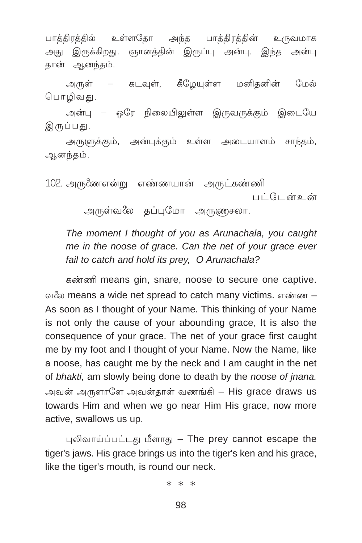பாத்திரத்தில் உள்ளதோ அந்த பாத்திரத்தின் உருவமாக அது இருக்கிறது. ஞானத்தின் இருப்பு அன்பு. இந்த அன்பு தான் ஆனந்தம்.

அருள் – கடவுள், கீழேயுள்ள மனிதனின் மேல் பொழிவது.

அன்பு – ஒரே நிலையிலுள்ள இருவருக்கும் இடையே இருப்பது.

அருளுக்கும், அன்புக்கும் உள்ள அடையாளம் சாந்தம், ஆனந்தம்.

102. அருணேஎன்று எண்ணயான் அருட்கண்ணி பட்டேன் உள்

அருள்வலே கப்புமோ அருணுசலா.

The moment I thought of you as Arunachala, you caught me in the noose of grace. Can the net of your grace ever fail to catch and hold its prey, O Arunachala?

கண்ணி means gin, snare, noose to secure one captive. வலே means a wide net spread to catch many victims. எண்ண – As soon as I thought of your Name. This thinking of your Name is not only the cause of your abounding grace, It is also the consequence of your grace. The net of your grace first caught me by my foot and I thought of your Name. Now the Name, like a noose, has caught me by the neck and I am caught in the net of bhakti, am slowly being done to death by the noose of jnana. அவன் அருளாளே அவன்தாள் வணங்கி – His grace draws us towards Him and when we go near Him His grace, now more active, swallows us up.

புலிவாய்ப்பட்டது மீளாது - The prey cannot escape the tiger's jaws. His grace brings us into the tiger's ken and his grace. like the tiger's mouth, is round our neck.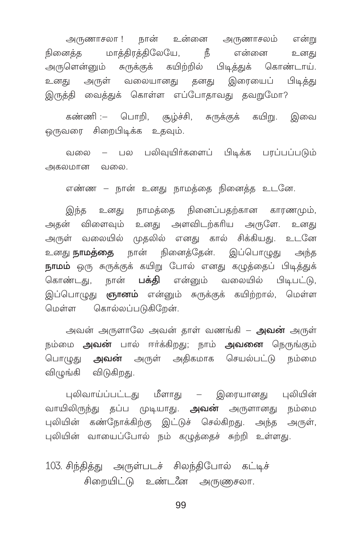அருணாசலா ! நான் உன்னை அருணாசலம் என்று நினைத்த மாத்திரத்திலேயே, நீ என்னை உனது அருளென்னும் சுருக்குக் கயிற்றில் பிடித்துக் கொண்டாய். உனது அருள் வலையானது தனது இரையைப் பிடித்து இருத்தி வைத்துக் கொள்ள எப்போதாவது கவறுமோ?

கண்ணி :– பொறி, சூழ்ச்சி, சுருக்குக் கயிறு. இவை ஒருவரை சிறைபிடிக்க உதவும்.

வலை – பல பலிவயிர்களைப் பிடிக்க பாப்பப்படும் அகலமான வலை.

எண்ண – நான் உனது நாமத்தை நினைத்த உடனே.

இந்த உனது நாமத்தை நினைப்பதற்கான காரணமும், அதன் விளைவும் உனது அளவிடற்கரிய அருளே. உனது அருள் வலையில் முதலில் எனது கால் சிக்கியது. உடனே உனது **நாமத்தை** நான் நினைத்தேன். இப்பொழுது அந்த நாமம் ஒரு சுருக்குக் கயிறு போல் எனது கழுத்தைப் பிடித்துக் கொண்டது, நான் **பக்கி** என்னும் வலையில் பிடிபட்டு, இப்பொழுது **ஞானம்** என்னும் சுருக்குக் கயிற்றால், மெள்ள மெள்ள கொல்லப்படுகிறேன்.

அவன் அருளாலே அவன் காள் வணங்கி – **அவன்** அருள் நம்மை **அவன்** பால் ஈா்க்கிறது; நாம் **அவனை** நெருங்கும் பொழுது **அவன்** அருள் அதிகமாக செயல்பட்டு நம்மை விழுங்கி விடுகிறது.

புலிவாய்ப்பட்டது மீளாது – இரையானது புலியின் வாயிலிருந்து தப்ப முடியாது. **அவன்** அருளானது நம்மை புலியின் கண்நோக்கிற்கு இட்டுச் செல்கிறது. அந்த அருள், புலியின் வாயைப்போல் நம் கழுத்தைச் சுற்றி உள்ளது.

103. சிந்தித்து அருள்படச் சிலந்திபோல் கட்டிச் சிறையிட்டு உண்டனே அருணுசலா.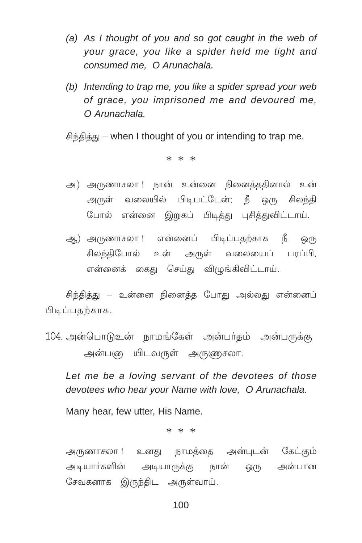- (a) As I thought of you and so got caught in the web of vour grace, you like a spider held me tight and consumed me. O Arunachala.
- (b) Intending to trap me, you like a spider spread your web of grace, you imprisoned me and devoured me.  $O$  Arunachala

சிந்தித்து – when I thought of you or intending to trap me.

 $* * *$ 

- அ) அருணாசலா ! நான் உன்னை நினைத்ததினால் உன் அருள் வலையில் பிடிபட்டேன்; நீ ஒரு சிலந்தி போல் என்னை இறுகப் பிடித்து புசித்துவிட்டாய்.
- ஆ) அருணாசலா ! என்னைப் பிடிப்பதற்காக நீ ஒ(ந சிலந்திபோல் உன் அருள் வலையைப் பரப்பி, என்னைக் கைது செய்து விழுங்கிவிட்டாய்.

சிந்தித்து – உன்னை நினைத்த போது அல்லது என்னைப் பிடிப்பகற்காக.

104. அன்பொடுஉன் நாமங்கேள் அன்பர்தம் அன்பருக்கு அன்புையிடவருள் அருணுசலா.

Let me be a loving servant of the devotees of those devotees who hear your Name with love, O Arunachala.

Many hear, few utter, His Name.

 $* * *$ 

அருணாசலா !உனது நாமத்தை அன்புடன் கேட்கும் அடியார்களின் அடியாருக்கு நான் ஒரு அன்பான சேவகனாக இருந்திட அருள்வாய்.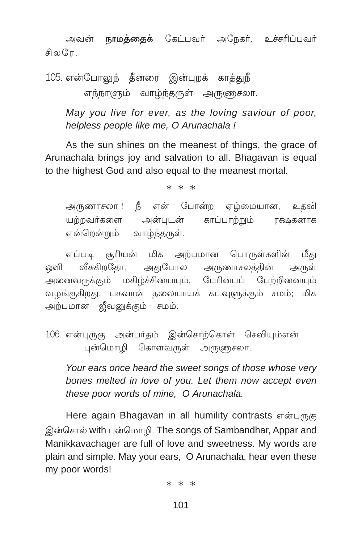அவன் **நாமத்தைக்** கேட்பவர் அநேகர், உச்சரிப்பவர் சிலரே.

105. என்போலுந் தீனரை இன்புறக் காத்துநீ எந்நாளும் வாழ்ந்தருள் அருணுசலா.

May you live for ever, as the loving saviour of poor, helpless people like me. O Arunachala !

As the sun shines on the meanest of things, the grace of Arunachala brings joy and salvation to all. Bhagayan is equal to the highest God and also equal to the meanest mortal.

 $* * *$ 

அருணாசலா ! நீ என் போன்ற ஏழ்மையான, உகவி யற்றவர்களை அன்புடன் காப்பாற்றும் ரக்ஷகனாக என்றென்றும் வாழ்ந்தருள்.

எப்படி சூரியன் மிக அற்பமான பொருள்களின் மீது ஒளி வீசுகிறதோ, அதுபோல அருணாசலத்தின் அருள் .<br>அனைவருக்கும் மகிழ்ச்சியையும், பேரின்பப் பேற்றினையும் வழங்குகிறது. பகவான் தலையாயக் கடவுளுக்கும் சமம்; மிக அற்பமான ஜீவனுக்கும் சமம்.

106. என்புருகு அன்பர்தம் இன்சொற்கொள் செவியும்என் புன்மொழி கொளவருள் அருணுசலா.

Your ears once heard the sweet songs of those whose very bones melted in love of you. Let them now accept even these poor words of mine, O Arunachala.

Here again Bhagavan in all humility contrasts என்புருகு இன்சொல் with புன்மொழி. The songs of Sambandhar, Appar and Manikkavachager are full of love and sweetness. My words are plain and simple. May your ears. O Arunachala, hear even these my poor words!

 $* * *$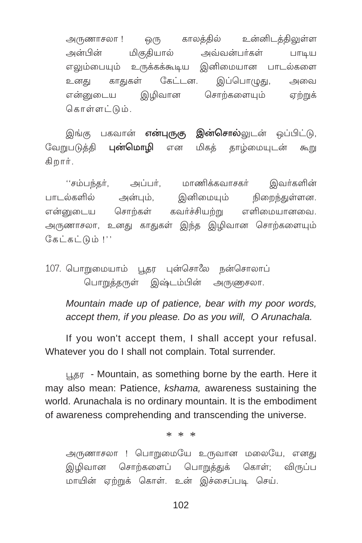ஒரு காலக்கில் உன்னிடக்கிலுள்ள அருணாசலா ! மிகுதியால் அவ்வன்பர்கள் அன்பின் பாடிய எலும்பையும் உருக்கக்கூடிய இனிமையான பாடல்களை காதுகள் இப்பொழுது, கேட்டன. உனகு அவை சொற்களையும் என்னுடைய இமிவான ஏற்றுக் கொள்ளட்டும்.

**இன்சொல்**லுடன் ஒப்பிட்டு, இங்கு பகவான் **என்புருகு** வேறுபடுத்தி புன்மொமி மிகத் தாழ்மையுடன் என கூறு கிறார்.

''சம்பந்தர், மாணிக்கவாசகர் இவர்களின் அப்பர், அன்பும், இனிமையும் நிறைந்துள்ளன. பாடல்களில் கவர்ச்சியற்று எளிமையானவை. என்னடைய சொற்கள் அருணாசலா, உனது காதுகள் இந்த இழிவான சொற்களையும் கேட்கட்டும் !''

107. பொறுமையாம் பகா பன்சொலே நன்சொலாப் பொறுத்தருள் இஷ்டம்பின் அருணுசலா.

Mountain made up of patience, bear with my poor words, accept them, if you please. Do as you will, O Arunachala.

If you won't accept them. I shall accept your refusal. Whatever you do I shall not complain. Total surrender.

பூதர - Mountain, as something borne by the earth. Here it may also mean: Patience, kshama, awareness sustaining the world. Arunachala is no ordinary mountain. It is the embodiment of awareness comprehending and transcending the universe.

 $* * *$ 

அருணாசலா ! பொறுமையே உருவான மலையே, எனது சொற்களைப் பொறுத்துக் கொள்: விருப்ப இமிவான மாயின் ஏற்றுக் கொள். உன் இச்சைப்படி செய்.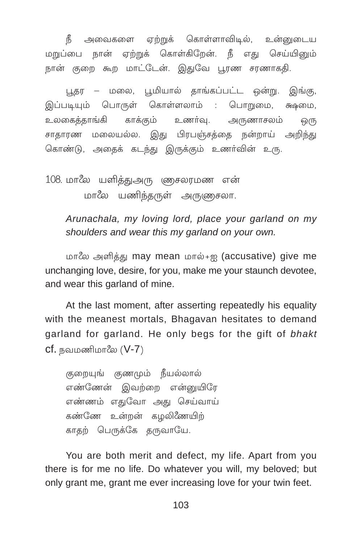நீ அவைகளை ஏற்றுக் கொள்ளாவிடில், உன்னுடைய மறுப்பை நான் ஏற்றுக் கொள்கிறேன். நீ எது செய்யினும் நான் குறை கூற மாட்டேன். இதுவே பூரண சரணாகதி.

புகர – மலை, பூமியால் காங்கப்பட்ட ஒன்று. இங்கு, இப்படியும் பொருள் கொள்ளலாம் : பொறுமை, க்ஷமை, உலகைக்காங்கி காக்கும் உணர்வு. அருணாசலம் <u>ஒ</u>(ந சாதாரண மலையல்ல. இது பிரபஞ்சத்தை நன்றாய் அறிந்து கொண்டு, அதைக் கடந்து இருக்கும் உணர்வின் உரு.

108. மாலே யளித்துஅரு ணுசலரமண என்

மாலே யணிந்தருள் அருணுசலா.

Arunachala, my loving lord, place your garland on my shoulders and wear this my garland on your own.

மாலே அளித்து may mean மால்+ஐ (accusative) give me unchanging love, desire, for you, make me your staunch devotee, and wear this garland of mine.

At the last moment, after asserting repeatedly his equality with the meanest mortals, Bhagavan hesitates to demand garland for garland. He only begs for the gift of bhakt  $cf.$  நவமணிமாலே  $(V-7)$ 

குறையுங் குணமும் நீயல்லால் எண்ணேன் இவற்றை என்னுயிரே எண்ணம் எதுவோ அது செய்வாய் கண்ணே உன்றன் கழலிணேயிற் காதற் பெருக்கே தருவாயே.

You are both merit and defect, my life. Apart from you there is for me no life. Do whatever you will, my beloved; but only grant me, grant me ever increasing love for your twin feet.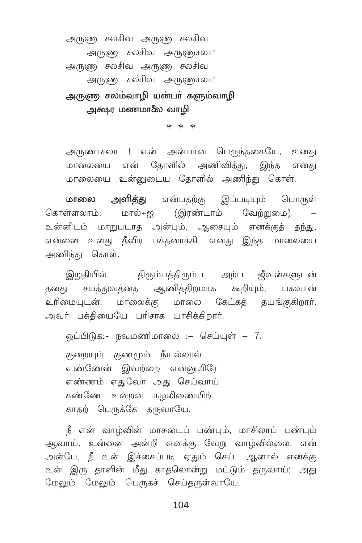அருணு சலசிவ அருணு சலசிவ அருணு சலசிவ அருணுசலா! அருணு சலசிவ அருணு சலசிவ அருணு சலசிவ அருணுசலா! அருண சலம்வாழி யன்பா் களும்வாழி அக்ஷா மணமாலே வாமி

 $* * *$ 

அருணாசலா ! என் அன்பான பெருந்தகையே, உனது மாலையை என் தோளில் அணிவித்து, இந்த எனது மாலையை உன்னுடைய கோளில் அணிந்து கொள்.

மாலை அளித்து என்பதற்கு இப்படியும் பொருள் கொள்ளலாம்: மால்+ஐ (இரண்டாம் வேற்றுமை) – உன்னிடம் மாறுபடாத அன்பும், ஆசையும் எனக்குத் தந்து, என்னை உனது தீவிர பக்தனாக்கி, எனது இந்த மாலையை அணிந்து கொள்.

இறுதியில், திரும்பத்திரும்ப, அற்ப ஜீவன்களுடன் தனது சமத்துவத்தை ஆணித்திறமாக கூறியும், பகவான் உரிமையுடன், மாலைக்கு மாலை கேட்கத் தயங்குகிறார். அவர் பக்தியையே பரிசாக யாசிக்கிறார்.

ஒப்பிடுக:- நவமணிமாலை :– செய்யுள் – 7. குறையும் குணமும் நீயல்லால் எண்ணேன் இவற்றை என்னுயிரே எண்ணம் எதுவோ அது செய்வாய் கண்ணே உன்றன் கழலிணையிற் காதற் பெருக்கே தருவாயே.

நீ என் வாழ்வின் மாசுடைப் பண்பும், மாசிலாப் பண்பும் ஆவாய். உன்னை அன்றி எனக்கு வேறு வாழ்வில்லை. என் அன்பே, நீ உன் இச்சைப்படி ஏதும் செய். ஆனால் எனக்கு உன் இரு தாளின் மீது காதலொன்று மட்டும் தருவாய்; அது மேலும் மேலும் பெருகச் செய்தருள்வாயே.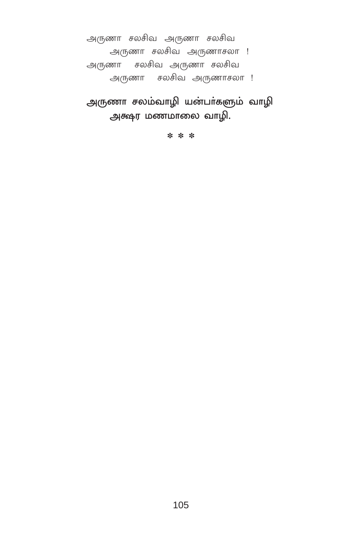அருணா சலசிவ அருணா சலசிவ அருணா சலசிவ அருணாசலா ! அருணா சலசிவ அருணா சலசிவ

அருணா சலசிவ அருணாசலா !

அருணா சலம்வாழி யன்பா்களும் வாழி அக்ஷர மணமாலை வாழி.

\* \* \*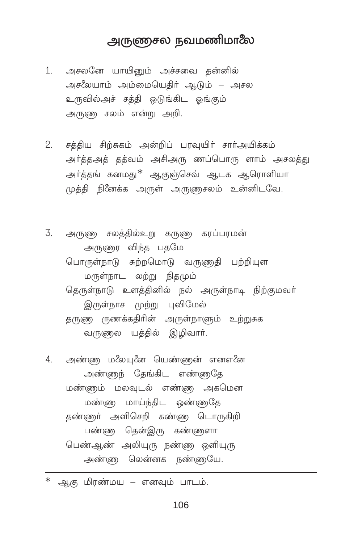## அருணுசல நவமணிமாலே

- 1. அசலனே யாயினும் அச்சவை தன்னில் அசீலயாம் அம்மையெகிர் ஆடும் – அசல உருவில்அச் சத்தி ஒடுங்கிட ஒங்கும் அருணு சலம் என்று அறி.
- சத்திய சிற்சுகம் அன்றிப் பரவுயிர் சார்அயிக்கம் 2. அர்த்தஅத் தத்வம் அசிஅரு ணப்பொரு ளாம் அசலத்து அர்த்தங் கனமது<sup>\*</sup> ஆகுஞ்செவ் ஆடக ஆரொளியா முத்தி நினேக்க அருள் அருணுசலம் உன்னிடவே.
- 3. அருணு சலத்தில்உறு கருணு கரப்பரமன் அருணுர் விந்த பகமே பொருள்நாடு சுற்றமொடு வருணதி பற்றியுள மருள்நாட லற்று நிதமும் தெருள்நாடு உளத்தினில் நல் அருள்நாடி நிற்குமவர் இருள்நாச முற்று புவிமேல் தருணு ருணக்கதிரின் அருள்நாளும் உற்றுசுக வருணுல யத்தில் இழிவார்.

அண்ண மஃயனே யெண்ணன் எனஎனே  $4\overline{ }$ அண்ணுந் தேங்கிட எண்ணதே மன்ளும் மலவுடல் எண்ணு அகமென மண்ண மாய்ந்திட ஒண்ணகே தண்ணர் அளிசெறி கண்ண டொருகிறி பண்ண கென்இரு கண்ணைா பெண்ஆண் அலியுரு நண்ணு ஒளியுரு அண்ணு லென்னக நண்ணுயே.

 $\ast$ ஆகு மிரண்மய – எனவும் பாடம்.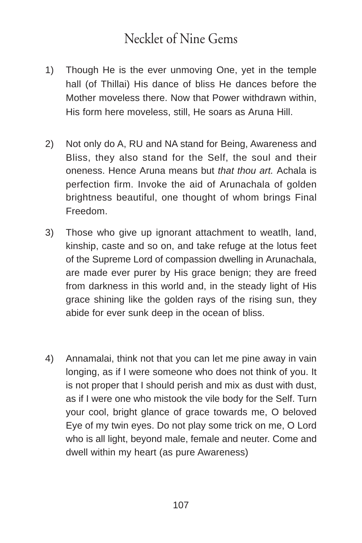## Necklet of Nine Gems

- 1) Though He is the ever unmoving One, yet in the temple hall (of Thillai) His dance of bliss He dances before the Mother moveless there. Now that Power withdrawn within, His form here moveless, still, He soars as Aruna Hill.
- 2) Not only do A, RU and NA stand for Being, Awareness and Bliss, they also stand for the Self, the soul and their oneness. Hence Aruna means but *that thou art.* Achala is perfection firm. Invoke the aid of Arunachala of golden brightness beautiful, one thought of whom brings Final Freedom.
- 3) Those who give up ignorant attachment to weatlh, land, kinship, caste and so on, and take refuge at the lotus feet of the Supreme Lord of compassion dwelling in Arunachala, are made ever purer by His grace benign; they are freed from darkness in this world and, in the steady light of His grace shining like the golden rays of the rising sun, they abide for ever sunk deep in the ocean of bliss.
- 4) Annamalai, think not that you can let me pine away in vain longing, as if I were someone who does not think of you. It is not proper that I should perish and mix as dust with dust, as if I were one who mistook the vile body for the Self. Turn your cool, bright glance of grace towards me, O beloved Eye of my twin eyes. Do not play some trick on me, O Lord who is all light, beyond male, female and neuter. Come and dwell within my heart (as pure Awareness)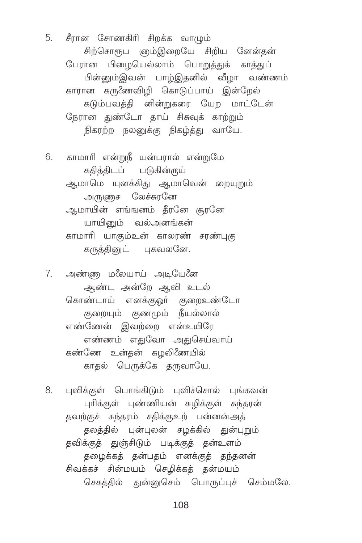5. சீரான சோணகிரி சிறக்க வாழும் சிற்சொரூப ஞம்இறையே சிறிய னேன்தன் பேரான பிழையெல்லாம் பொறுத்துக் காத்துப் பின்னும்இவன் பாழ்இதனில் வீழா வண்ணம் காரான கருணேவிழி கொடுப்பாய் இன்றேல் கடும்பவத்தி னின்றுகரை யேற மாட்டேன் நேரான துண்டோ தாய் சிசுவுக் காற்றும் நிகரற்ற நலனுக்கு நிகழ்த்து வாயே.

6. காமாரி என்றுநீ யன்பரால் என்றுமே கதித்திடப் படுகின்ருய் ஆமாமெ யுனக்கிது ஆமாவென் றையுறும் அருணுச லேச்சுரனே ஆமாயின் எங்ஙனம் கீரனே கூரனே யாயினும் வல்அனங்கன் காமாரி யாகும்உன் காலரண் சரண்புகு கருத்தினுட் புகவலனே.

7. அண்ண மஃயாய் அடியேனே ஆண்ட அன்றே ஆவி உடல் கொண்டாய் எனக்குஓர் குறைஉண்டோ குறையும் குணமும் நீயல்லால் எண்ணேன் இவற்றை என்உயிரே எண்ணம் எதுவோ அதுசெய்வாய் கண்ணே உன்தன் கழலிணேயில் காதல் பெருக்கே தருவாயே.

8. புவிக்குள் பொங்கிடும் புவிச்சொல் புங்கவன் புரிக்குள் புண்ணியன் சுழிக்குள் சுந்தரன் தவற்குச் சுந்தரம் சதிக்குஉற் பன்னன்அக் தலத்தில் புன்புலன் சழக்கில் துன்புறும் தவிக்குத் துஞ்சிடும் படிக்குத் தன்உளம் தழைக்கத் தன்பதம் எனக்குத் தந்தனன் சிவக்கச் சின்மயம் செழிக்கத் தன்மயம் செகத்தில் துன்னுசெம் பொருப்புச் செம்மலே.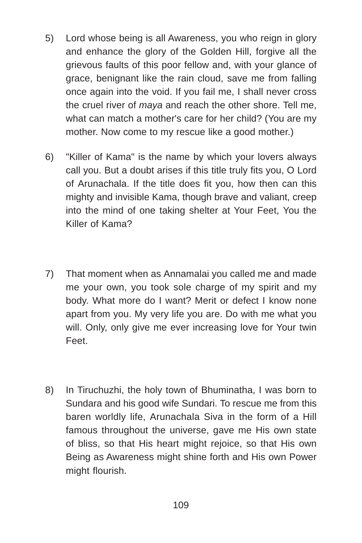- 5) Lord whose being is all Awareness, you who reign in glory and enhance the glory of the Golden Hill, forgive all the grievous faults of this poor fellow and, with your glance of grace, benignant like the rain cloud, save me from falling once again into the void. If you fail me, I shall never cross the cruel river of *maya* and reach the other shore. Tell me, what can match a mother's care for her child? (You are my mother. Now come to my rescue like a good mother.)
- 6) "Killer of Kama" is the name by which your lovers always call you. But a doubt arises if this title truly fits you, O Lord of Arunachala. If the title does fit you, how then can this mighty and invisible Kama, though brave and valiant, creep into the mind of one taking shelter at Your Feet, You the Killer of Kama?
- 7) That moment when as Annamalai you called me and made me your own, you took sole charge of my spirit and my body. What more do I want? Merit or defect I know none apart from you. My very life you are. Do with me what you will. Only, only give me ever increasing love for Your twin Feet.
- 8) In Tiruchuzhi, the holy town of Bhuminatha, I was born to Sundara and his good wife Sundari. To rescue me from this baren worldly life, Arunachala Siva in the form of a Hill famous throughout the universe, gave me His own state of bliss, so that His heart might rejoice, so that His own Being as Awareness might shine forth and His own Power might flourish.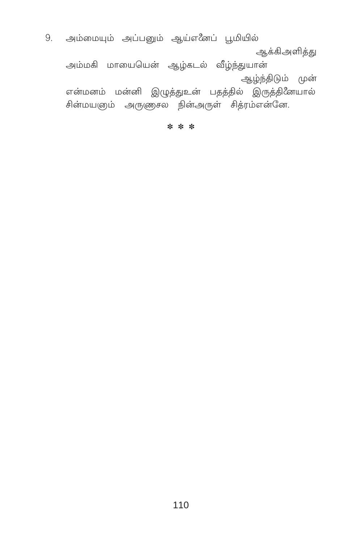9. அம்மையும் அப்பனும் ஆய்எீனப் பூமியில் ஆக்கிஅளித்து

அம்மகி மாயையென் ஆழ்கடல் வீழ்ந்துயான் ஆழ்ந்திடும் முன்

என்மனம் மன்னி இழுத்துஉன் பதத்தில் இருத்தினேயால் சின்மயஞம் அருளுசல நின்அருள் சித்ரம்என்னே.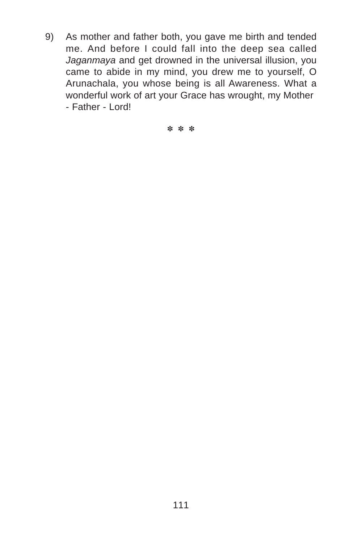9) As mother and father both, you gave me birth and tended me. And before I could fall into the deep sea called *Jaganmaya* and get drowned in the universal illusion, you came to abide in my mind, you drew me to yourself, O Arunachala, you whose being is all Awareness. What a wonderful work of art your Grace has wrought, my Mother - Father - Lord!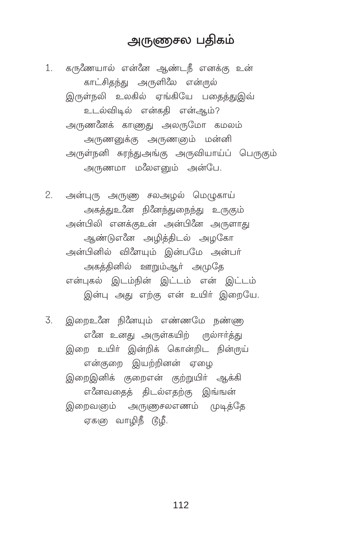### அருணுசல பதிகம்

1. கருணேயால் என்னே ஆண்டநீ எனக்கு உன் காட்சிதந்து அருளிலே என்ருல் இருள்நலி உலகில் எங்கியே பகைக்குஇவ் உடல்விடில் என்கதி என்ஆம்? அருணனேக் காணுது அலருமோ கமலம் அருணனுக்கு அருணனும் மன்னி அருள்நனி சுரந்துஅங்கு அருவியாய்ப் பெருகும் அருணமா மலேஎமை் அன்பே.

 $2.$ அன்புரு அருணு சலஅழல் மெழுகாய் அகத்துஉனே நினேந்துநைந்து உருகும் அன்பிலி எனக்குஉன் அன்பினே அருளாது ஆண்டுஎனே அழித்திடல் அழகோ அன்பினில் விளேயும் இன்பமே அன்பர் அகத்தினில் ஊறும்ஆர் அமுதே என்புகல் இடம்நின் இட்டம் என் இட்டம் இன்பு அது எற்கு என் உயிர் இறையே.

இறைஉனே நினேயும் எண்ணமே நண்ண 3. எனே உனது அருள்கயிற் ருல்ஈர்த்து இறை உயிர் இன்றிக் கொன்றிட நின்ருய் என்குறை இயற்றினன் ஏழை இறைஇனிக் குறைஎன் குற்றுயிர் ஆக்கி எனேவதைத் திடல்எதற்கு இங்ஙன் இறைவஞம் அருணுசலஎனம் முடிக்கே ஏகஞ வாழிநீ டூழீ.

112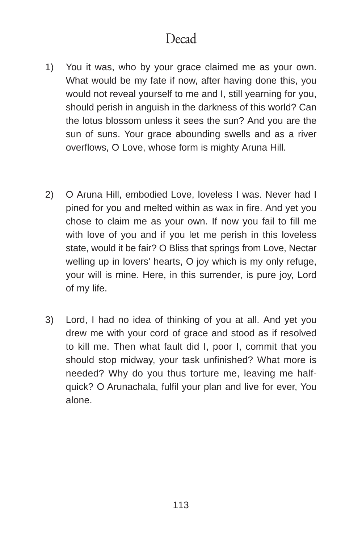# Decad

- 1) You it was, who by your grace claimed me as your own. What would be my fate if now, after having done this, you would not reveal yourself to me and I, still yearning for you, should perish in anguish in the darkness of this world? Can the lotus blossom unless it sees the sun? And you are the sun of suns. Your grace abounding swells and as a river overflows, O Love, whose form is mighty Aruna Hill.
- 2) O Aruna Hill, embodied Love, loveless I was. Never had I pined for you and melted within as wax in fire. And yet you chose to claim me as your own. If now you fail to fill me with love of you and if you let me perish in this loveless state, would it be fair? O Bliss that springs from Love, Nectar welling up in lovers' hearts, O joy which is my only refuge, your will is mine. Here, in this surrender, is pure joy, Lord of my life.
- 3) Lord, I had no idea of thinking of you at all. And yet you drew me with your cord of grace and stood as if resolved to kill me. Then what fault did I, poor I, commit that you should stop midway, your task unfinished? What more is needed? Why do you thus torture me, leaving me halfquick? O Arunachala, fulfil your plan and live for ever, You alone.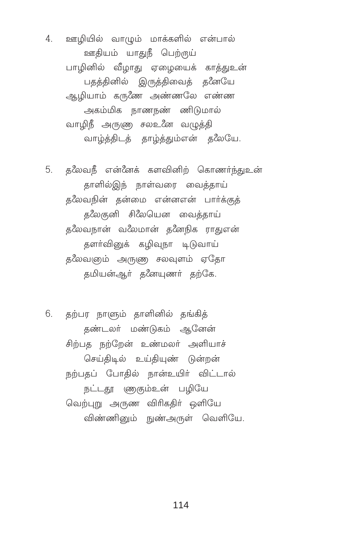4. ஊழியில் வாழும் மாக்களில் என்பால் ஊதியம் யாதுநீ பெற்ருய் பாழினில் வீழாது ஏழையைக் காத்துஉன் பதத்தினில் இருத்திவைத் தனேயே ஆழியாம் கருணே அண்ணலே எண்ண அகம்மிக நாணநண் ணிடுமால் வாழிநீ அருணு சலஉனே வழுத்தி வாழ்த்திடத் தாழ்த்தும்என் த&ைய.

5. தலேவநீ என்னேக் களவினிற் கொணர்ந்துஉன் தாளில்இந் நாள்வரை வைத்தாய் தலேவநின் தன்மை என்னஎன் பார்க்குத் தலேகுனி சிலேயென வைத்தாய் தலேவநான் வலேமான் தனேநிக ராதுஎன் தளா்வினுக் கழிவுநா டிடுவாய் தலேவஞம் அருணு சலவுளம் ஏதோ கமியன்ஆர் கணேயுணர் கற்கே.

6. தற்பர நாளும் தாளினில் தங்கித் தண்டலர் மண்டுகம் ஆனேன் சிற்பத நற்றேன் உண்மலர் அளியாச் செய்திடில் உய்தியுண் டுன்றன் நற்பதப் போதில் நான்உயிர் விட்டால் நட்டதூ ணகும்உன் பழியே வெற்புறு அருண விரிகதிர் ஒளியே விண்ணினும் நுண்அருள் வெளியே.

114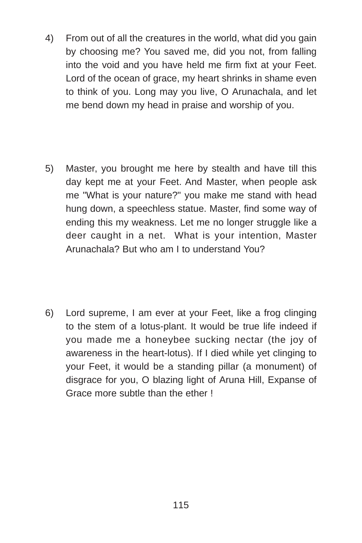- 4) From out of all the creatures in the world, what did you gain by choosing me? You saved me, did you not, from falling into the void and you have held me firm fixt at your Feet. Lord of the ocean of grace, my heart shrinks in shame even to think of you. Long may you live, O Arunachala, and let me bend down my head in praise and worship of you.
- 5) Master, you brought me here by stealth and have till this day kept me at your Feet. And Master, when people ask me "What is your nature?" you make me stand with head hung down, a speechless statue. Master, find some way of ending this my weakness. Let me no longer struggle like a deer caught in a net. What is your intention, Master Arunachala? But who am I to understand You?
- 6) Lord supreme, I am ever at your Feet, like a frog clinging to the stem of a lotus-plant. It would be true life indeed if you made me a honeybee sucking nectar (the joy of awareness in the heart-lotus). If I died while yet clinging to your Feet, it would be a standing pillar (a monument) of disgrace for you, O blazing light of Aruna Hill, Expanse of Grace more subtle than the ether !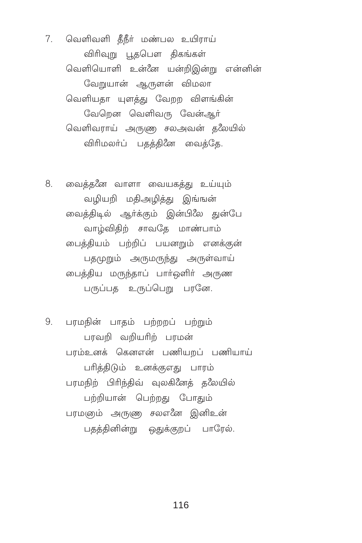7. வெளிவளி தீநீர் மண்பல உயிராய் விரிவுறு பூதபௌ திகங்கள் வெளியொளி உன்னே யன்றிஇன்று என்னின் வேறுயான் ஆருளன் விமலா வெளியகா யளக்கு வேறற விளங்கின் வேறென வெளிவரு வேன்ஆர் வெளிவராய் அருண சலஅவன் த&ேயில் விரிமலா்ப் பதத்தினே வைத்தே.

8. வைத்தனே வாளா வையகத்து உய்யும் வழியறி மதிஅழித்து இங்ஙன் வைக்கிடில் ஆர்க்கும் இன்பிலே துன்பே வாழ்விதிற் சாவதே மாண்பாம் பைத்தியம் பற்றிப் பயனறும் எனக்குன் பதமுறும் அருமருந்து அருள்வாய் பைத்திய மருந்தாப் பார்ஒளிர் அருண பருப்பத உருப்பெறு பரனே.

9. பரமநின் பாதம் பற்றறப் பற்றும் பரவறி வறியரிற் பரமன் பரம்உனக் கெனஎன் பணியறப் பணியாய் பரிக்கிடும் உனக்குஎது பாரம் பரமநிற் பிரிந்திவ் வுலகினேத் தலேயில் பற்றியான் பெற்றது போதும் பரமஞம் அருணு சலஎனே இனிஉன் பதத்தினின்று ஒதுக்குறப் பாரேல்.

116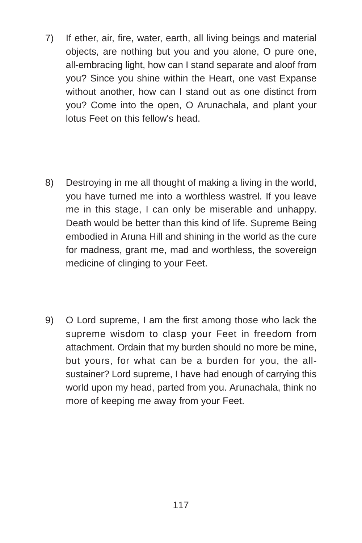- 7) If ether, air, fire, water, earth, all living beings and material objects, are nothing but you and you alone, O pure one, all-embracing light, how can I stand separate and aloof from you? Since you shine within the Heart, one vast Expanse without another, how can I stand out as one distinct from you? Come into the open, O Arunachala, and plant your lotus Feet on this fellow's head.
- 8) Destroying in me all thought of making a living in the world, you have turned me into a worthless wastrel. If you leave me in this stage, I can only be miserable and unhappy. Death would be better than this kind of life. Supreme Being embodied in Aruna Hill and shining in the world as the cure for madness, grant me, mad and worthless, the sovereign medicine of clinging to your Feet.
- 9) O Lord supreme, I am the first among those who lack the supreme wisdom to clasp your Feet in freedom from attachment. Ordain that my burden should no more be mine, but yours, for what can be a burden for you, the allsustainer? Lord supreme, I have had enough of carrying this world upon my head, parted from you. Arunachala, think no more of keeping me away from your Feet.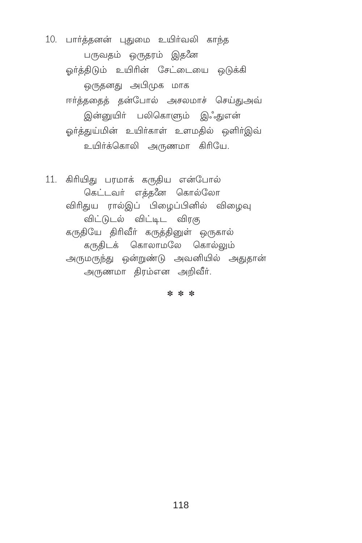10. பார்த்தனன் புதுமை உயிர்வலி காந்த பருவதம் ஒருதரம் இதனே ஓர்த்திடும் உயிரின் சேட்டையை ஒடுக்கி ஒருதனது அபிமுக மாக ஈர்த்ததைத் தன்போல் அசலமாச் செய்துஅவ் இன்னுயிா் பலிகொளும் இஃதுஎன் ஒர்த்துய்மின் உயிர்காள் உளமதில் ஒளிர்இவ் உயிர்க்கொலி அருணமா கிரியே.

11. கிரியிது பரமாக் கருதிய என்போல் கெட்டவர் எக்களே கொல்லோ விரிதுய ரால்இப் பிழைப்பினில் விழைவு விட்டுடல் விட்டிட விரகு கருதியே திரிவீா் கருத்தினுள் ஒருகால் கருதிடக் கொலாமலே கொல்லும் அருமருந்து ஒன்றுண்டு அவனியில் அதுதான் அருணமா திரம்என அறிவீர்.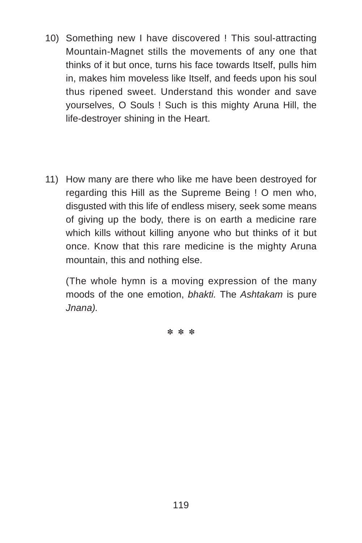- 10) Something new I have discovered ! This soul-attracting Mountain-Magnet stills the movements of any one that thinks of it but once, turns his face towards Itself, pulls him in, makes him moveless like Itself, and feeds upon his soul thus ripened sweet. Understand this wonder and save yourselves, O Souls ! Such is this mighty Aruna Hill, the life-destroyer shining in the Heart.
- 11) How many are there who like me have been destroyed for regarding this Hill as the Supreme Being ! O men who, disgusted with this life of endless misery, seek some means of giving up the body, there is on earth a medicine rare which kills without killing anyone who but thinks of it but once. Know that this rare medicine is the mighty Aruna mountain, this and nothing else.

(The whole hymn is a moving expression of the many moods of the one emotion, *bhakti.* The *Ashtakam* is pure *Jnana).*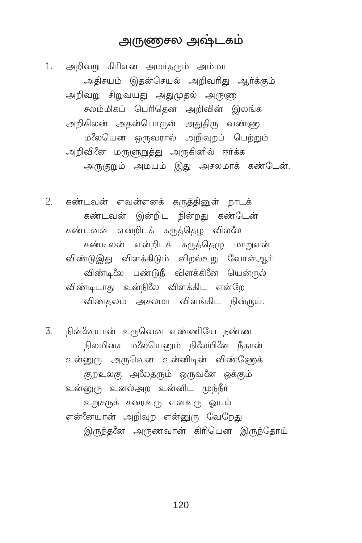### அருணசல அஷ்டகம்

1. அறிவறு கிரிஎன அமர்தரும் அம்மா அதிசயம் இதன்செயல் அறிவரிது ஆர்க்கும் அறிவறு சிறுவயது அதுமுதல் அருணு சலம்மிகப் பெரிதென அறிவின் இலங்க அறிகிலன் அதன்பொருள் அதுதிரு வண்ணு மலேயென ஒருவரால் அறிவுறப் பெற்றும் அறிவினே மருளுறுத்து அருகினில் ஈர்க்க அருகுறும் அமயம் இது அசலமாக் கண்டேன்.

கண்டவன் எவன்எனக் கருத்தினுள் நாடக்  $2^{1}$ கண்டவன் இன்றிட நின்றது கண்டேன் கண்டனன் என்றிடக் கருத்தெழ வில்லே கண்டிலன் என்றிடக் கருக்கெமு மாறுஎன் விண்டுஇது விளக்கிடும் விறல்உறு வோன்ஆர் விண்டி*லே* பண்டுநீ விளக்கினே யென்<u>ர</u>ுல் விண்டிடாது உன்நிலே விளக்கிட என்றே விண்தலம் அசலமா விளங்கிட நின்ருய்.

3. நின்னேயான் உருவென எண்ணியே நண்ண நிலமிசை மலேயெனும் நிலேயினே நீதான் உன்னுரு அருவென உன்னிடின் விண்ணேக் குறஉலகு அலேதரும் ஒருவனே ஒக்கும் உன்னுரு உனல்அற உன்னிட முந்நீர் உறுசருக் கரைஉரு எனஉரு ஒயும் என்னேயான் அறிவுற என்னுரு வேறேது இருந்தனே அருணவான் கிரியென இருந்தோய்

120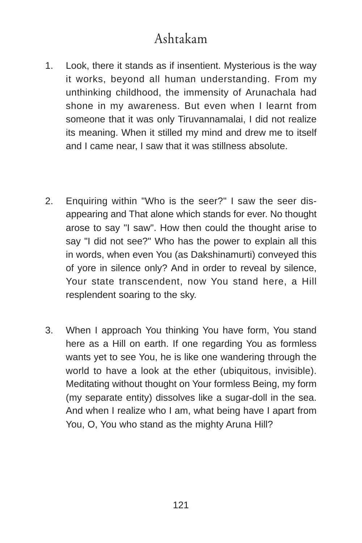# Ashtakam

- 1. Look, there it stands as if insentient. Mysterious is the way it works, beyond all human understanding. From my unthinking childhood, the immensity of Arunachala had shone in my awareness. But even when I learnt from someone that it was only Tiruvannamalai, I did not realize its meaning. When it stilled my mind and drew me to itself and I came near, I saw that it was stillness absolute.
- 2. Enquiring within "Who is the seer?" I saw the seer disappearing and That alone which stands for ever. No thought arose to say "I saw". How then could the thought arise to say "I did not see?" Who has the power to explain all this in words, when even You (as Dakshinamurti) conveyed this of yore in silence only? And in order to reveal by silence, Your state transcendent, now You stand here, a Hill resplendent soaring to the sky.
- 3. When I approach You thinking You have form, You stand here as a Hill on earth. If one regarding You as formless wants yet to see You, he is like one wandering through the world to have a look at the ether (ubiquitous, invisible). Meditating without thought on Your formless Being, my form (my separate entity) dissolves like a sugar-doll in the sea. And when I realize who I am, what being have I apart from You, O, You who stand as the mighty Aruna Hill?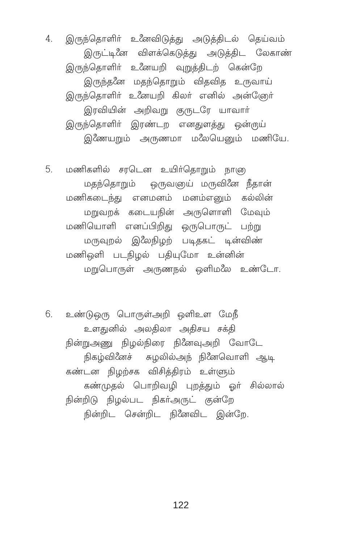4. இருந்தொளிர் உீனவிடுத்து அடுத்திடல் தெய்வம் இருட்டினே விளக்கெடுத்து அடுத்திட லேகாண் இருந்தொளிர் உணேயறி வுறுத்திடற் கென்றே இருந்தனே மதந்தொறும் விதவித உருவாய் இருந்தொளிர் உணேயறி கிலர் எனில் அன்ஞேர் இரவியின் அறிவறு குருடரே யாவாா் இருந்தொளிர் இரண்டற எனதுளத்து ஒன்ருய் இணேயறும் அருணமா மலேயெனும் மணியே.

5. மணிகளில் சரடென உயிர்தொறும் நாளு மதந்தொறும் ஒருவஞுய் மருவினே நீதான் மணிகடைந்து எனமனம் மனம்எனும் கல்லின் மறுவறக் கடையநின் அருளொளி மேவும் மணியொளி எனப்பிறிது ஒருபொருட் பற்று மருவுறல் இீலநிழற் படிதகட் டின்விண் மணிஒளி படநிழல் பதியுமோ உன்னின் மறுபொருள் அருணநல் ஒளிமலே உண்டோ.

6. உண்டுஒரு பொருள்அறி ஒளிஉள மேநீ உளதுனில் அலதிலா அதிசய சக்தி நின்றுஅணு நிழல்நிரை நினேவுஅறி வோடே நிகழ்வினேச் சுழலில்அந் நினேவொளி ஆடி கண்டன நிழற்சக விசித்திரம் உள்ளும் கண்முதல் பொறிவழி புறத்தும் ஓர் சில்லால் நின்றிடு நிழல்பட நிகர்அருட் குன்றே நின்றிட சென்றிட நினேவிட இன்றே.

122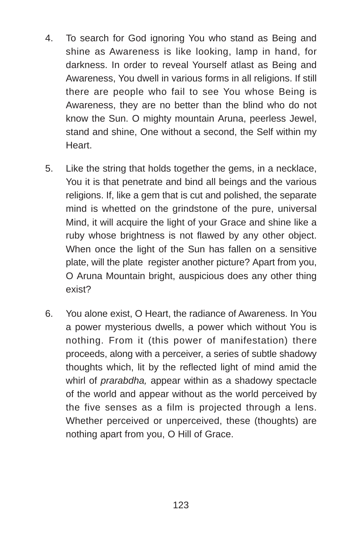- 4. To search for God ignoring You who stand as Being and shine as Awareness is like looking, lamp in hand, for darkness. In order to reveal Yourself atlast as Being and Awareness, You dwell in various forms in all religions. If still there are people who fail to see You whose Being is Awareness, they are no better than the blind who do not know the Sun. O mighty mountain Aruna, peerless Jewel, stand and shine, One without a second, the Self within my Heart.
- 5. Like the string that holds together the gems, in a necklace, You it is that penetrate and bind all beings and the various religions. If, like a gem that is cut and polished, the separate mind is whetted on the grindstone of the pure, universal Mind, it will acquire the light of your Grace and shine like a ruby whose brightness is not flawed by any other object. When once the light of the Sun has fallen on a sensitive plate, will the plate register another picture? Apart from you, O Aruna Mountain bright, auspicious does any other thing exist?
- 6. You alone exist, O Heart, the radiance of Awareness. In You a power mysterious dwells, a power which without You is nothing. From it (this power of manifestation) there proceeds, along with a perceiver, a series of subtle shadowy thoughts which, lit by the reflected light of mind amid the whirl of *prarabdha,* appear within as a shadowy spectacle of the world and appear without as the world perceived by the five senses as a film is projected through a lens. Whether perceived or unperceived, these (thoughts) are nothing apart from you, O Hill of Grace.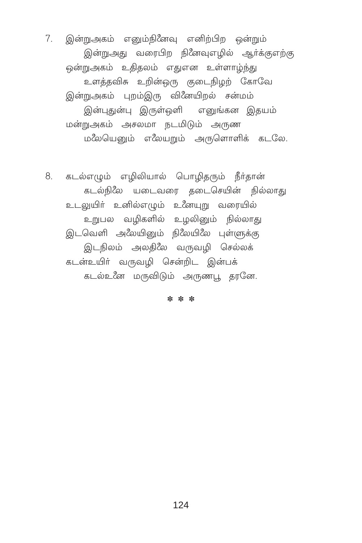7. இன்றுஅகம் எனும்நினேவு எனிற்பிற ஒன்றும் இன்றுஅது வரைபிற நினேவுஎழில் ஆர்க்குஎற்கு ஒன்றுஅகம் உதிதலம் எதுஎன உள்ளாழ்ந்து உளத்தவிசு உறின்ஒரு குடைநிழற் கோவே இன்றுஅகம் புறம்இரு வினேயிறல் சன்மம் இன்புதுன்பு இருள்ஒளி எனுங்கன இதயம் மன்றுஅகம் அசலமா நடமிடும் அருண மலேயெனும் எலேயறும் அருளொளிக் கடலே.

8. கடல்எழும் எழிலியால் பொழிதரும் நீர்தான் கடல்நிலே யடைவரை தடைசெயின் நில்லாது உடலுயிர் உனில்எழும் உணேயுறு வரையில் உறுபல வழிகளில் உழலினும் நில்லாது இடவெளி அலேயினும் நிலேயிலே புள்ளுக்கு இடநிலம் அலதிலே வருவழி செல்லக் கடன்உயிர் வருவழி சென்றிட இன்பக் கடல்உனே மருவிடும் அருணபூ தரனே.

\* \* \*

124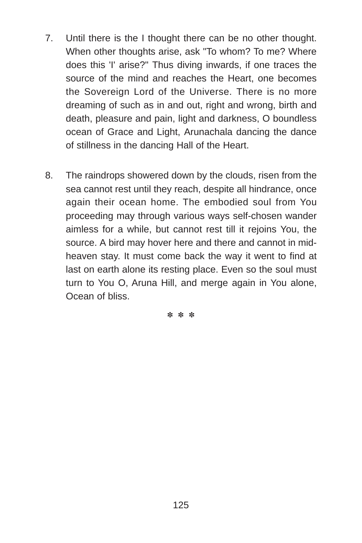- 7. Until there is the I thought there can be no other thought. When other thoughts arise, ask "To whom? To me? Where does this 'I' arise?" Thus diving inwards, if one traces the source of the mind and reaches the Heart, one becomes the Sovereign Lord of the Universe. There is no more dreaming of such as in and out, right and wrong, birth and death, pleasure and pain, light and darkness, O boundless ocean of Grace and Light, Arunachala dancing the dance of stillness in the dancing Hall of the Heart.
- 8. The raindrops showered down by the clouds, risen from the sea cannot rest until they reach, despite all hindrance, once again their ocean home. The embodied soul from You proceeding may through various ways self-chosen wander aimless for a while, but cannot rest till it rejoins You, the source. A bird may hover here and there and cannot in midheaven stay. It must come back the way it went to find at last on earth alone its resting place. Even so the soul must turn to You O, Aruna Hill, and merge again in You alone, Ocean of bliss.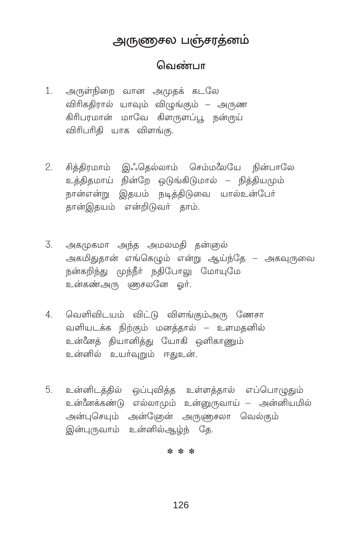## அருணுசல பஞ்சரத்னம்

### வெண்பா

- அருள்நிறை வான அமுதக் கடலே  $1.$ விரிகதிரால் யாவும் விழுங்கும் – அருண கிரிபரமான் மாவே கிளருளப்பு, நன்ருய் விரிபரிதி யாக விளங்கு.
- 2. சித்திரமாம் இஃதெல்லாம் செம்மலேயே நின்பாலே உத்திதமாய் நின்றே ஒடுங்கிடுமால் – நித்தியமும் நான்என்று இதயம் நடித்திடுவை யால்உன்போ் தான்இதயம் என்றிடுவர் தாம்.
- 3. அகமுகமா அந்த அமலமதி தன்ஞல் அகமிதுதான் எங்கெழும் என்று ஆய்ந்தே – அகவுருவை நன்கறிந்து முந்நீர் நதிபோலு மோயுமே உன்கண்அரு ளுசலனே ஒர்.
- 4. வெளிவிடயம் விட்டு விளங்கும்அரு ணேசா வளியடக்க நிற்கும் மனத்தால் – உளமதனில் உன்னேக் கியானிக்கு யோகி ஒளிகாணும் உன்னில் உயர்வுறும் ஈதுஉன்.
- 5. உன்னிடத்தில் ஒப்புவித்த உள்ளத்தால் எப்பொழுதும் உன்னேக்கண்டு எல்லாமும் உன்னுருவாய் – அன்னியமில் அன்புசெயும் அன்டேுன் அருணுசலா வெல்கும் இன்புருவாம் உன்னில்ஆழ்ந் கே.

 $x^2$   $x^2$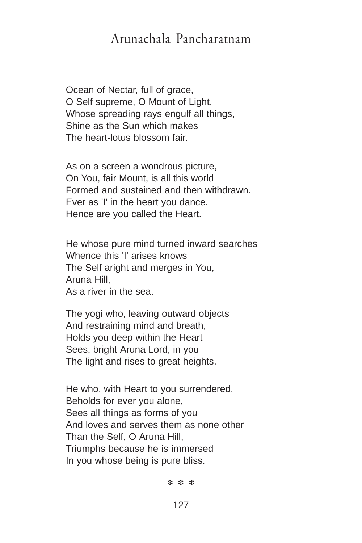## Arunachala Pancharatnam

Ocean of Nectar, full of grace, O Self supreme, O Mount of Light, Whose spreading rays engulf all things. Shine as the Sun which makes The heart-lotus blossom fair.

As on a screen a wondrous picture, On You, fair Mount, is all this world Formed and sustained and then withdrawn. Ever as 'I' in the heart you dance. Hence are you called the Heart.

He whose pure mind turned inward searches Whence this 'I' arises knows The Self aright and merges in You, Aruna Hill, As a river in the sea.

The yogi who, leaving outward objects And restraining mind and breath, Holds you deep within the Heart Sees, bright Aruna Lord, in you The light and rises to great heights.

He who, with Heart to you surrendered, Beholds for ever you alone, Sees all things as forms of you And loves and serves them as none other Than the Self, O Aruna Hill, Triumphs because he is immersed In you whose being is pure bliss.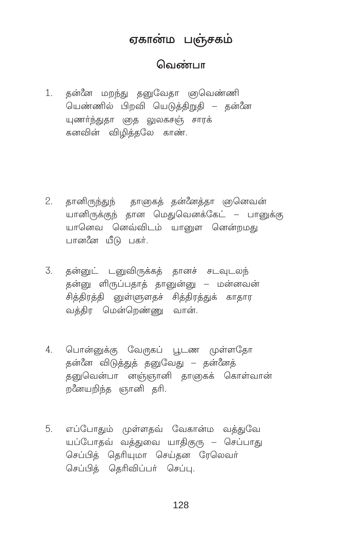### ஏகான்ம பஞ்சகம்

### வெண்பா

1. தன்னே மறந்து தனுவேதா ஞுவெண்ணி யெண்ணில் பிறவி யெடுத்திறுதி – தன்னே யுணர்ந்துதா ஞத லுலகசஞ் சாரக் கனவின் விமிக்கலே காண்.

- தானிருந்துந் தாளுகத் தன்னேத்தா ஞனெவன்  $2.$ யானிருக்குந் தான மெதுவெனக்கேட் – பானுக்கு யானெவ னெவ்விடம் யாளை னென்றமது பானனே யீடு பகர்.
- $\overline{3}$ தன்னுட் டனுவிருக்கத் தானச் சடவுடலந் தன்னு ளிருப்பதாத் தானுன்னு – மன்னவன் சித்திரத்தி னுள்(ளுளதச் சித்திரத்துக் காதார வக்கிர மென்றெண்ணு வான்.
- 4. பொன்னுக்கு வேருகப் பூடண முள்ளதோ தன்னே விடுத்துத் தனுவேது – தன்னேத் தனுவென்பா னஞ்ஞானி தாஞகக் கொள்வான் றனேயறிந்த ஞானி தரி.
- 5. எப்போதும் முள்ளதவ் வேகான்ம வத்துவே யப்போதவ் வத்துவை யாதிகுரு – செப்பாது செப்பித் தெரியுமா செய்தன ரேலெவர் செப்பிக் கெரிவிப்பர் செப்பு.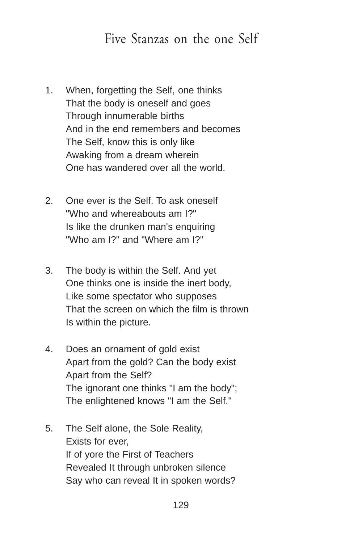## Five Stanzas on the one Self

- 1. When, forgetting the Self, one thinks That the body is oneself and goes Through innumerable births And in the end remembers and becomes The Self, know this is only like Awaking from a dream wherein One has wandered over all the world.
- 2. One ever is the Self. To ask oneself "Who and whereabouts am I?" Is like the drunken man's enquiring "Who am I?" and "Where am I?"
- 3. The body is within the Self. And yet One thinks one is inside the inert body, Like some spectator who supposes That the screen on which the film is thrown Is within the picture.
- 4. Does an ornament of gold exist Apart from the gold? Can the body exist Apart from the Self? The ignorant one thinks "I am the body"; The enlightened knows "I am the Self."
- 5. The Self alone, the Sole Reality, Exists for ever, If of yore the First of Teachers Revealed It through unbroken silence Say who can reveal It in spoken words?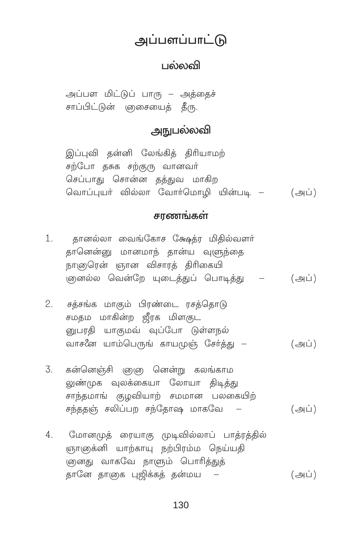## அப்பளப்பாட்டு

### பல்லலி

அப்பள மிட்டுப் பாரு – அத்தைச் சாப்பிட்டுன் ஞசையைத் தீரு.

### **அநுபல்லவி**

இப்புவி தன்னி லேங்கித் திரியாமற் சற்போ தசுக சற்குரு வானவர் செப்பாது சொன்ன தத்துவ மாகிற வொப்புயர் வில்லா வோர்மொழி யின்படி – (அப்)

#### சாணங்கள்

- தானல்லா வைங்கோச க்ஷேத்ர மிதில்வளர்  $1.$ தானென்னு மானமாந் தான்ய வுளுந்தை நாளுரென் ஞான விசாரத் திரிகையி .<br>(தையில் வென்றே யுடைக்குப் பொடிக்கு – (அப்)
- சத்சங்க மாகும் பிரண்டை ரசத்தொடு  $2.$ சமகம மாகின்ற ஜீரக மிளகுட பைாகி யாகமவ் வப்போ டுள்ள<mark>ா</mark>ல் வாசனே யாம்பெருங் காயமுஞ் சேர்த்து — (அப்)
- கன்னெஞ்சி ஞஞ னென்று கலங்காம 3. லுண்முக வுலக்கையா லோயா கிடித்து சாந்தமாங் குமவியாற் சமமான பலகையிற் சந்ததஞ் சலிப்பற சந்தோஷ மாகவே –  $(\overline{\bigoplus} \overline{L})$
- $4<sup>1</sup>$ மோனமுத் ரையாகு முடிவில்லாப் பாத்ரத்தில் ஞாஞக்னி யாற்காயு நற்பிரம்ம நெய்யதி .<br>ளுனது வாகவே நாளும் பொரித்துக் தானே தாஞக புஜிக்கத் தன்மய –  $(\bigoplus \dot\sqcup)$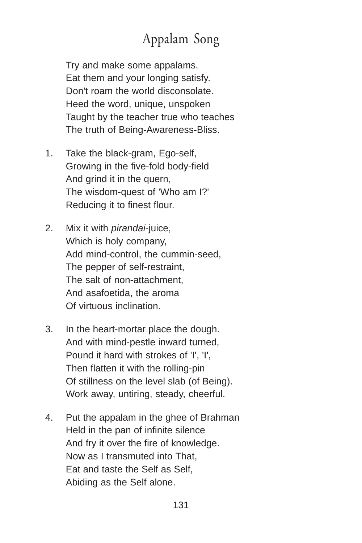# Appalam Song

Try and make some appalams. Eat them and your longing satisfy. Don't roam the world disconsolate. Heed the word, unique, unspoken Taught by the teacher true who teaches The truth of Being-Awareness-Bliss.

- 1. Take the black-gram, Ego-self, Growing in the five-fold body-field And grind it in the quern, The wisdom-quest of 'Who am I?' Reducing it to finest flour.
- 2. Mix it with *pirandai*-juice, Which is holy company, Add mind-control, the cummin-seed, The pepper of self-restraint, The salt of non-attachment, And asafoetida, the aroma Of virtuous inclination.
- 3. In the heart-mortar place the dough. And with mind-pestle inward turned, Pound it hard with strokes of 'I', 'I', Then flatten it with the rolling-pin Of stillness on the level slab (of Being). Work away, untiring, steady, cheerful.
- 4. Put the appalam in the ghee of Brahman Held in the pan of infinite silence And fry it over the fire of knowledge. Now as I transmuted into That, Eat and taste the Self as Self, Abiding as the Self alone.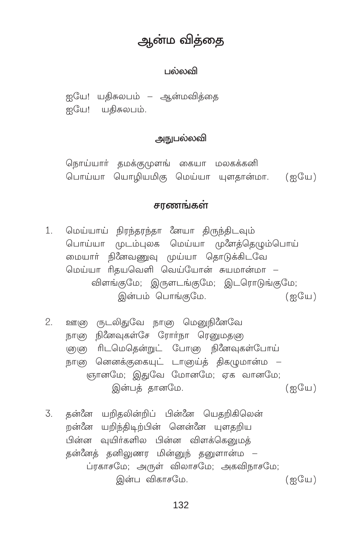# ஆன்ம விக்கை

#### பல்லவி

ஐயே! யதிசுலபம் – ஆன்மவித்தை ஐயே! யதிசுலபம்.

#### அநுபல்லவி

நொய்யாா் தமக்குமுளங் கையா மலகக்கனி பொய்யா யொழியமிகு மெய்யா யுளதான்மா. (ஐயே)

#### சாணங்கள்

- 1. மெய்யாய் நிரந்தரந்தா *ீ*னயா திருந்திடவும் பொய்யா முடம்புலக மெய்யா முளேத்தெழும்பொய் மையார் நினேவணுவு முய்யா தொடுக்கிடவே மெய்யா ரிதயவெளி வெய்யோன் சுயமான்மா – விளங்குமே; இருளடங்குமே; இடரொடுங்குமே; இன்பம் பொங்கமே.  $\left(\frac{\infty}{2} + \frac{\infty}{2} + \frac{\infty}{2}\right)$
- $\mathcal{P}$ ஊு ரூடலிதுவே நானு மெனுநினேவே நாளு நினேவுகள்சே ரோர்நா ரெனுமதளு ளு ரிடமெதென்றுட் போனு நினேவுகள்போய் நாளு னெனக்குகையுட் டாளுய்த் திகமுமான்ம – ஞானமே: இதுவே மோனமே: ஏக வானமே: இன்பத் தானமே.  $(m<sup>o</sup>)(m<sup>o</sup>)$
- தன்னே யறிதலின்றிப் பின்னே யெதறிகிலென் 3. றன்னே யறிந்திடிற்பின் னென்னே யுளதறிய பின்ன வுயிர்களில பின்ன விளக்கெனுமக் தன்னேத் தனிலுணர மின்னுந் தனுளான்ம – ப்ரகாசமே; அருள் விலாசமே; அகவிநாசமே; இன்ப விகாசமே.  $(m<sup>o</sup>)(m<sup>o</sup>)$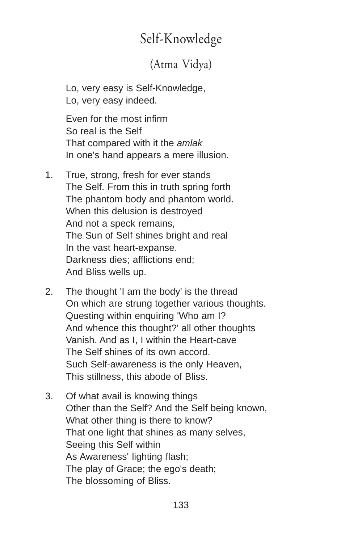# Self-Knowledge

## (Atma Vidya)

Lo, very easy is Self-Knowledge, Lo, very easy indeed.

Even for the most infirm So real is the Self That compared with it the *amlak* In one's hand appears a mere illusion.

- 1. True, strong, fresh for ever stands The Self. From this in truth spring forth The phantom body and phantom world. When this delusion is destroyed And not a speck remains, The Sun of Self shines bright and real In the vast heart-expanse. Darkness dies; afflictions end; And Bliss wells up.
- 2. The thought 'I am the body' is the thread On which are strung together various thoughts. Questing within enquiring 'Who am I? And whence this thought?' all other thoughts Vanish. And as I, I within the Heart-cave The Self shines of its own accord. Such Self-awareness is the only Heaven, This stillness, this abode of Bliss.
- 3. Of what avail is knowing things Other than the Self? And the Self being known, What other thing is there to know? That one light that shines as many selves, Seeing this Self within As Awareness' lighting flash; The play of Grace; the ego's death; The blossoming of Bliss.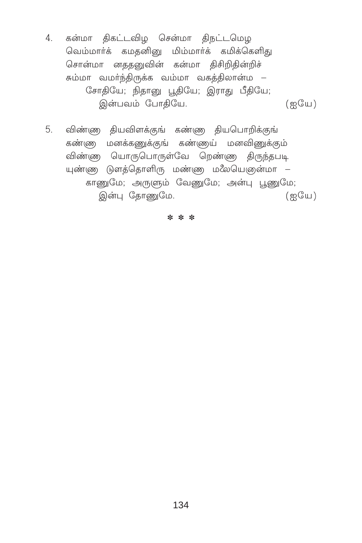- 4. கன்மா திகட்டவிழ சென்மா திநட்டமெழ வெம்மார்க் கமதனினு மிம்மார்க் கமிக்கெளிது சொன்மா னததனுவின் கன்மா திசிறிதின்றிச் சும்மா வமா்ந்திருக்க வம்மா வகத்திலான்ம – சோதியே; நிதானு பூதியே; இராது பீதியே; இன்பவம் போதியே.  $(m<sup>o</sup>)$
- விண்ண தியவிளக்குங் கண்ண தியபொறிக்குங் 5. கண்ணு மனக்கணுக்குங் கண்ணய் மனவிணுக்கும் விண்ண யொருபொருள்வே றெண்ண திருந்தபடி யுண்ணு டுளத்தொளிரு மண்ணு மலேயெளுன்மா – காணுமே; அருளும் வேணுமே; அன்பு பூணுமே;  $(g\mathbb{G})$ இன்பு தோணுமே.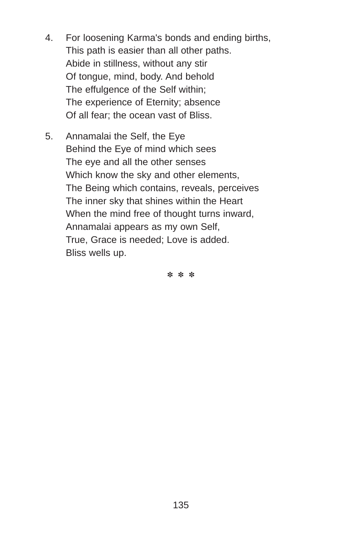- 4. For loosening Karma's bonds and ending births, This path is easier than all other paths. Abide in stillness, without any stir Of tongue, mind, body. And behold The effulgence of the Self within; The experience of Eternity; absence Of all fear; the ocean vast of Bliss.
- 5. Annamalai the Self, the Eye Behind the Eye of mind which sees The eye and all the other senses Which know the sky and other elements, The Being which contains, reveals, perceives The inner sky that shines within the Heart When the mind free of thought turns inward. Annamalai appears as my own Self, True, Grace is needed; Love is added. Bliss wells up.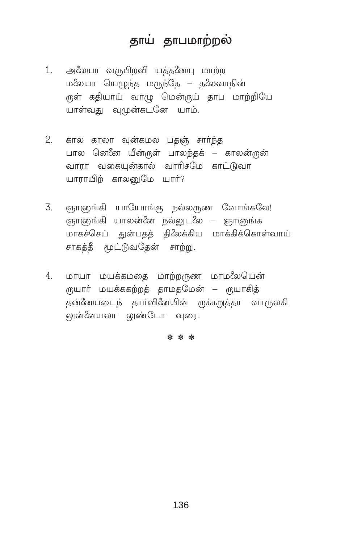# தாய் தாபமாற்றல்

- 1. அலேயா வருபிறவி யத்தனேயு மாற்ற மலேயா யெழுந்த மருந்தே – தலேவாநின் ருள் கதியாய் வாழு மென்ருய் தாப மாற்றியே யாள்வது வுமுன்கடனே யாம்.
- 2. கால காலா வுன்கமல பதஞ் சார்ந்த பால னெனே யீன்ருள் பாலந்தக் – காலன்ருன் வாரா வகையன்கால் வாரிசமே காட்டுவா யாராயிற் காலனுமே யார்?
- ஞாஞங்கி யாயோங்கு நல்லருண வோங்கலே! 3. ஞாஞங்கி யாலன்னே நல்லுடலே – ஞாஞங்க மாகச்செய் துன்பதத் திலேக்கிய மாக்கிக்கொள்வாய் சாகத்தீ மூட்டுவதேன் சாற்று.
- மாயா மயக்கமதை மாற்றருண மாமலேயென் 4. ருயாா் மயக்ககற்றத் தாமதமேன் – ருயாகித் கன்னேயடைந் கார்வினேயின் ருக்கறுக்கா வாருலகி லுன்ீனயலா லுண்டோ வுரை.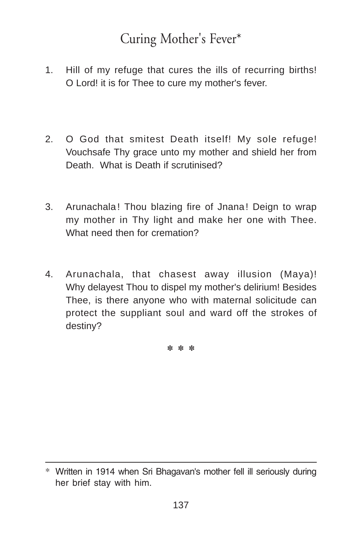# Curing Mother's Fever\*

- 1. Hill of my refuge that cures the ills of recurring births! O Lord! it is for Thee to cure my mother's fever.
- 2. O God that smitest Death itself! My sole refuge! Vouchsafe Thy grace unto my mother and shield her from Death. What is Death if scrutinised?
- 3. Arunachala! Thou blazing fire of Jnana! Deign to wrap my mother in Thy light and make her one with Thee. What need then for cremation?
- 4. Arunachala, that chasest away illusion (Maya)! Why delayest Thou to dispel my mother's delirium! Besides Thee, is there anyone who with maternal solicitude can protect the suppliant soul and ward off the strokes of destiny?

<sup>\*</sup> Written in 1914 when Sri Bhagavan's mother fell ill seriously during her brief stay with him.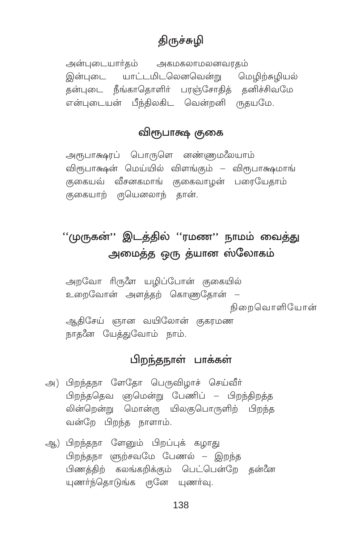## **கிருச்சு**மி

அன்புடையார்தம் அகமகலாமலனவரகம் இன்புடை யாட்டமிடலெனவென்று மெழிற்சுழியல் தன்புடை நீங்காதொளிர் பரஞ்சோதித் தனிச்சிவமே என்புடையன் பீந்திலகிட வென்றனி ருதயமே.

### விரூபாக்ஷ குகை

அரூபாக்ஷரப் பொருளெ னண்ணுமலேயாம் விரூபாக்ஷன் மெய்யில் விளங்கும் – விரூபாக்ஷமாங் குகையவ் வீசனகமாங் குகைவாழன் பரையேதாம் குகையாற் ருயெனலாந் தான்.

## ''முருகன்'' இடத்தில் ''ரமண'' நாமம் வைத்து அமைத்த ஒரு த்யான ஸ்லோகம்

அறவோ ரிருளே யழிப்போன் குகையில் உறைவோன் அளத்தற் கொணுதோன் – நிறைவொளியோன் ஆதிசேய் ஞான வயிலோன் குகரமண நாதனே யேத்துவோம் நாம்.

### பிறந்தநாள் பாக்கள்

- அ) பிறந்தநா ளேதோ பெருவிழாச் செய்வீர் பிறந்ததெவ ஞமென்று பேணிப் – பிறந்திறத்த லின்றென்று மொன்ரு யிலகுபொருளிற் பிறந்த வன்றே பிறந்த நாளாம்.
- ஆ) பிறந்தநா ளேனும் பிறப்புக் கழாது பிறந்தநா (ளுற்சவமே பேணல் – இறந்த பிணத்திற் கலங்கறிக்கும் பெட்பென்றே தன்னே யுணர்ந்தொடுங்க ருனே யுணர்வு.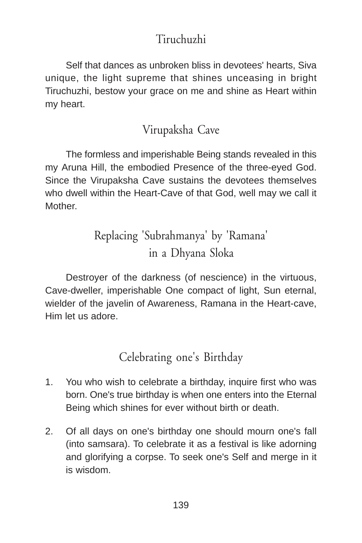## Tiruchuzhi

Self that dances as unbroken bliss in devotees' hearts, Siva unique, the light supreme that shines unceasing in bright Tiruchuzhi, bestow your grace on me and shine as Heart within my heart.

## Virupaksha Cave

The formless and imperishable Being stands revealed in this my Aruna Hill, the embodied Presence of the three-eyed God. Since the Virupaksha Cave sustains the devotees themselves who dwell within the Heart-Cave of that God, well may we call it **Mother** 

# Replacing 'Subrahmanya' by 'Ramana' in a Dhyana Sloka

Destroyer of the darkness (of nescience) in the virtuous, Cave-dweller, imperishable One compact of light, Sun eternal, wielder of the javelin of Awareness, Ramana in the Heart-cave, Him let us adore.

Celebrating one's Birthday

- 1. You who wish to celebrate a birthday, inquire first who was born. One's true birthday is when one enters into the Eternal Being which shines for ever without birth or death.
- 2. Of all days on one's birthday one should mourn one's fall (into samsara). To celebrate it as a festival is like adorning and glorifying a corpse. To seek one's Self and merge in it is wisdom.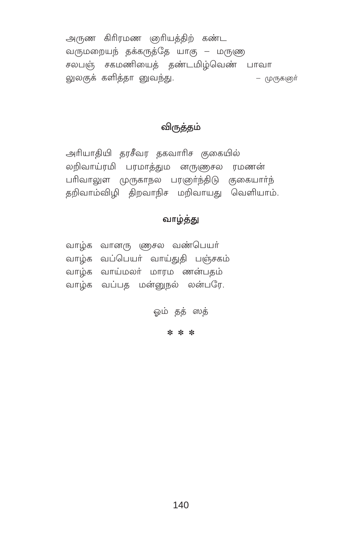அருண கிரிரமண ஞரியத்திற் கண்ட வருமறையந் தக்கருத்தே யாகு – மருணு சலபஞ் சகமணியைத் தண்டமிழ்வெண் பாவா லுலகுக் களித்தா னுவந்து. – முருகளுா்

#### விருத்தம்

அரியாதியி தரசீவர தகவாரிச குகையில் லறிவாய்ரமி பரமாத்தும னருணுசல ரமணன் பரிவாலுள முருகாநல பரஞர்ந்திடு குகையார்ந் தறிவாம்விழி திறவாநிச மறிவாயது வெளியாம்.

#### வாழ்த்து

வாழ்க வானரு ஞைசல வண்பெயர் வாழ்க வப்பெயா் வாய்துதி பஞ்சகம் வாழ்க வாய்மலர் மாரம ணன்பதம் வாழ்க வப்பத மன்னுநல் லன்பரே.

ஒம் தத் ஸத்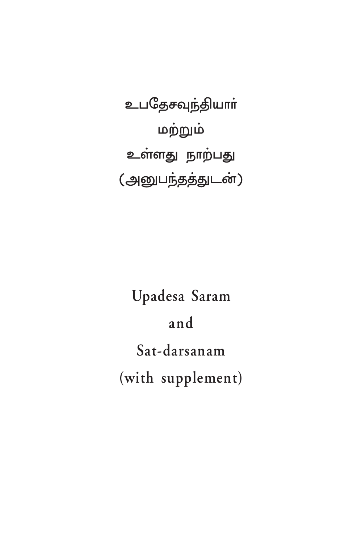உபதேசவுந்தியாா் மற்றும் உள்ளது நாற்பது (அனுபந்தத்துடன்)

Upadesa Saram and Sat-darsanam (with supplement)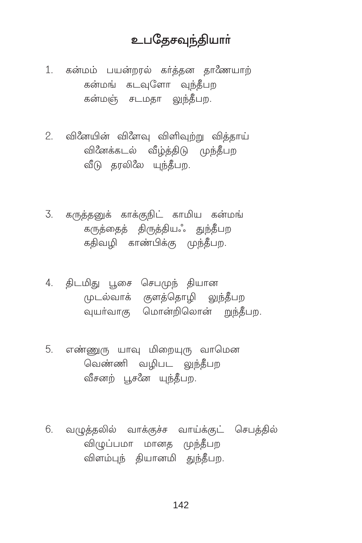## உபகேசவந்தியாா்

1. கன்மம் பயன்றரல் கர்த்தன தாணேயாற் கன்மங் கடவுளோ வுந்தீபற கன்மஞ் சடமதா லுந்தீபற.

- 2. வினேயின் விளேவு விளிவுற்று வித்தாய் வினேக்கடல் வீழ்த்திடு முந்தீபற வீடு தரலிலே யுந்தீபற.
- 3. கருத்தனுக் காக்குநிட் காமிய கன்மங் கருத்தைத் திருத்தியஃ துந்தீபற கதிவழி காண்பிக்கு முந்தீபற.
- 4. திடமிது பூசை செபமுந் தியான முடல்வாக் குளத்தொழி லுந்தீபற .<br>வுயா்வாகு மொன்றிலொன் றுந்தீபற.
- 5. எண்ணுரு யாவு மிறையுரு வாமென வெண்ணி வழிபட வுந்தீபற வீசனற் பூசனே யுந்தீபற.
- 6. வழுத்தலில் வாக்குச்ச வாய்க்குட் செபத்தில் விழுப்பமா மானத முந்தீபற விளம்பந் தியானமி துந்தீபற.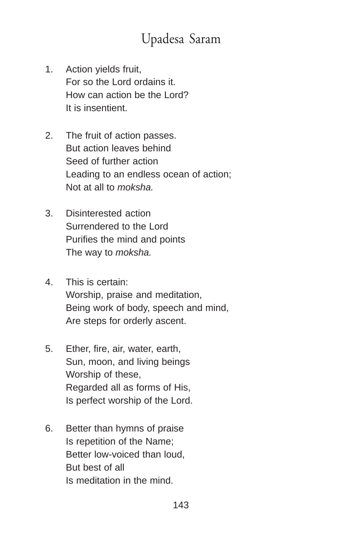# Upadesa Saram

- 1. Action yields fruit, For so the Lord ordains it. How can action be the Lord? It is insentient.
- 2. The fruit of action passes. But action leaves behind Seed of further action Leading to an endless ocean of action; Not at all to *moksha.*
- 3. Disinterested action Surrendered to the Lord Purifies the mind and points The way to *moksha.*
- 4. This is certain: Worship, praise and meditation, Being work of body, speech and mind, Are steps for orderly ascent.
- 5. Ether, fire, air, water, earth, Sun, moon, and living beings Worship of these, Regarded all as forms of His, Is perfect worship of the Lord.
- 6. Better than hymns of praise Is repetition of the Name; Better low-voiced than loud, But best of all Is meditation in the mind.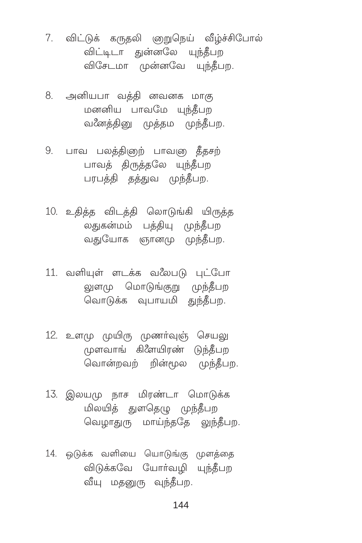- 7. விட்டுக் கருதலி ஞறுநெய் வீழ்ச்சிபோல் விட்டிடா துன்னலே யுந்தீபற விசேடமா முன்னவே யுந்தீபற.
- 8. அனியபா வத்தி னவனக மாகு மனனிய பாவமே யுந்தீபற வனேத்தினு முத்தம முந்தீபற.
- 9. பாவ பலத்திஞற் பாவஞ தீதசற் பாவத் திருத்தலே யுந்தீபற பரபத்தி தத்துவ முந்தீபற.
- 10. உதித்த விடத்தி லொடுங்கி யிருத்த லதுகன்மம் பத்தியு முந்தீபற வதுயோக ஞானமு முந்தீபற.
- 11. வளியுள் ளடக்க வலேபடு புட்போ லுளமு மொடுங்குறு முந்தீபற வொடுக்க வுபாயமி துந்தீபுற.
- 12. உளமு முயிரு முணர்வுஞ் செயலு முளவாங் கிளேயிரண் டுந்தீபற வொன்றவற் றின்மூல முந்தீபற.
- 13. இலயமு நாச மிரண்டா மொடுக்க மிலயித் துளதெழு முந்தீபற வெழாதுரு மாய்ந்ததே லுந்தீபற.
- 14. ஒடுக்க வளியை யொடுங்கு முளத்தை விடுக்கவே யோர்வழி யுந்தீபற வீயு மதனுரு வுந்தீபற.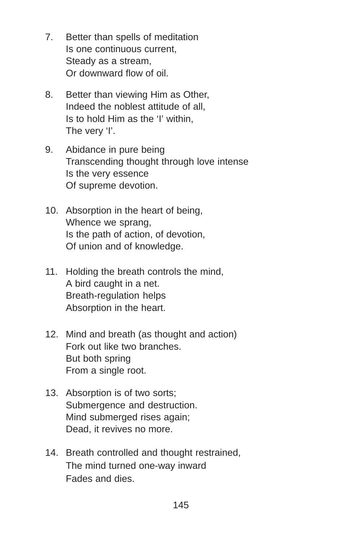- 7. Better than spells of meditation Is one continuous current, Steady as a stream, Or downward flow of oil.
- 8. Better than viewing Him as Other, Indeed the noblest attitude of all, Is to hold Him as the 'I' within, The very 'I'.
- 9. Abidance in pure being Transcending thought through love intense Is the very essence Of supreme devotion.
- 10. Absorption in the heart of being, Whence we sprang, Is the path of action, of devotion, Of union and of knowledge.
- 11. Holding the breath controls the mind, A bird caught in a net. Breath-regulation helps Absorption in the heart.
- 12. Mind and breath (as thought and action) Fork out like two branches. But both spring From a single root.
- 13. Absorption is of two sorts; Submergence and destruction. Mind submerged rises again; Dead, it revives no more.
- 14. Breath controlled and thought restrained, The mind turned one-way inward Fades and dies.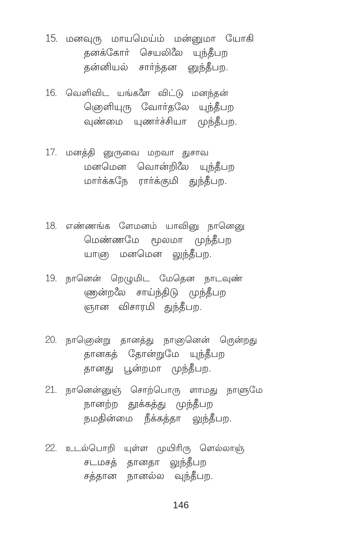- 15. மனவுரு மாயமெய்ம் மன்னுமா யோகி தனக்கோா் செயலிலே யுந்தீபா தன்னியல் சார்ந்தன னுந்தீபற.
- 16. வெளிவிட யங்களே விட்டு மனந்தன் ெஞௌியுரு வோர்தலே யுந்தீபற வண்மை யணர்ச்சியா முந்தீப<u>ற</u>
- 17. மனத்தி னுருவை மறவா துசாவ மனமென வொன்றிலே யுந்தீபற மார்க்கநே ரார்க்குமி <u>துந்தீ</u>பற.
- 18. என்னங்க ளேமனம் யாவினு நானெனு மெண்ணமே மூலமா முந்தீபற யாளு மனமென லுந்தீபற.
- 19. நானென் றெழுமிட மேதென நாடவுண் ணுன்ற*ீல* சாய்ந்திடு முந்தீபற ஞான விசாரமி <u>துந்</u>தீபற.
- 20. நாஞென்று தானத்து நாஞகெனன் ரென்றது தானகத் தோன்றுமே யுந்தீப<u>ற</u> தானது பூன்றமா முந்தீபற.
- 21. நானென்னுஞ் சொற்பொரு ளாமது நாளுமே ாளள்ற தூக்க<u>த்து</u> முந்தீபற நமதின்மை நீக்கத்தா <u>லுந்தீ</u>பற.
- 22. உடல்பொறி யுள்ள முயிரிரு ளெல்லாஞ் சடமசத் தானதா <u>லுந்த</u>ீபற சத்தான நானல்ல வுந்தீபற.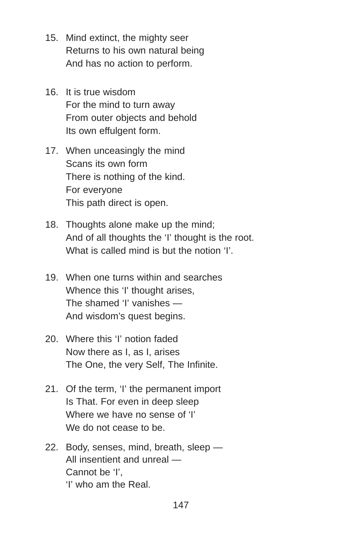- 15. Mind extinct, the mighty seer Returns to his own natural being And has no action to perform.
- 16. It is true wisdom For the mind to turn away From outer objects and behold Its own effulgent form.
- 17. When unceasingly the mind Scans its own form There is nothing of the kind. For everyone This path direct is open.
- 18. Thoughts alone make up the mind; And of all thoughts the 'I' thought is the root. What is called mind is but the notion 'I'.
- 19. When one turns within and searches Whence this 'I' thought arises. The shamed 'I' vanishes — And wisdom's quest begins.
- 20. Where this 'I' notion faded Now there as I, as I, arises The One, the very Self, The Infinite.
- 21. Of the term, 'I' the permanent import Is That. For even in deep sleep Where we have no sense of 'I' We do not cease to be.
- 22. Body, senses, mind, breath, sleep All insentient and unreal — Cannot be 'I' 'I' who am the Real.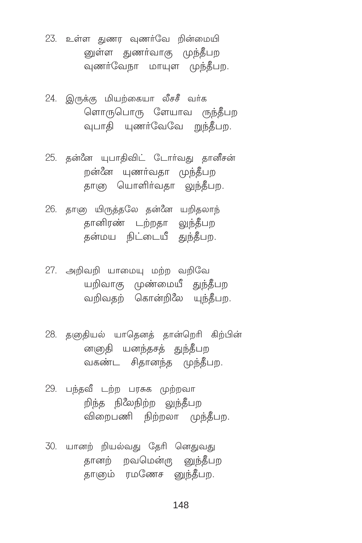23. உள்ள துணர வுணர்வே றின்மையி னுள்ள துணர்வாகு முந்தீபற வுணர்வேநா மாயுள முந்தீபற.

- 24. இருக்கு மியற்கையா லீசசீ வர்க ளொருபொரு ளேயாவ ருந்தீபற வுபாதி யுணர்வேவே றுந்தீபற.
- 25. தன்னே யுபாதிவிட் டோர்வது தானீசன் றன்னே யுணர்வதா முந்தீபற தாஞ யொளிர்வதா லுந்தீபற.
- 26. தாளு யிருத்தலே தன்னே யறிதலாந் தானிரண் டற்றதா லுந்தீபற .<br>தன்மய நிட்டையீ துந்தீபற.
- 27. அறிவறி யாமையு மற்ற வறிவே யறிவாகு முண்மையீ துந்தீபற வறிவதற் கொன்றிலே யுந்தீபற.
- 28. தளுதியல் யாதெனத் தான்றெரி கிற்பின் னஞதி யனந்தசத் துந்தீபற வகண்ட சிகானந்த முந்தீபு.
- 29. பந்தவீ டற்ற பரசுக முற்றவா றிந்த நிலேநிற்ற லுந்தீபற விறைபணி நிற்றலா முந்தீபற.
- 30. யானற் றியல்வது தேரி னெதுவது தானற் றவமென்ரு னுந்தீபற தாளும் ரமணேச னுந்தீபற.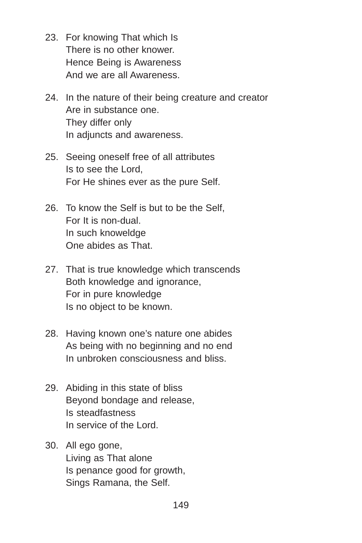- 23. For knowing That which Is There is no other knower. Hence Being is Awareness And we are all Awareness.
- 24. In the nature of their being creature and creator Are in substance one. They differ only In adjuncts and awareness.
- 25. Seeing oneself free of all attributes Is to see the Lord, For He shines ever as the pure Self.
- 26. To know the Self is but to be the Self, For It is non-dual. In such knoweldge One abides as That.
- 27. That is true knowledge which transcends Both knowledge and ignorance, For in pure knowledge Is no object to be known.
- 28. Having known one's nature one abides As being with no beginning and no end In unbroken consciousness and bliss.
- 29. Abiding in this state of bliss Beyond bondage and release, Is steadfastness In service of the Lord.
- 30. All ego gone, Living as That alone Is penance good for growth, Sings Ramana, the Self.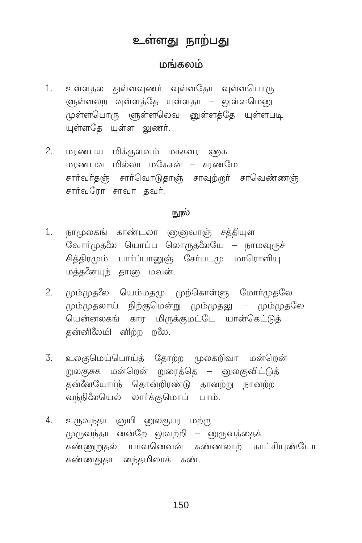# உள்ளது நாற்பது

# மங்கலம்

- உள்ளதல துள்ளவுணர் வுள்ளதோ வுள்ளபொரு  $1.$ ளுள்ளல**ற வுள்ளத்தே யுள்ளதா – லுள்ளமெனு** முள்ளபொரு ளுள்ளலெவ னுள்ளத்தே யுள்ளபடி யள்ளகே யள்ள லணர்.
- $2.$ மரணபய மிக்குளவம் மக்களர ணுக மரணபவ மில்லா மகேசன் – சரணமே சார்வர்தஞ் சார்வொடுதாஞ் சாவுற்றுர் சாவெண்ணஞ் சார்வரோ சாவா கவர்.

#### நூல்

- $1.$ நாமுலகங் காண்டலா ஞஞுவாஞ் சத்தியுள வோர்முதலே யொப்ப லொருதலேயே – நாமவுருச் சிக்கிரமும் பார்ப்பானுன் சேர்படமு மாரொளிய மக்கணேயுந் காளு மவன்.
- மும்முதலே யெம்மதமு முற்கொள்ளு மோா்முதலே  $2.$ மும்முதலாய் நிற்குமென்று மும்முதலு – மும்முதலே யென்னலகங் கார மிருக்குமட்டே யான்கெட்டுக் தன்னிலேயி னிற்ற றலே.
- உலகுமெய்பொய்த் தோற்ற முலகறிவா மன்றென்  $\overline{3}$ . றுலகுசுக மன்றென் றுரைத்தெ – னுலகுவிட்டுத் கன்னேயோர்ந் கொன்றிரண்டு கானற்று நானற்ற வந்நிலேயெல் லார்க்குமொப் பாம்.
- 4. உருவந்தா ஞயி னுலகுபர மற்ரு முருவந்தா னன்றே லுவற்றி – னுருவத்தைக் கண்ணுறுதல் யாவனெவன் கண்ணலாற் காட்சியுண்டோ கண்ணதுதா னந்தமிலாக் கண்.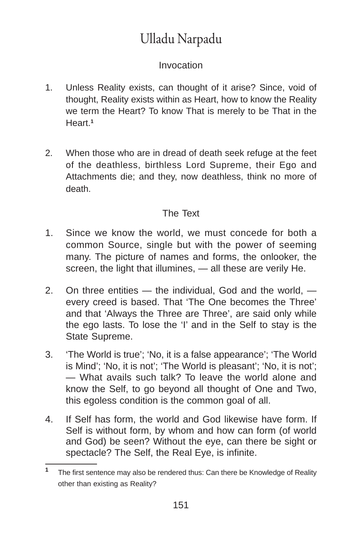# Ulladu Narpadu

## Invocation

- 1. Unless Reality exists, can thought of it arise? Since, void of thought, Reality exists within as Heart, how to know the Reality we term the Heart? To know That is merely to be That in the Heart.**<sup>1</sup>**
- 2. When those who are in dread of death seek refuge at the feet of the deathless, birthless Lord Supreme, their Ego and Attachments die; and they, now deathless, think no more of death.

## The Text

- 1. Since we know the world, we must concede for both a common Source, single but with the power of seeming many. The picture of names and forms, the onlooker, the screen, the light that illumines, — all these are verily He.
- 2. On three entities the individual, God and the world, every creed is based. That 'The One becomes the Three' and that 'Always the Three are Three', are said only while the ego lasts. To lose the 'I' and in the Self to stay is the State Supreme.
- 3. 'The World is true'; 'No, it is a false appearance'; 'The World is Mind'; 'No, it is not'; 'The World is pleasant'; 'No, it is not'; — What avails such talk? To leave the world alone and know the Self, to go beyond all thought of One and Two, this egoless condition is the common goal of all.
- 4. If Self has form, the world and God likewise have form. If Self is without form, by whom and how can form (of world and God) be seen? Without the eye, can there be sight or spectacle? The Self, the Real Eye, is infinite.

**<sup>1</sup>** The first sentence may also be rendered thus: Can there be Knowledge of Reality other than existing as Reality?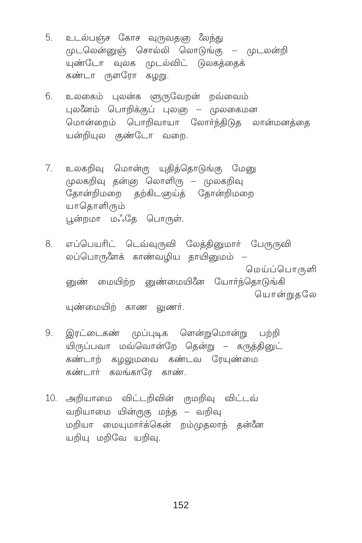- 5. உடல்பஞ்ச கோச வுருவதஞ மேந்து முடலென்னுஞ் சொல்லி லொடுங்கு – முடலன்றி யுண்டோ வுலக முடல்விட் டுலகத்தைக் கண்டா ருளரோ கழறு.
- 6. உலகைம் புலன்க ளுருவேறன் றவ்வைம் புலீனம் பொறிக்குப் புலஞ – முலகைமன மொன்றைம் பொறிவாயா லோர்ந்திடுத லான்மனத்தை யன்றியுல குண்டோ வறை.
- உலகறிவு மொன்ரு யுதித்தொடுங்கு மேனு 7. முலகறிவு தன்னு லொளிரு – முலகறிவு .<br>தோன்றிமறை தற்கிடஞய்த் தோன்றிமறை யாகொளிரும் பூன்றமா மஃதே பொருள்.
- எப்பெயரிட் டெவ்வுருவி லேத்தினுமார் பேருருவி 8. லப்பொருளேக் காண்வழிய தாயினுமம் மெய்ப்பொருளி னுண் மையிற்ற னுண்மையினே யோர்ந்தொடுங்கி யொன்றுகலே யுண்மையிற் காண லுணர்.
- இரட்டைகண் முப்புடிக ளென்றுமொன்று பற்றி 9 யிருப்பவா மவ்வொன்றே கென்று – கருத்தினுட் கண்டாற் கழலுமவை கண்டவ ரேயுண்மை கண்டார் கலங்காரே காண்.
- 10. அறியாமை விட்டறிவின் ருமறிவு விட்டவ் வறியாமை யின்ருகு மந்த – வறிவு மறியா மையுமார்க்கென் றம்முதலாந் தன்னே யறியு மறிவே யறிவு.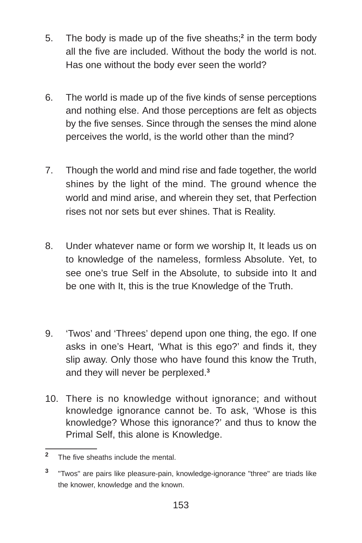- 5. The body is made up of the five sheaths;**<sup>2</sup>** in the term body all the five are included. Without the body the world is not. Has one without the body ever seen the world?
- 6. The world is made up of the five kinds of sense perceptions and nothing else. And those perceptions are felt as objects by the five senses. Since through the senses the mind alone perceives the world, is the world other than the mind?
- 7. Though the world and mind rise and fade together, the world shines by the light of the mind. The ground whence the world and mind arise, and wherein they set, that Perfection rises not nor sets but ever shines. That is Reality.
- 8. Under whatever name or form we worship It, It leads us on to knowledge of the nameless, formless Absolute. Yet, to see one's true Self in the Absolute, to subside into It and be one with It, this is the true Knowledge of the Truth.
- 9. 'Twos' and 'Threes' depend upon one thing, the ego. If one asks in one's Heart, 'What is this ego?' and finds it, they slip away. Only those who have found this know the Truth, and they will never be perplexed.**<sup>3</sup>**
- 10. There is no knowledge without ignorance; and without knowledge ignorance cannot be. To ask, 'Whose is this knowledge? Whose this ignorance?' and thus to know the Primal Self, this alone is Knowledge.

**<sup>2</sup>** The five sheaths include the mental.

**<sup>3</sup>** "Twos" are pairs like pleasure-pain, knowledge-ignorance "three" are triads like the knower, knowledge and the known.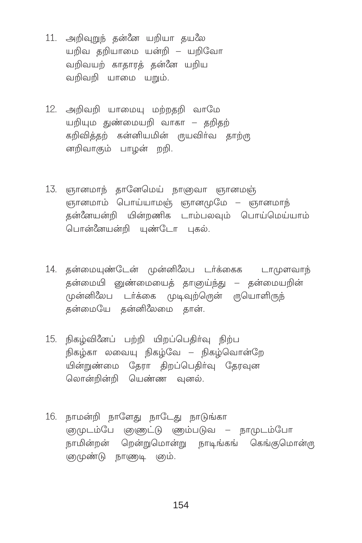- 11. அறிவுறுந் தன்னே யறியா தயலே யறிவ கறியாமை யன்றி – யறிவோ வறிவயற் காகாரக் கன்னே யறிய வறிவறி யாமை யறும்.
- 12. அறிவறி யாமையு மற்றதறி வாமே யறியும துண்மையறி வாகா – தறிதற் கறிவித்தற் கன்னியமின் ருயவிா்வ தாற்ரு னறிவாகும் பாழன் றறி.
- 13. ஞானமாந் தானேமெய் நாளுவா ஞானமஞ் ஞானமாம் பொய்யாமஞ் ஞானமுமே – ஞானமாந் தன்னேயன்றி யின்றணிக டாம்பலவும் பொய்மெய்யாம் பொன்னேயன்றி யுண்டோ புகல்.
- 14. தன்மையுண்டேன் முன்னிலேப டர்க்கைக டாமுளவாந் தன்மையி னுண்மையைத் தாஞய்ந்து – தன்மையறின் முன்னிலேப டர்க்கை முடிவுற்றென் ருயொளிருந் கன்மையே கன்னி $\ell$ லமை கான்.
- 15. நிகழ்வினேப் பற்றி யிறப்பெதிர்வு நிற்ப நிகழ்கா லவையு நிகழ்வே – நிகழ்வொன்றே யின்றுண்மை தேரா திறப்பெதிர்வு தேரவுன லொன்றின்றி பெண்ண வுனல்.
- 16. நாமன்றி நாளேது நாடேது நாடுங்கா ஞுமுடம்பே ஞுணுட்டு ணம்படுவ – நாமுடம்போ நாமின்றன் றென்றுமொன்று நாடிங்கங் கெங்குமொன்று ஞமுண்டு நாளுடி ஞம்.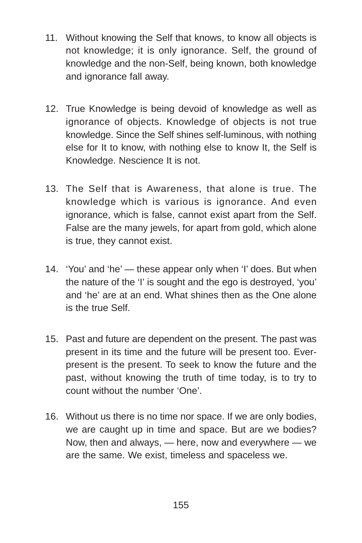- 11. Without knowing the Self that knows, to know all objects is not knowledge; it is only ignorance. Self, the ground of knowledge and the non-Self, being known, both knowledge and ignorance fall away.
- 12. True Knowledge is being devoid of knowledge as well as ignorance of objects. Knowledge of objects is not true knowledge. Since the Self shines self-luminous, with nothing else for It to know, with nothing else to know It, the Self is Knowledge. Nescience It is not.
- 13. The Self that is Awareness, that alone is true. The knowledge which is various is ignorance. And even ignorance, which is false, cannot exist apart from the Self. False are the many jewels, for apart from gold, which alone is true, they cannot exist.
- 14. 'You' and 'he' these appear only when 'I' does. But when the nature of the 'I' is sought and the ego is destroyed, 'you' and 'he' are at an end. What shines then as the One alone is the true Self.
- 15. Past and future are dependent on the present. The past was present in its time and the future will be present too. Everpresent is the present. To seek to know the future and the past, without knowing the truth of time today, is to try to count without the number 'One'.
- 16. Without us there is no time nor space. If we are only bodies, we are caught up in time and space. But are we bodies? Now, then and always, — here, now and everywhere — we are the same. We exist, timeless and spaceless we.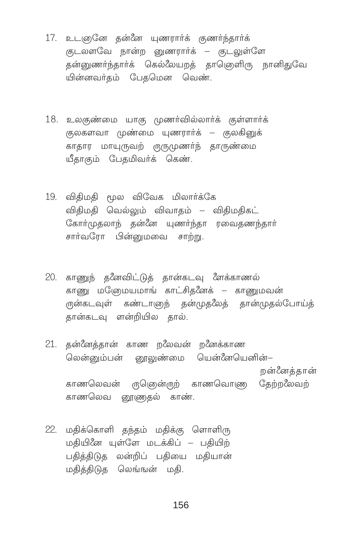- 17. உடஞனே தன்னே யுணரார்க் குணர்ந்தார்க் குடலளவே நான்ற னுணரார்க் – குடலுள்ளே தன்னுணர்ந்தார்க் கெல்லேயறத் தாணெளிரு நானிதுவே யின்னவர்தம் பேதமென வெண்.
- 18. உலகுண்மை யாகு முணர்வில்லார்க் குள்ளார்க் குலகளவா முண்மை யுணரார்க் – குலகினுக் காதார மாயுருவற் ருருமுணர்ந் தாருண்மை யீதாகும் பேதமிவர்க் கெண்.
- 19. விதிமதி மூல விவேக மிலார்க்கே விதிமதி வெல்லும் விவாதம் – விதிமதிகட் கோர்முதலாந் தன்னே யுணர்ந்தா ரவைதணந்தார் சார்வரோ பின்னுமவை சாற்று.
- 20. காணுந் தனேவிட்டுத் தான்கடவு ளேக்காணல் காணு மனேமயமாங் காட்சிகளேக் – காணுமவன் ருன்கடவுள் கண்டாளுந் தன்முதலேத் தான்முதல்போய்த் தான்கடவு ளன்றியில தால்.
- 21. தன்னேத்தான் காண றலேவன் றனேக்காண லென்னும்பன் னூலுண்மை யென்னேயெனின்– றன்னேத்தான் காணலெவன் ருஞென்ருற் காணவொணு தேற்றலேவற் காணலெவ னூணுகல் காண்.
- 22. மதிக்கொளி தந்தம் மதிக்கு ளொளிரு மதியினே யுள்ளே மடக்கிப் – பதியிற் பதித்திடுத லன்றிப் பதியை மதியான் மதித்திடுத லெங்ஙன் மதி.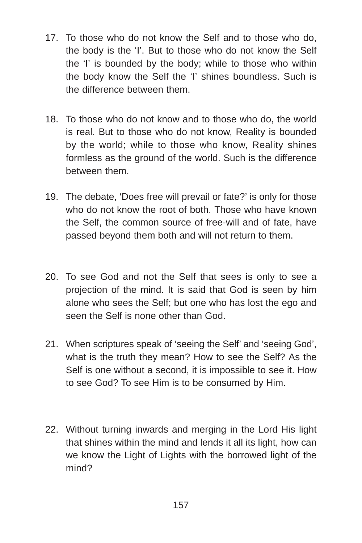- 17. To those who do not know the Self and to those who do, the body is the 'I'. But to those who do not know the Self the 'I' is bounded by the body; while to those who within the body know the Self the 'I' shines boundless. Such is the difference between them.
- 18. To those who do not know and to those who do, the world is real. But to those who do not know, Reality is bounded by the world; while to those who know, Reality shines formless as the ground of the world. Such is the difference between them.
- 19. The debate, 'Does free will prevail or fate?' is only for those who do not know the root of both. Those who have known the Self, the common source of free-will and of fate, have passed beyond them both and will not return to them.
- 20. To see God and not the Self that sees is only to see a projection of the mind. It is said that God is seen by him alone who sees the Self; but one who has lost the ego and seen the Self is none other than God.
- 21. When scriptures speak of 'seeing the Self' and 'seeing God', what is the truth they mean? How to see the Self? As the Self is one without a second, it is impossible to see it. How to see God? To see Him is to be consumed by Him.
- 22. Without turning inwards and merging in the Lord His light that shines within the mind and lends it all its light, how can we know the Light of Lights with the borrowed light of the mind?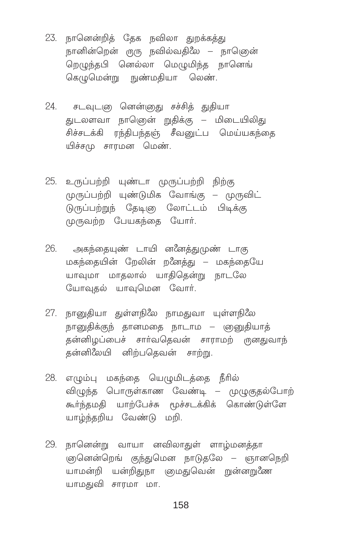- 23. நானென்றித் தேக நவிலா துறக்கத்து நானின்றென் ருரு நவில்வதிலே – நாணென் றெழுந்தபி னெல்லா மெழுமிந்த நானெங் கெழுமென்று நுண்மதியா லெண்.
- 24. சடவுடளு னென்னுது சச்சித் துதியா துடலளவா நாணென் றுதிக்கு – மிடையிலிது சிச்சடக்கி ரந்திபந்தஞ் சீவனுட்ப மெய்யகந்தை யிச்சமு சாரமன மெண்.
- 25. உருப்பற்றி யுண்டா முருப்பற்றி நிற்கு முருப்பற்றி யுண்டுமிக வோங்கு – முருவிட் டுருப்பற்றுந் தேடிஞ லோட்டம் பிடிக்கு முருவற்ற பேயகந்தை யோர்.
- 26. அகந்தையுண் டாயி னஃனத்துமுண் டாகு மகந்தையின் றேலின் ற*ீ*னத்து – மகந்தையே யாவுமா மாதலால் யாதிதென்று நாடலே யோவுதல் யாவுமென வோர்.
- 27. நானுதியா துள்ளநிலே நாமதுவா யுள்ளநிலே நானுதிக்குந் தானமதை நாடாம — ஞனுதியாத் கன்னிமப்பைச் சார்வகெவன் சாராமற் ருனதுவாந் தன்னிலேயி னிற்பதெவன் சாற்று.
- 28. எழும்பு மகந்தை யெழுமிடத்தை நீரில் விழுந்த பொருள்காண வேண்டி – முழுகுதல்போற் கூர்ந்தமதி யாற்பேச்சு மூச்சடக்கிக் கொண்டுள்ளே யாழ்ந்தறிய வேண்டு மறி.
- 29. நானென்று வாயா னவிலாதுள் ளாழ்மனத்தா ஞெனென்றெங் குந்துமென நாடுதலே – ஞானநெறி யாமன்றி யன்றிதுநா ஞமதுவென் றுன்னறுணே யாமதுவி சாரமா மா.

158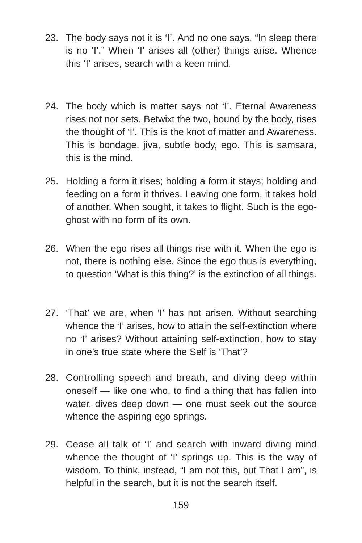- 23. The body says not it is 'I'. And no one says, "In sleep there is no 'I'." When 'I' arises all (other) things arise. Whence this 'I' arises, search with a keen mind.
- 24. The body which is matter says not 'I'. Eternal Awareness rises not nor sets. Betwixt the two, bound by the body, rises the thought of 'I'. This is the knot of matter and Awareness. This is bondage, jiva, subtle body, ego. This is samsara, this is the mind.
- 25. Holding a form it rises; holding a form it stays; holding and feeding on a form it thrives. Leaving one form, it takes hold of another. When sought, it takes to flight. Such is the egoghost with no form of its own.
- 26. When the ego rises all things rise with it. When the ego is not, there is nothing else. Since the ego thus is everything, to question 'What is this thing?' is the extinction of all things.
- 27. 'That' we are, when 'I' has not arisen. Without searching whence the 'I' arises, how to attain the self-extinction where no 'I' arises? Without attaining self-extinction, how to stay in one's true state where the Self is 'That'?
- 28. Controlling speech and breath, and diving deep within oneself — like one who, to find a thing that has fallen into water, dives deep down — one must seek out the source whence the aspiring ego springs.
- 29. Cease all talk of 'I' and search with inward diving mind whence the thought of 'I' springs up. This is the way of wisdom. To think, instead, "I am not this, but That I am", is helpful in the search, but it is not the search itself.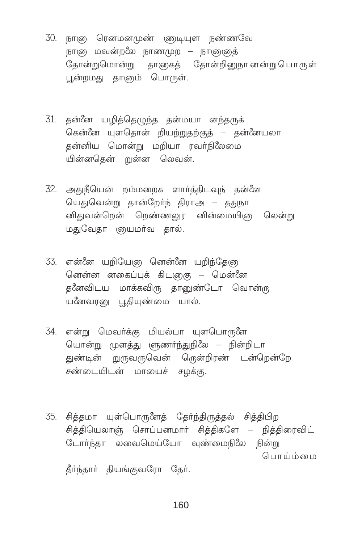- 30. நாளு ரெனமனமுண் ளுடியுள நண்ணவே நாளு மவன்றலே நாணமுற – நாளுஞத் தோன்றுமொன்று தாஞகத் தோன்றினுநானன்றுபொருள் பூன்றமது தாஞம் பொருள்.
- 31. தன்னே யழித்தெழுந்த தன்மயா னந்தருக் கென்னே யுளதொன் றியற்றுதற்குத் – தன்னேயலா தன்னிய மொன்று மறியா ரவா்நிலேமை யின்னகென் றுன்ன லெவன்.
- 32. அதுநீயென் றம்மறைக ளார்த்திடவுந் கன்னே யெதுவென்று தான்றேர்ந் திராஅ – ததுநா னிதுவன்றென் றெண்ணலுர னின்மையிஞ லென்று மதுவேதா ஞயமர்வ தால்.
- 33. என்னே யறியேஞ னென்னே யறிந்தேஞ னென்ன னகைப்புக் கிடஞுகு – மென்னே தணேவிடய மாக்கவிரு தானுண்டோ வொன்ரு யனேவரனு பூதியுண்மை யால்.
- 34. என்று மெவர்க்கு மியல்பா யுளபொருளே யொன்று முளத்து ளுணர்ந்துநிலே – நின்றிடா துண்டின் றுருவருவென் ரென்றிரண் டன்றென்றே சண்டையிடன் மாயைச் சழக்கு.
- 35. சித்தமா யுள்பொருளேத் தேர்ந்திருத்தல் சித்திபிற சித்தியெலாஞ் சொப்பனமார் சித்திகளே – நித்திரைவிட் டோர்ந்தா லவைமெய்யோ வுண்மைநிலே நின்று பொய்ம்மை தீர்ந்தார் தியங்குவரோ தேர்.

160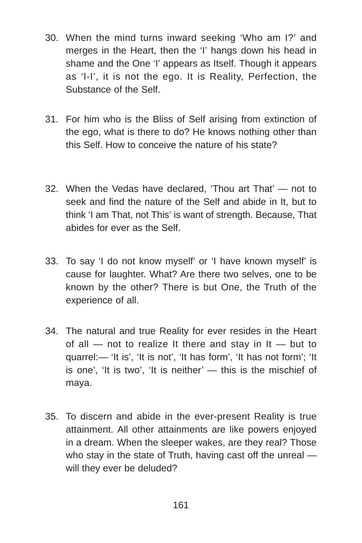- 30. When the mind turns inward seeking 'Who am I?' and merges in the Heart, then the 'I' hangs down his head in shame and the One 'I' appears as Itself. Though it appears as 'I-I', it is not the ego. It is Reality, Perfection, the Substance of the Self.
- 31. For him who is the Bliss of Self arising from extinction of the ego, what is there to do? He knows nothing other than this Self. How to conceive the nature of his state?
- 32. When the Vedas have declared, 'Thou art That' not to seek and find the nature of the Self and abide in It, but to think 'I am That, not This' is want of strength. Because, That abides for ever as the Self.
- 33. To say 'I do not know myself' or 'I have known myself' is cause for laughter. What? Are there two selves, one to be known by the other? There is but One, the Truth of the experience of all.
- 34. The natural and true Reality for ever resides in the Heart of all  $-$  not to realize It there and stay in It  $-$  but to quarrel:— 'It is', 'It is not', 'It has form', 'It has not form'; 'It is one', 'It is two', 'It is neither' — this is the mischief of maya.
- 35. To discern and abide in the ever-present Reality is true attainment. All other attainments are like powers enjoyed in a dream. When the sleeper wakes, are they real? Those who stay in the state of Truth, having cast off the unreal will they ever be deluded?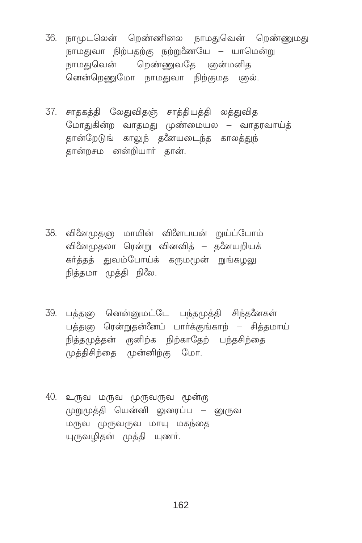- 36. நாமுடலென் றெண்ணினல நாமதுவென் றெண்ணுமது நாமதுவா நிற்பதற்கு நற்றுணேயே – யாமென்று ்<br>நாமதுவென் றெண்ணுவதே ஞன்மனித னென்றெணுமோ நாமதுவா நிற்குமத ஞல்.
- 37. சாதகத்தி லேதுவிதஞ் சாத்தியத்தி லத்துவித மோதுகின்ற வாதமது முண்மையல – வாதரவாய்த் தான்றேடுங் காலுந் தனேயடைந்த காலத்துந் கான்றசம னன்றியார் கான்.

- 38. வினேமுதனு மாயின் விளேபயன் றுய்ப்போம் வினேமுதலா ரென்று வினவித் – தனேயறியக் கர்த்தத் துவம்போய்க் கருமமூன் றுங்கமலு நிக்கமா முக்கி நிலே.
- 39. பத்தஞ னென்னுமட்டே பந்தமுத்தி சிந்தனேகள் பத்தஞ ரென்றுதன்னேப் பார்க்குங்காற் – சித்தமாய் நித்தமுத்தன் ருனிற்க நிற்காதேற் பந்தசிந்தை முத்திசிந்தை முன்னிற்கு மோ.
- 40. உருவ மருவ முருவருவ மூன்ரு முறுமுத்தி யென்னி லுரைப்ப – னுருவ மருவ முருவருவ மாயு மகந்தை யுருவழிதன் முத்தி யுணர்.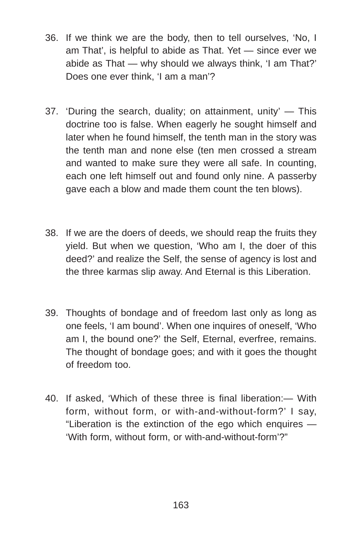- 36. If we think we are the body, then to tell ourselves, 'No, I am That', is helpful to abide as That. Yet — since ever we abide as That — why should we always think, 'I am That?' Does one ever think, 'I am a man'?
- 37. 'During the search, duality; on attainment, unity' This doctrine too is false. When eagerly he sought himself and later when he found himself, the tenth man in the story was the tenth man and none else (ten men crossed a stream and wanted to make sure they were all safe. In counting, each one left himself out and found only nine. A passerby gave each a blow and made them count the ten blows).
- 38. If we are the doers of deeds, we should reap the fruits they yield. But when we question, 'Who am I, the doer of this deed?' and realize the Self, the sense of agency is lost and the three karmas slip away. And Eternal is this Liberation.
- 39. Thoughts of bondage and of freedom last only as long as one feels, 'I am bound'. When one inquires of oneself, 'Who am I, the bound one?' the Self, Eternal, everfree, remains. The thought of bondage goes; and with it goes the thought of freedom too.
- 40. If asked, 'Which of these three is final liberation:— With form, without form, or with-and-without-form?' I say, "Liberation is the extinction of the ego which enquires — 'With form, without form, or with-and-without-form'?"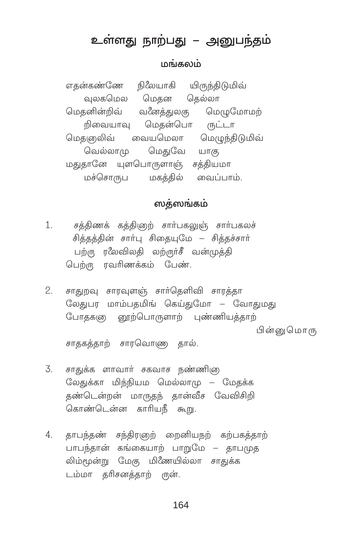# உள்ளது நாற்பது – அனுபந்தம்

#### மங்கலம்

எதன்கண்ணே நிலேயாகி யிருந்திடுமிவ் வலகமெல மெகன கெல்லா மெதனின்றிவ் வ&னத்துலகு மெழுமோமற் றிவையாவு மெதன்பொ ருட்டா மெகளுலிவ் வையமெலா மெமுந்திடுமிவ் வெல்லாம மெகுவே யாகு மதுதானே யுளபொருளாஞ் சத்தியமா மச்சொருப மகத்தில் வைப்பாம்.

# ஸத்ஸங்கம்

- சத்திணக் கத்திஞற் சார்பகலுஞ் சார்பகலச்  $1.$ சித்தத்தின் சார்பு சிதையுமே – சித்தச்சார் பற்ரு ரலேவிலதி லற்ருர்சீ வன்முத்தி பெற்று ரவரிணக்கம் பேண்.
- சாதுறவு சாரவுளஞ் சார்தெளிவி சாரத்தா  $2.$ லேதுபர மாம்பதமிங் கெய்துமோ – வோதுமது போதகனு னூற்பொருளாற் புண்ணியத்தாற் பின்னு மொரு

சாதகத்தாற் சாரவொணு தால்.

- $\overline{3}$ சாதுக்க ளாவார் சகவாச நண்ணிஞ லேதுக்கா மிந்நியம மெல்லாமு – மேதக்க தண்டென்றன் மாருதந் தான்வீச வேவிசிறி கொண்டென்ன காரியநீ கூறு.
- 4. தாபந்தண் சந்திரஞற் றைனியநற் கற்பகத்தாற் பாபந்தான் கங்கையாற் பாறுமே – தாபமுத லிம்மூன்று மேகு மிணேயில்லா சாதுக்க டம்மா தரிசனத்தாற் ருன்.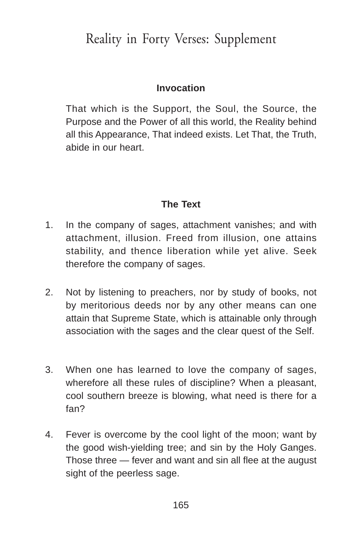# Reality in Forty Verses: Supplement

## **Invocation**

That which is the Support, the Soul, the Source, the Purpose and the Power of all this world, the Reality behind all this Appearance, That indeed exists. Let That, the Truth, abide in our heart.

## **The Text**

- 1. In the company of sages, attachment vanishes; and with attachment, illusion. Freed from illusion, one attains stability, and thence liberation while yet alive. Seek therefore the company of sages.
- 2. Not by listening to preachers, nor by study of books, not by meritorious deeds nor by any other means can one attain that Supreme State, which is attainable only through association with the sages and the clear quest of the Self.
- 3. When one has learned to love the company of sages, wherefore all these rules of discipline? When a pleasant, cool southern breeze is blowing, what need is there for a fan?
- 4. Fever is overcome by the cool light of the moon; want by the good wish-yielding tree; and sin by the Holy Ganges. Those three — fever and want and sin all flee at the august sight of the peerless sage.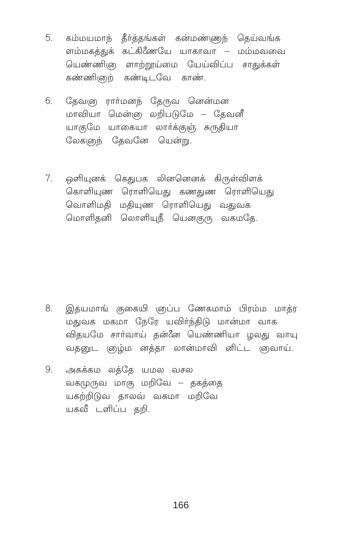- 5. கம்மயமாந் தீர்த்தங்கள் கன்மண்ணுந் தெய்வங்க ளம்மகத்துக் கட்கிணேயே யாகாவா – மம்மவவை யெண்ணி(ைளாற்றூய்மை யேய்விப்ப சாதுக்கள் கண்ணிஞற் கண்டிடவே காண்.
- தேவஞ ரார்மனந் தேருவ னென்மன 6. மாவியா மென்னு லறிபடுமே – தேவனீ யாகுமே யாகையா லார்க்குஞ் சுருதியா லேகளுந் தேவனே யென்று.
- ஒளியுனக் கெதுபக லினனெனக் கிருள்விளக்  $7<sub>1</sub>$ கொளியுண ரொளியெது கணதுண ரொளியெது வொளிமதி மதியுண ரொளியெது வதுவக மொளிதனி லொளியுநீ யெனகுரு வகமதே.

- $8<sub>1</sub>$ இதயமாங் குகையி ஞப்ப ணேகமாம் பிரம்ம மாக்ர மதுவக மகமா நேரே யவிர்ந்திடு மான்மா வாக விதயமே சார்வாய் தன்னே யெண்ணியா ழலது வாயு வதனுட ஞழ்ம னத்தா லான்மாவி னிட்ட ஞவாய்.
- அகக்கம லத்தே யமல வசல 9. வகமுருவ மாகு மறிவே – தகத்தை யகற்றிடுவ காலவ் வகமா மறிவே யகவீ டளிப்ப தறி.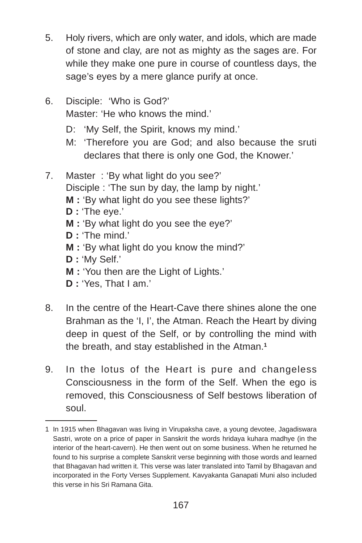- 5. Holy rivers, which are only water, and idols, which are made of stone and clay, are not as mighty as the sages are. For while they make one pure in course of countless days, the sage's eyes by a mere glance purify at once.
- 6. Disciple: 'Who is God?' Master: 'He who knows the mind.'
	- D: 'My Self, the Spirit, knows my mind.'
	- M: 'Therefore you are God; and also because the sruti declares that there is only one God, the Knower.'
- 7. Master : 'By what light do you see?'
	- Disciple : 'The sun by day, the lamp by night.'
	- **M :** 'By what light do you see these lights?'
	- **D :** 'The eye.'
	- **M :** 'By what light do you see the eye?'
	- **D :** 'The mind.'
	- **M :** 'By what light do you know the mind?'
	- **D :** 'My Self.'
	- **M :** 'You then are the Light of Lights.'
	- **D :** 'Yes, That I am.'
- 8. In the centre of the Heart-Cave there shines alone the one Brahman as the 'I, I', the Atman. Reach the Heart by diving deep in quest of the Self, or by controlling the mind with the breath, and stay established in the Atman.**<sup>1</sup>**
- 9. In the lotus of the Heart is pure and changeless Consciousness in the form of the Self. When the ego is removed, this Consciousness of Self bestows liberation of soul.

<sup>1</sup> In 1915 when Bhagavan was living in Virupaksha cave, a young devotee, Jagadiswara Sastri, wrote on a price of paper in Sanskrit the words hridaya kuhara madhye (in the interior of the heart-cavern). He then went out on some business. When he returned he found to his surprise a complete Sanskrit verse beginning with those words and learned that Bhagavan had written it. This verse was later translated into Tamil by Bhagavan and incorporated in the Forty Verses Supplement. Kavyakanta Ganapati Muni also included this verse in his Sri Ramana Gita.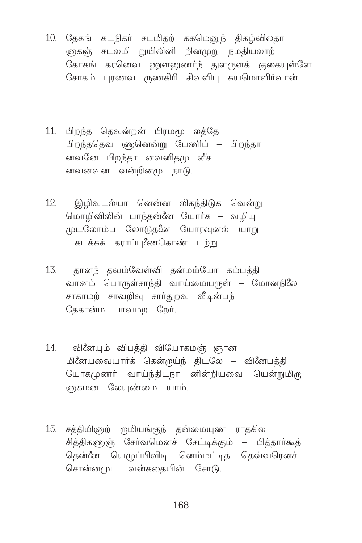- 10. தேகங் கடநிகர் சடமிதற் ககமெனுந் திகழ்விலதா கைன் சடலமி றுயிலினி றினமுறு நமதியலாற் கோகங் கரனெவ ணுளனுணர்ந் துளருளக் குகையுள்ளே சோகம் புரணவ ருணகிரி சிவவிபு சுயமொளிர்வான்.
- 11. பிறந்த தெவன்றன் பிரமமூ லத்தே பிறந்ததெவ ணனென்று பேணிப் – பிறந்தா னவனே பிறந்தா னவனிதமு வீச னவனவன வன்றினமு நாடு.
- இழிவுடல்யா னென்ன லிகந்திடுக வென்று  $12.$ மொழிவிலின் பாந்தன்னே யோர்க – வழியு முடலோம்ப லோடுதனே யோரவுனல் யாறு கடக்கக் கராப்புணேகொண் டற்று.
- 13. தானந் தவம்வேள்வி தன்மம்யோ கம்பத்தி வானம் பொருள்சாந்தி வாய்மையருள் – மோனநிலே சாகாமற் சாவறிவு சார்துறவு வீடின்பந் தேகான்ம பாவமற றேர்.
- 14. வினேயும் விபத்தி வியோகமஞ் ஞான மினேயவையார்க் கென்ருய்ந் திடலே – வினேபத்தி யோகமுணர் வாய்ந்திடநா னின்றியவை யென்றுமிரு ஞகமன லேயுண்மை யாம்.
- 15. சத்தியிஞற் ருமியங்குந் தன்மையுண ராதகில சித்திகணுஞ் சேர்வமெனச் சேட்டிக்கும் – பித்தார்கூத் கென்னே யெழுப்பிவிடி னெம்மட்டித் தெவ்வரெனச் சொன்னமுட வன்கதையின் சோடு.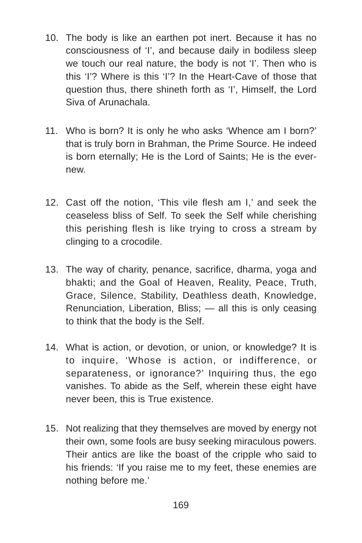- 10. The body is like an earthen pot inert. Because it has no consciousness of 'I', and because daily in bodiless sleep we touch our real nature, the body is not 'I'. Then who is this 'I'? Where is this 'I'? In the Heart-Cave of those that question thus, there shineth forth as 'I', Himself, the Lord Siva of Arunachala.
- 11. Who is born? It is only he who asks 'Whence am I born?' that is truly born in Brahman, the Prime Source. He indeed is born eternally; He is the Lord of Saints; He is the evernew.
- 12. Cast off the notion, 'This vile flesh am I,' and seek the ceaseless bliss of Self. To seek the Self while cherishing this perishing flesh is like trying to cross a stream by clinging to a crocodile.
- 13. The way of charity, penance, sacrifice, dharma, yoga and bhakti; and the Goal of Heaven, Reality, Peace, Truth, Grace, Silence, Stability, Deathless death, Knowledge, Renunciation, Liberation, Bliss; — all this is only ceasing to think that the body is the Self.
- 14. What is action, or devotion, or union, or knowledge? It is to inquire, 'Whose is action, or indifference, or separateness, or ignorance?' Inquiring thus, the ego vanishes. To abide as the Self, wherein these eight have never been, this is True existence.
- 15. Not realizing that they themselves are moved by energy not their own, some fools are busy seeking miraculous powers. Their antics are like the boast of the cripple who said to his friends: 'If you raise me to my feet, these enemies are nothing before me.'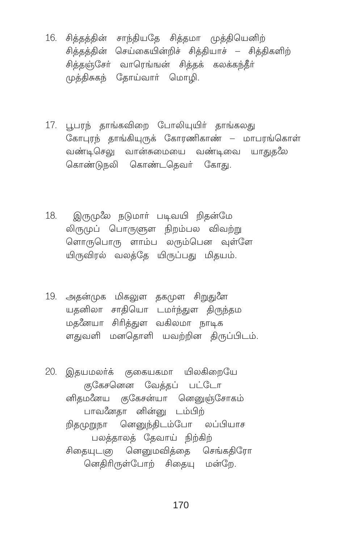- 16. சித்தத்தின் சாந்தியதே சித்தமா முத்தியெனிற் சிக்கக்கின் செய்கையின்றிச் சிக்கியாச் – சிக்கிகளிற் சித்தஞ்சேர் வாரெங்ஙன் சித்தக் கலக்கந்தீர் முத்திசுகந் தோய்வார் மொழி.
- 17. பூபரந் தாங்கவிறை போலியுயிர் தாங்கலது கோபுரந் தாங்கியுருக் கோரணிகாண் – மாபரங்கொள் வண்டிசெலு வான்சுமையை வண்டிவை யாதுதலே கொண்டுநலி கொண்டதெவர் கோது.
- 18. இருமுலே நடுமார் படிவயி றிதன்மே லிருமுப் பொருளுள நிறம்பல விவற்று <u>ளொருபொரு ளாம்ப லரும்பென வள்ளே</u> யிருவிரல் வலத்தே யிருப்பது மிதயம்.
- 19. அதன்முக மிகலுள தகமுள சிறுதுளே யதனிலா சாதியொ டமா்ந்துள திருந்தம மதனேயா சிரித்துள வகிலமா நாடிக ளதுவளி மனதொளி யவற்றின திருப்பிடம்.
- 20. இதயமலர்க் குகையகமா யிலகிறையே குகேசனென வேத்தப் பட்டோ னிதமனேய குகேசன்யா னெனுஞ்சோகம் பாவனேதா னின்னு டம்பிற் றிதமுறுநா னெனுந்திடம்போ லப்பியாச பலத்தாலத் தேவாய் நிற்கிற் சிதையுடனு னெனுமவித்தை செங்கதிரோ னெதிரிருள்போற் சிதையு மன்றே.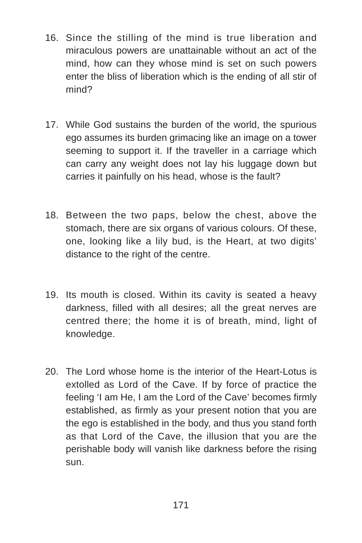- 16. Since the stilling of the mind is true liberation and miraculous powers are unattainable without an act of the mind, how can they whose mind is set on such powers enter the bliss of liberation which is the ending of all stir of mind?
- 17. While God sustains the burden of the world, the spurious ego assumes its burden grimacing like an image on a tower seeming to support it. If the traveller in a carriage which can carry any weight does not lay his luggage down but carries it painfully on his head, whose is the fault?
- 18. Between the two paps, below the chest, above the stomach, there are six organs of various colours. Of these, one, looking like a lily bud, is the Heart, at two digits' distance to the right of the centre.
- 19. Its mouth is closed. Within its cavity is seated a heavy darkness, filled with all desires; all the great nerves are centred there; the home it is of breath, mind, light of knowledge.
- 20. The Lord whose home is the interior of the Heart-Lotus is extolled as Lord of the Cave. If by force of practice the feeling 'I am He, I am the Lord of the Cave' becomes firmly established, as firmly as your present notion that you are the ego is established in the body, and thus you stand forth as that Lord of the Cave, the illusion that you are the perishable body will vanish like darkness before the rising sun.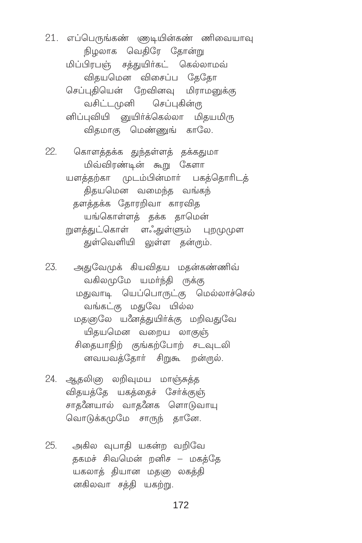21. எப்பெருங்கண் ளுடியின்கண் ணிவையாவு நிழலாக வெதிரே தோன்று மிப்பிரபஞ் சத்துயிர்கட் கெல்லாமவ் விதயமென விசைப்ப தேதோ செப்புகியென் றேவினவு மிராமனுக்கு வசிட்டமுனி செப்புகின்ரு னிப்புவியி னுயிர்க்கெல்லா மிதயமிரு விதமாகு மெண்ணுங் காலே.

22. கொளத்தக்க துந்தள்ளத் தக்கதுமா மிவ்விரண்டின் கூறு கேளா யளத்தற்கா முடம்பின்மார் பகத்தொரிடத் திதயமென வமைந்த வங்கந் தளத்தக்க தோரறிவா காரவித யங்கொள்ளத் தக்க தாமென் றுளத்துட்கொள் ளஃதுள்ளும் புறமுமுள துள்வெளியி லுள்ள தன்ரும்.

23. அதுவேமுக் கியவிதய மதன்கண்ணிவ் வகிலமுமே யமர்ந்தி ருக்கு மதுவாடி யெப்பொருட்கு மெல்லாச்செல் வங்கட்கு மதுவே யில்ல மதஞடுல யனேத்துயிர்க்கு மறிவதுவே யிகயமென வறைய லாகுஞ் சிதையாநிற் குங்கற்போற் சடவுடலி னவயவத்தோர் சிறுகூ றன்ருல்.

- 24. ஆதலிஞ லறிவுமய மாஞ்சுத்த விதயத்தே யகத்தைச் சேர்க்குஞ் சாதனேயால் வாதனேக ளொடுவாயு வொடுக்கமுமே சாருந் தானே.
- அகில வுபாகி யகன்ற வறிவே 25. தகமச் சிவமென் றனிச – மகத்தே யகலாத் தியான மதஞ லகத்தி னகிலவா சத்தி யகற்று.

172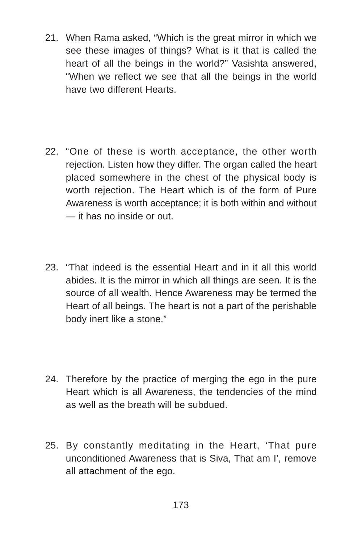- 21. When Rama asked, "Which is the great mirror in which we see these images of things? What is it that is called the heart of all the beings in the world?" Vasishta answered, "When we reflect we see that all the beings in the world have two different Hearts.
- 22. "One of these is worth acceptance, the other worth rejection. Listen how they differ. The organ called the heart placed somewhere in the chest of the physical body is worth rejection. The Heart which is of the form of Pure Awareness is worth acceptance; it is both within and without — it has no inside or out.
- 23. "That indeed is the essential Heart and in it all this world abides. It is the mirror in which all things are seen. It is the source of all wealth. Hence Awareness may be termed the Heart of all beings. The heart is not a part of the perishable body inert like a stone."
- 24. Therefore by the practice of merging the ego in the pure Heart which is all Awareness, the tendencies of the mind as well as the breath will be subdued.
- 25. By constantly meditating in the Heart, 'That pure unconditioned Awareness that is Siva, That am I', remove all attachment of the ego.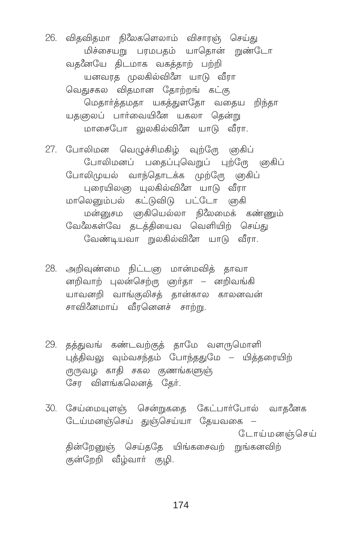26. விதவிதமா நிலேகளெலாம் விசாரஞ் செய்து மிச்சையறு பரமபதம் யாதொன் றுண்டோ வதனேயே திடமாக வகத்தாற் பற்றி யனவரத முலகில்விளே யாடு வீரா வெதுசகல விதமான தோற்றங் கட்கு மெதார்த்தமதா யகத்துளதோ வதைய றிந்தா யதஞலப் பார்வையினே யகலா தென்று மாசைபோ லுலகில்விளே யாடு வீரா.

27. போலிமன வெமுச்சிமகிம் வற்றோ ஞகிப் போலிமனப் பதைப்புவெறுப் புற்றோ ளுகிப் போலிமுயல் வாந்தொடக்க முற்றோ ஞகிப் புரையிலஞ யுலகில்விளே யாடு வீரா மாலெனும்பல் கட்டுவிடு பட்டோ ஞகி மன்னுசம ஞகியெல்லா நிலேமைக் கண்ணும் ேவ&லகள்வே தடத்தியைவ வெளியிற் செய்து வேண்டியவா றுலகில்விளே யாடு வீரா.

- 28. அறிவுண்மை நிட்டஞ மான்மவித் தாவா னறிவாற் புலன்செற்ரு ஞர்தா – னறிவங்கி யாவனறி வாங்குலிசத் தான்கால காலனவன் சாவினேமாய் வீரனெனச் சாற்று.
- 29. தத்துவங் கண்டவற்குத் தாமே வளருமொளி புத்திவலு வும்வசந்தம் போந்ததுமே – யித்தரையிற் ருருவழ காதி சகல குணங்களுஞ் சேர விளங்கலெனத் தேர்.
- 30. சேய்மையுளஞ் சென்றுகதை கேட்பார்போல் வாதனேக டேய்மனஞ்செய் துஞ்செய்யா தேயவகை – ோய்மனஞ்செய் தின்றேனுஞ் செய்ததே யிங்கசைவற் றுங்கனவிற் குன்றேறி வீழ்வார் குழி.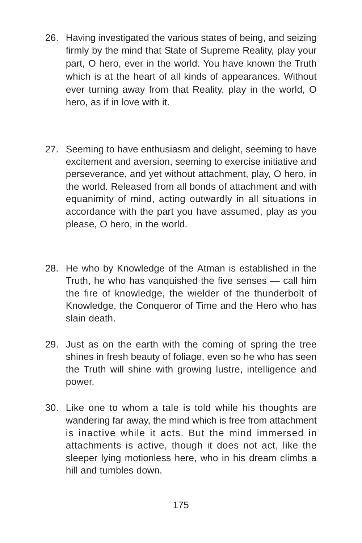- 26. Having investigated the various states of being, and seizing firmly by the mind that State of Supreme Reality, play your part, O hero, ever in the world. You have known the Truth which is at the heart of all kinds of appearances. Without ever turning away from that Reality, play in the world, O hero, as if in love with it.
- 27. Seeming to have enthusiasm and delight, seeming to have excitement and aversion, seeming to exercise initiative and perseverance, and yet without attachment, play, O hero, in the world. Released from all bonds of attachment and with equanimity of mind, acting outwardly in all situations in accordance with the part you have assumed, play as you please, O hero, in the world.
- 28. He who by Knowledge of the Atman is established in the Truth, he who has vanquished the five senses — call him the fire of knowledge, the wielder of the thunderbolt of Knowledge, the Conqueror of Time and the Hero who has slain death.
- 29. Just as on the earth with the coming of spring the tree shines in fresh beauty of foliage, even so he who has seen the Truth will shine with growing lustre, intelligence and power.
- 30. Like one to whom a tale is told while his thoughts are wandering far away, the mind which is free from attachment is inactive while it acts. But the mind immersed in attachments is active, though it does not act, like the sleeper lying motionless here, who in his dream climbs a hill and tumbles down.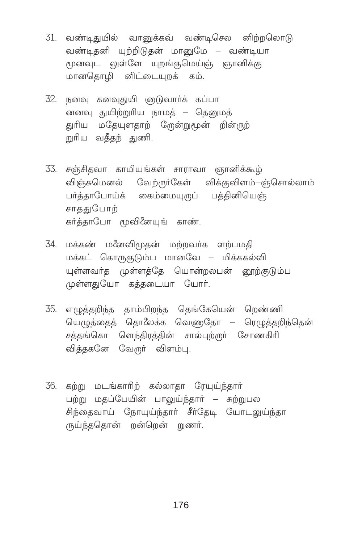- 31. வண்டிதுயில் வானுக்கவ் வண்டிசெல னிற்றலொடு வண்டிதனி யுற்றிடுதன் மானுமே – வண்டியா மூனவுட லுள்ளே யுறங்குமெய்ஞ் ஞானிக்கு மானகொமி னிட்டையுறக் கம்.
- 32. நனவு கனவுதுயி ஞடுவார்க் கப்பா னனவு துயிற்றுரிய நாமக் – தெனுமக் துரிய மதேயுளதாற் டூருன்றுமூன் றின்ருற் றுரிய வதீதந் துணி.
- 33. சஞ்சிதவா காமியங்கள் சாராவா ஞானிக்கூழ் விஞ்சுமெனல் வேற்ருா்கேள் விக்குவிளம்–ஞ்சொல்லாம் பா்த்தாபோய்க் கைம்மையுருப் பத்தினியெஞ் சாககுபோற் கா்க்காபோ மூவினேயுங் காண்.
- 34. மக்கண் மனேவிமுகன் மற்றவர்க ளற்பமதி மக்கட் கொருகுடும்ப மானவே – மிக்ககல்வி யுள்ளவர்த முள்ளத்தே யொன்றலபன் னூற்குடும்ப முள்ளதுயோ கத்தடையா யோர்.
- 35. எழுத்தறிந்த தாம்பிறந்த தெங்கேயென் றெண்ணி யெழுத்தைத் தொலேக்க வெணுதோ – ரெழுத்தறிந்தென் சத்தங்கொ ளெந்திரத்தின் சால்புற்ருா் சோணகிரி வித்தகனே வேருா் விளம்பு.
- 36. கற்று மடங்காரிற் கல்லாதா ரேயுய்ந்தார் பற்று மதப்பேயின் பாலுய்ந்தார் – சுற்றுபல சிந்தைவாய் நோயுய்ந்தார் சீர்தேடி யோடலுய்ந்தா ருய்ந்ததொன் றன்றென் றுணர்.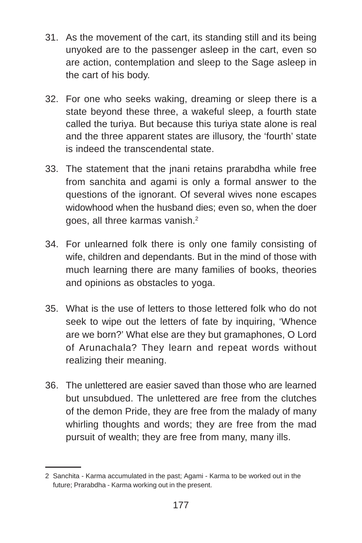- 31. As the movement of the cart, its standing still and its being unyoked are to the passenger asleep in the cart, even so are action, contemplation and sleep to the Sage asleep in the cart of his body.
- 32. For one who seeks waking, dreaming or sleep there is a state beyond these three, a wakeful sleep, a fourth state called the turiya. But because this turiya state alone is real and the three apparent states are illusory, the 'fourth' state is indeed the transcendental state.
- 33. The statement that the jnani retains prarabdha while free from sanchita and agami is only a formal answer to the questions of the ignorant. Of several wives none escapes widowhood when the husband dies; even so, when the doer goes, all three karmas vanish.<sup>2</sup>
- 34. For unlearned folk there is only one family consisting of wife, children and dependants. But in the mind of those with much learning there are many families of books, theories and opinions as obstacles to yoga.
- 35. What is the use of letters to those lettered folk who do not seek to wipe out the letters of fate by inquiring, 'Whence are we born?' What else are they but gramaphones, O Lord of Arunachala? They learn and repeat words without realizing their meaning.
- 36. The unlettered are easier saved than those who are learned but unsubdued. The unlettered are free from the clutches of the demon Pride, they are free from the malady of many whirling thoughts and words; they are free from the mad pursuit of wealth; they are free from many, many ills.

<sup>2</sup> Sanchita - Karma accumulated in the past; Agami - Karma to be worked out in the future; Prarabdha - Karma working out in the present.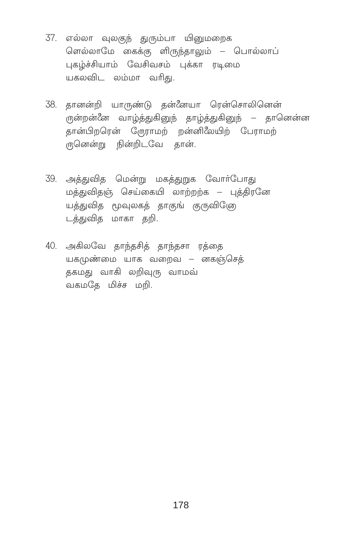- 37. எல்லா வுலகுந் துரும்பா யினுமறைக ளெல்லாமே கைக்கு ளிருந்தாலும் – பொல்லாப் புகழ்ச்சியாம் வேசிவசம் பக்கா ரடிமை யகலவிட லம்மா வரிது.
- 38. தானன்றி யாருண்டு தன்னேயா ரென்சொலினென் ருன்றன்னே வாழ்த்துகினுந் தாழ்த்துகினுந் — தானென்ன தான்பிறரென் ஸ்ரோமற் றன்னிலேயிற் பேராமற் ருனென்று நின்றிடவே தான்.
- 39. அக்குவிக மென்று மகக்குறுக வோர்போகு மத்துவிதஞ் செய்கையி லாற்றற்க – பக்கிரனே யத்துவித மூவுலகத் தாகுங் குருவிடுே டத்துவித மாகா தறி.
- 40. அகிலவே தாந்தசித் தாந்தசா ரத்தை யகமுண்மை யாக வறைவ – னகஞ்செத் தகமது வாகி லறிவுரு வாமவ் வகமகே மிச்ச மறி.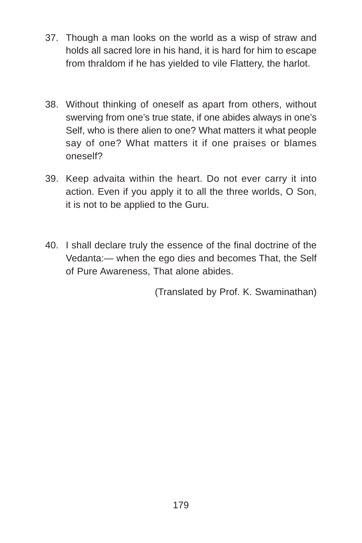- 37. Though a man looks on the world as a wisp of straw and holds all sacred lore in his hand, it is hard for him to escape from thraldom if he has yielded to vile Flattery, the harlot.
- 38. Without thinking of oneself as apart from others, without swerving from one's true state, if one abides always in one's Self, who is there alien to one? What matters it what people say of one? What matters it if one praises or blames oneself?
- 39. Keep advaita within the heart. Do not ever carry it into action. Even if you apply it to all the three worlds, O Son, it is not to be applied to the Guru.
- 40. I shall declare truly the essence of the final doctrine of the Vedanta:— when the ego dies and becomes That, the Self of Pure Awareness, That alone abides.

(Translated by Prof. K. Swaminathan)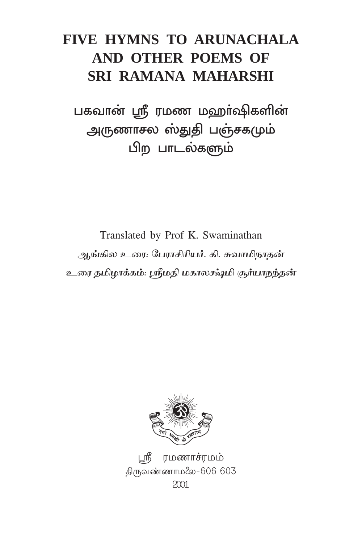# FIVE HYMNS TO ARUNACHALA AND OTHER POEMS OF **SRI RAMANA MAHARSHI**

பகவான் ஸ்ரீ ரமண மஹா்ஷிகளின் அருணாசல ஸ்துதி பஞ்சகமும் பிற பாடல்களும்

Translated by Prof K. Swaminathan ஆங்கில உரை: பேராசிரியர். கி. சுவாமிநாதன் உரை தமிழாக்கம்: ஸ்ரீமதி மகாலக்ஷ்மி சூர்யாநந்தன்



ரமணாச்ரமம் திருவண்ணாமலே-606 603  $2001$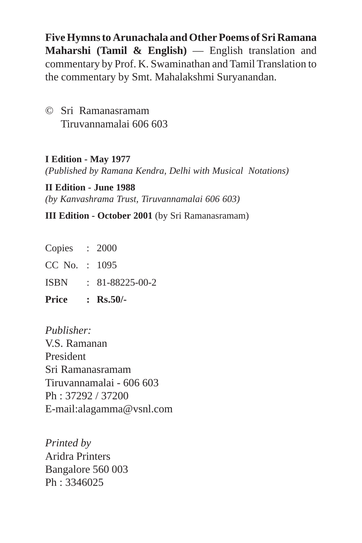**Five Hymns to Arunachala and Other Poems of Sri Ramana Maharshi (Tamil & English)** — English translation and commentary by Prof. K. Swaminathan and Tamil Translation to the commentary by Smt. Mahalakshmi Suryanandan.

© Sri Ramanasramam Tiruvannamalai 606 603

**I Edition - May 1977** *(Published by Ramana Kendra, Delhi with Musical Notations)*

**II Edition - June 1988** *(by Kanvashrama Trust, Tiruvannamalai 606 603)*

**III Edition - October 2001** (by Sri Ramanasramam)

| <b>Price</b>    | : $Rs.50/-$             |
|-----------------|-------------------------|
| <b>ISBN</b>     | $: 81 - 88225 - 00 - 2$ |
| $CC$ No. : 1095 |                         |
| Copies : 2000   |                         |

*Publisher:* V.S. Ramanan President Sri Ramanasramam Tiruvannamalai - 606 603 Ph : 37292 / 37200 E-mail:alagamma@vsnl.com

*Printed by* Aridra Printers Bangalore 560 003 Ph : 3346025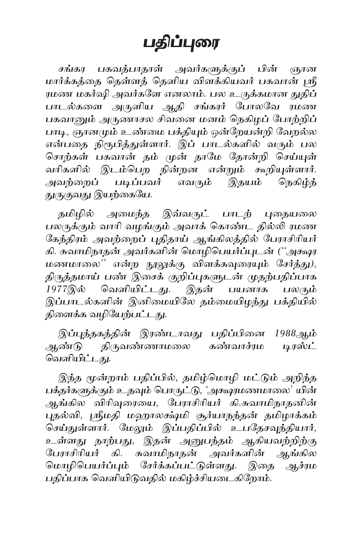# பதிப்புரை

சங்கர பகவத்பாதாள் அவர்களுக்குப் பின் ஞான மார்க்கத்தை தெள்ளத் தெளிய விளக்கியவர் பகவான் ஸ்ரீ ரமண மகர்ஷி அவர்களே எனலாம். பல உருக்கமான துதிப் பாடல்களை அருளிய ஆதி சங்கரர் போலவே ாமண பகவானும் அருணாசல சிவனை மனம் நெகிழப் போற்றிப் பாடி, ஞானமும் உண்மை பக்தியும் ஒன்றேயன்றி வேறல்ல என்பதை நிரூபித்துள்ளார். இப் பாடல்களில் வரும் பல சொற்கள் பகவான் தம் முன் தாமே தோன்றி செய்யுள் வரிகளில் இடம்பெற நின்றன என்றும் கூறியுள்ளார். அவற்றைப் படிப்பவர் எவரும் இதயம் நெகிழ்ந் துருகுவது இயற்கையே.

தமிழில் அமைந்த இவ்வருட் பாடற் புதையலை பலருக்கும் வாரி வழங்கும் அவாக் கொண்ட தில்லி ரமண கேந்திரம் அவற்றைப் புதிதாய் ஆங்கிலத்தில் பேராசிரியர் கி. சுவாமிநாதன் அவர்களின் மொழிபெயர்ப்புடன் ("அக்ஷர மணமாலை" என்ற நூலுக்கு விளக்கவுரையும் சேர்த்து), திருத்தமாய் பண் இசைக் குறிப்புகளுடன் முதற்பதிப்பாக பயனாக 1977இல் வெளியிட்டது. இதன் பலரும் இப்பாடல்களின் இனிமையிலே தம்மையிழந்து பக்தியில் திளைக்க வழியேற்பட்டது.

இப்புத்தகத்தின் இரண்டாவது பதிப்பினை 1988ஆம் ஆண்டு திருவண்ணாமலை கண்வாச்ரம டிரஸ்ட் வெளியிட்டது.

இந்த மூன்றாம் பதிப்பில், தமிழ்மொழி மட்டும் அறிந்த பக்தர்களுக்கும் உதவும் பொருட்டு, 'அக்ஷரமணமாலை' யின் ஆங்கில விரிவுரையை, பேராசிரியர் கி.சுவாமிநாதனின் புதல்வி, ஸ்ரீமதி மஹாலக்ஷ்மி சூர்யாநந்தன் தமிழாக்கம் .<br>செய்துள்ளார். மேலும் இப்பதிப்பில் உபதேசவந்தியார், உள்ளது நாற்பது, இதன் அனுபந்தம் ஆகியவற்றிற்கு .<br>பேராசிரியர் கி. சுவாமிநாதன் அவர்களின் ஆங்கில மொழிபெயர்ப்பும் சேர்க்கப்பட்டுள்ளது. இதை ஆச்ரம பதிப்பாக வெளியிடுவதில் மகிழ்ச்சியடைகிறோம்.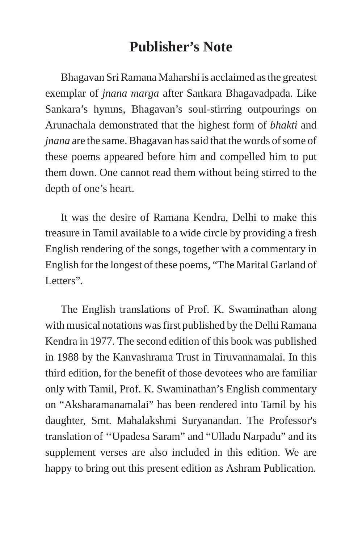#### **Publisher's Note**

Bhagavan Sri Ramana Maharshi is acclaimed as the greatest exemplar of *jnana marga* after Sankara Bhagavadpada. Like Sankara's hymns, Bhagavan's soul-stirring outpourings on Arunachala demonstrated that the highest form of *bhakti* and *jnana* are the same. Bhagavan has said that the words of some of these poems appeared before him and compelled him to put them down. One cannot read them without being stirred to the depth of one's heart.

It was the desire of Ramana Kendra, Delhi to make this treasure in Tamil available to a wide circle by providing a fresh English rendering of the songs, together with a commentary in English for the longest of these poems, "The Marital Garland of Letters".

The English translations of Prof. K. Swaminathan along with musical notations was first published by the Delhi Ramana Kendra in 1977. The second edition of this book was published in 1988 by the Kanvashrama Trust in Tiruvannamalai. In this third edition, for the benefit of those devotees who are familiar only with Tamil, Prof. K. Swaminathan's English commentary on "Aksharamanamalai" has been rendered into Tamil by his daughter, Smt. Mahalakshmi Suryanandan. The Professor's translation of ''Upadesa Saram" and "Ulladu Narpadu" and its supplement verses are also included in this edition. We are happy to bring out this present edition as Ashram Publication.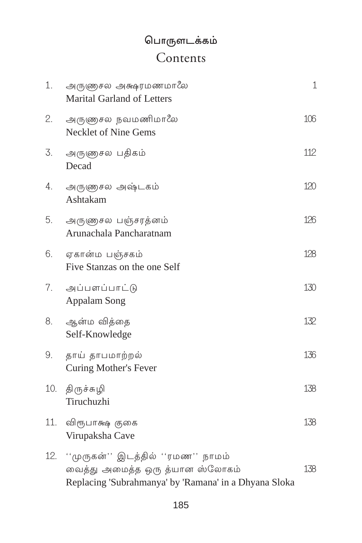### பொருளடக்கம் Contents

| 1.  | அருணுசல அக்ஷரமணமாலே<br>Marital Garland of Letters                                                                              | $\mathbf 1$ |
|-----|--------------------------------------------------------------------------------------------------------------------------------|-------------|
| 2.  | அருளுசல நவமணிமாலே<br>Necklet of Nine Gems                                                                                      | 106         |
| 3.  | அருணுசல பதிகம்<br>Decad                                                                                                        | 112         |
| 4.  | அருணுசல அஷ்டகம்<br>Ashtakam                                                                                                    | 120         |
| 5.  | அருணுசல பஞ்சரத்னம்<br>Arunachala Pancharatnam                                                                                  | 126         |
| 6.  | ஏகான்ம பஞ்சகம்<br>Five Stanzas on the one Self                                                                                 | 128         |
| 7.  | அப்பளப்பாட்டு<br>Appalam Song                                                                                                  | 130         |
| 8.  | ஆன்ம வித்தை<br>Self-Knowledge                                                                                                  | 132         |
| 9.  | தாய் தாபமாற்றல்<br>Curing Mother's Fever                                                                                       | 136         |
| 10. | திருச்சுழி<br>Tiruchuzhi                                                                                                       | 138         |
| 11. | விரூபாக்ஷ குகை<br>Virupaksha Cave                                                                                              | 138         |
| 12. | ''முருகன்'' இடத்தில் ''ரமண'' நாமம்<br>வைத்து அமைத்த ஒரு த்யான ஸ்லோகம்<br>Replacing 'Subrahmanya' by 'Ramana' in a Dhyana Sloka | 138         |